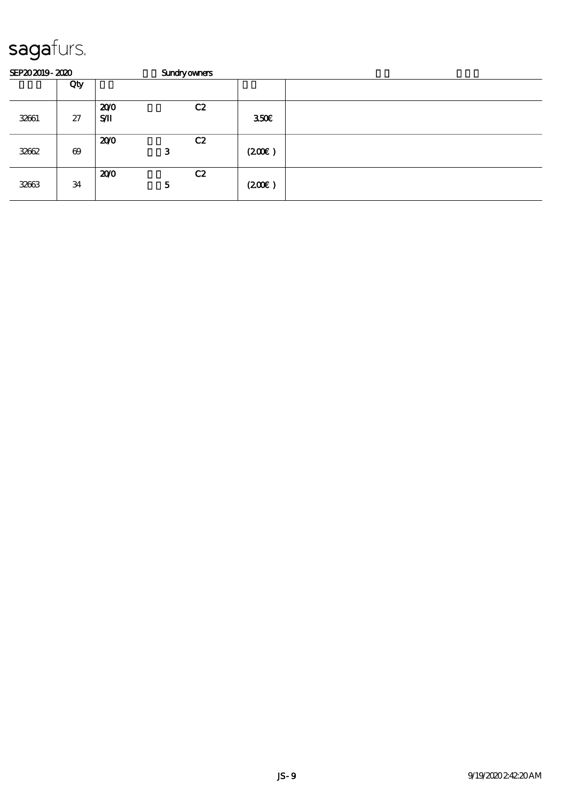| SEP202019-2020 |                       |                  | <b>Sundryowners</b> |                  |  |
|----------------|-----------------------|------------------|---------------------|------------------|--|
|                | Qty                   |                  |                     |                  |  |
| 32661          | 27                    | 200<br>$S$ $\Pi$ | C2                  | 350 <sup>2</sup> |  |
| 32662          | $\boldsymbol{\omega}$ | 200              | C2<br>3             | (200)            |  |
| 32663          | 34                    | 200              | C2<br>5             | (200)            |  |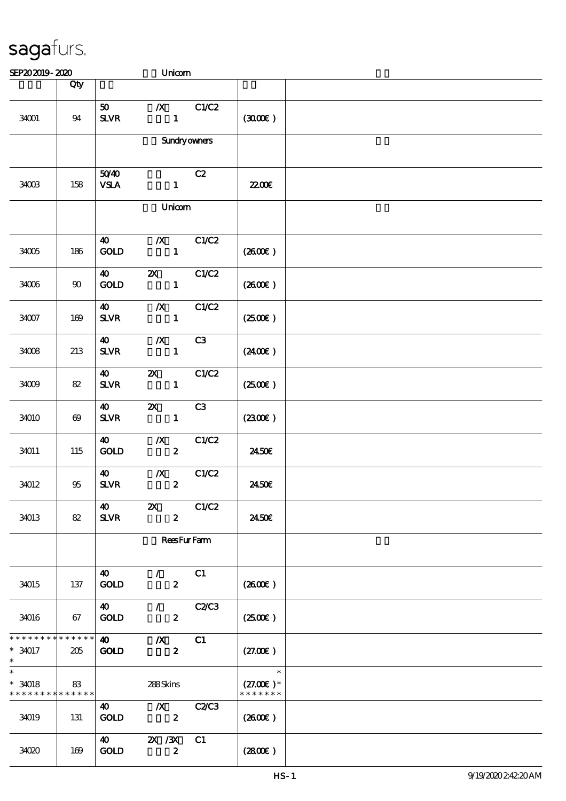| SEP202019-2020                                          |                        |                                             | Unicom                                              |       |                                        |  |
|---------------------------------------------------------|------------------------|---------------------------------------------|-----------------------------------------------------|-------|----------------------------------------|--|
|                                                         | Qty                    |                                             |                                                     |       |                                        |  |
| 34001                                                   | 94                     | 50 <sub>o</sub><br><b>SLVR</b>              | $\boldsymbol{X}$<br>$\mathbf{1}$                    | C1/C2 | (300)                                  |  |
|                                                         |                        |                                             | <b>Sundryowners</b>                                 |       |                                        |  |
| 34003                                                   | 158                    | 5040<br><b>VSLA</b>                         | $\mathbf{1}$                                        | C2    | <b>2200E</b>                           |  |
|                                                         |                        |                                             | Unicom                                              |       |                                        |  |
| 34005                                                   | 186                    | 40<br>GOLD                                  | $\boldsymbol{X}$<br>$\blacksquare$                  | C1/C2 | (2600E)                                |  |
| 34006                                                   | 90                     | 40<br>$\mathop{\rm GOD}$                    | $\mathbf{x}$<br>$\mathbf{1}$                        | C1/C2 | (2600)                                 |  |
| $34007$                                                 | 169                    | $\boldsymbol{\omega}$<br><b>SLVR</b>        | $\boldsymbol{X}$<br>$\mathbf{1}$                    | C1/C2 | $(2500\varepsilon)$                    |  |
| 34008                                                   | 213                    | $\boldsymbol{40}$<br><b>SLVR</b>            | $\boldsymbol{X}$<br>$\mathbf{1}$                    | C3    | $(2400\varepsilon)$                    |  |
| 34009                                                   | 82                     | <b>40</b><br><b>SLVR</b>                    | <b>2X</b> C1/C2<br>$\mathbf{1}$                     |       | $(2500\varepsilon)$                    |  |
| 34010                                                   | $\boldsymbol{\omega}$  | $\boldsymbol{\omega}$<br><b>SLVR</b>        | $\boldsymbol{\mathsf{X}}$<br>$\mathbf{1}$           | C3    | (2300)                                 |  |
| 34011                                                   | 115                    | $\boldsymbol{\omega}$<br>$\mathop{\rm GOD}$ | $\boldsymbol{X}$<br>$\boldsymbol{2}$                | C1/C2 | 2450E                                  |  |
| 34012                                                   | 95                     | $\boldsymbol{\omega}$<br><b>SLVR</b>        | $\boldsymbol{X}$<br>$\overline{z}$                  | C1/C2 | 2450E                                  |  |
| 34013                                                   | 82                     | 40<br><b>SLVR</b>                           | $\boldsymbol{\mathsf{Z}}$<br>$\boldsymbol{z}$       | C1/C2 | 2450E                                  |  |
|                                                         |                        |                                             | <b>ReesFurFarm</b>                                  |       |                                        |  |
| 34015                                                   | 137                    | 40<br><b>GOLD</b>                           | $\mathcal{L}$ and $\mathcal{L}$<br>$\boldsymbol{z}$ | C1    | (2600)                                 |  |
| 34016                                                   | 67                     | $\boldsymbol{40}$<br><b>GOLD</b>            | $\mathcal{L}$ and $\mathcal{L}$<br>$\boldsymbol{z}$ | C2C3  | $(2500\varepsilon)$                    |  |
| * * * * * * * *<br>$* 34017$<br>$\ast$                  | $* * * * * * *$<br>205 | $\boldsymbol{40}$<br><b>GOLD</b>            | $\boldsymbol{X}$<br>$\boldsymbol{z}$                | C1    | (27.00)                                |  |
| $\overline{\phantom{0}}$<br>$*34018$<br>* * * * * * * * | 83<br>* * * * * *      |                                             | 288Skins                                            |       | $\ast$<br>$(27.00)$ *<br>* * * * * * * |  |
| 34019                                                   | 131                    | <b>40</b><br><b>GOLD</b>                    | $\mathbf{X}$<br>$\boldsymbol{z}$                    | C2C3  | $(2600\varepsilon)$                    |  |
| 34020                                                   | 169                    | <b>40</b><br><b>GOLD</b>                    | 2X / 3X<br>$\boldsymbol{z}$                         | C1    | (2800)                                 |  |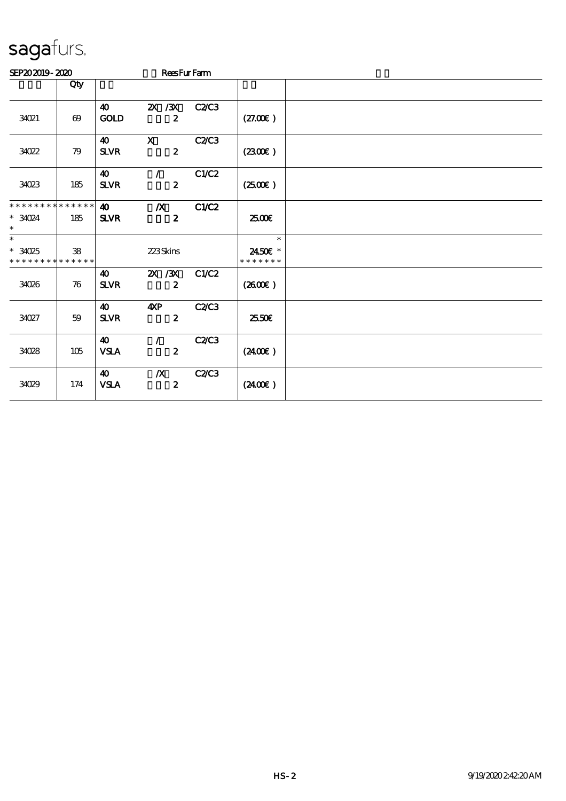| SEP202019-2020                                   |                       |                                       | <b>ReesFurFarm</b>                   |       |                                    |  |
|--------------------------------------------------|-----------------------|---------------------------------------|--------------------------------------|-------|------------------------------------|--|
|                                                  | Qty                   |                                       |                                      |       |                                    |  |
| 34021                                            | $\boldsymbol{\omega}$ | 40<br><b>GOLD</b>                     | 2X / 3X<br>$\boldsymbol{z}$          | C2C3  | (27.00)                            |  |
| 34022                                            | 79                    | $\boldsymbol{\omega}$<br>$S\!L\!V\!R$ | $\mathbf{x}$<br>$\boldsymbol{z}$     | C2C3  | (2300)                             |  |
| 34023                                            | 185                   | 40<br><b>SLVR</b>                     | $\mathcal{F}$<br>$\boldsymbol{z}$    | C1/C2 | $(2500\varepsilon)$                |  |
| * * * * * * * * * * * * * *<br>$*3024$<br>$\ast$ | 185                   | $\boldsymbol{\omega}$<br><b>SLVR</b>  | $\boldsymbol{X}$<br>$\boldsymbol{z}$ | C1/C2 | æœ                                 |  |
| $\ast$<br>$*3025$<br>* * * * * * * * * * * * * * | 38                    |                                       | 223Skins                             |       | $\ast$<br>2450€ *<br>* * * * * * * |  |
| 34026                                            | 76                    | 40<br><b>SLVR</b>                     | 2X / 3X<br>$\boldsymbol{z}$          | C1/C2 | $(2600\varepsilon)$                |  |
| 34027                                            | 59                    | 40<br><b>SLVR</b>                     | 4xP<br>$\boldsymbol{z}$              | C2/C3 | 25.50E                             |  |
| 34028                                            | 105                   | 40<br><b>VSLA</b>                     | $\mathcal{L}$<br>$\boldsymbol{2}$    | C2C3  | $(2400\varepsilon)$                |  |
| 34029                                            | 174                   | 40<br>${\bf VSA}$                     | $\boldsymbol{X}$<br>$\boldsymbol{z}$ | C2C3  | $(2400\varepsilon)$                |  |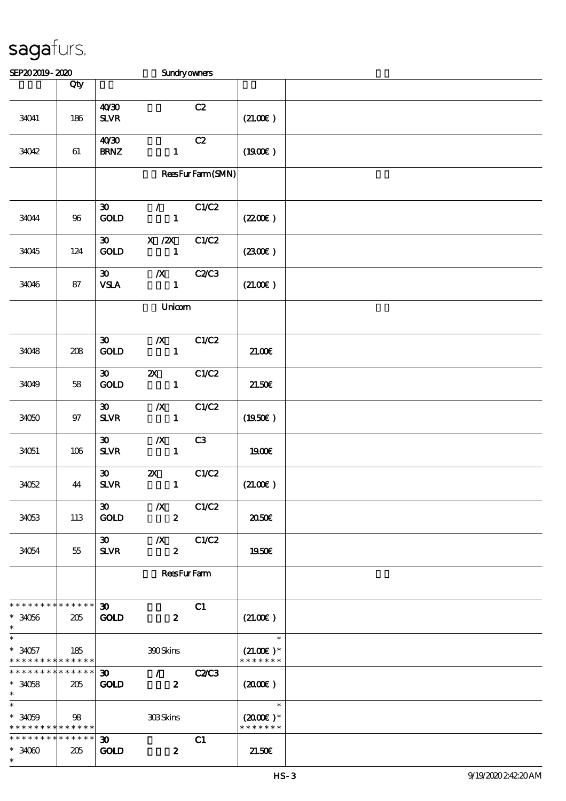| SEP202019-2020                                      |        |                                             | <b>Sundryowners</b>                             |                  |                                                 |  |
|-----------------------------------------------------|--------|---------------------------------------------|-------------------------------------------------|------------------|-------------------------------------------------|--|
|                                                     | Qty    |                                             |                                                 |                  |                                                 |  |
| 34041                                               | 186    | 40'30<br><b>SLVR</b>                        |                                                 | C2               | (21.00)                                         |  |
| 34042                                               | 61     | 40'30<br><b>BRNZ</b>                        | $\mathbf{1}$                                    | C2               | (1900E)                                         |  |
|                                                     |        |                                             |                                                 | ReesFurFarm(SMN) |                                                 |  |
| 34044                                               | $96\,$ | $\boldsymbol{\mathfrak{D}}$<br>GOLD         | $\mathcal{F}$ and $\mathcal{F}$<br>$\mathbf{1}$ | C1/C2            | (220E)                                          |  |
| 34045                                               | 124    | $\boldsymbol{\mathfrak{D}}$<br>GOLD         | X / ZX<br>$\mathbf{1}$                          | C1/C2            | (2300)                                          |  |
| 34046                                               | 87     | $\boldsymbol{\mathfrak{D}}$<br><b>VSLA</b>  | $\boldsymbol{X}$<br>$\mathbf{1}$                | <b>C2C3</b>      | (21.00)                                         |  |
|                                                     |        |                                             | Unicom                                          |                  |                                                 |  |
| 34048                                               | $208$  | $\boldsymbol{\mathfrak{D}}$<br>GOLD         | $\boldsymbol{X}$<br>$\mathbf{1}$                | C1/C2            | 21.006                                          |  |
| 34049                                               | 58     | $\boldsymbol{\mathfrak{D}}$<br><b>GOLD</b>  | $\boldsymbol{\mathsf{Z}}$<br>$\mathbf{1}$       | C1/C2            | 21.50E                                          |  |
| 34050                                               | 97     | $\boldsymbol{\mathfrak{D}}$<br>$S\!L\!V\!R$ | $\boldsymbol{X}$<br>$\mathbf{1}$                | C1/C2            | (1950)                                          |  |
| 34051                                               | 106    | $\boldsymbol{\mathfrak{D}}$<br><b>SLVR</b>  | $\boldsymbol{X}$<br>$\mathbf{1}$                | C3               | 1900€                                           |  |
| 34052                                               | 44     | $\boldsymbol{\mathfrak{D}}$<br>$S\!L\!V\!R$ | $\boldsymbol{\mathsf{Z}}$<br>$\mathbf{1}$       | C1/C2            | $(21.00\epsilon)$                               |  |
| 34053                                               | 113    | 30 <sub>o</sub><br><b>GOLD</b>              | $\boldsymbol{X}$<br>$\boldsymbol{z}$            | C1/C2            | 2050€                                           |  |
| 34054                                               | 55     | $\boldsymbol{\mathfrak{D}}$<br><b>SLVR</b>  | $\boldsymbol{X}$<br>$\boldsymbol{z}$            | C1/C2            | 1950E                                           |  |
|                                                     |        | <b>ReesFurFam</b>                           |                                                 |                  |                                                 |  |
| * * * * * * * * * * * * * * *<br>$*34056$<br>$\ast$ | 205    | $\boldsymbol{\mathfrak{D}}$<br><b>GOLD</b>  | $\boldsymbol{z}$                                | C1               | (21.00)                                         |  |
| $\ast$<br>$*34057$<br>* * * * * * * * * * * * * *   | 185    |                                             | 390Skins                                        |                  | $\ast$<br>$(21.00)$ *<br>* * * * * * *          |  |
| * * * * * * * * * * * * * * *<br>$*34058$<br>$\ast$ | 205    | $\boldsymbol{\mathfrak{D}}$<br><b>GOLD</b>  | $\mathcal{L}$<br>$\boldsymbol{z}$               | <b>C2/C3</b>     | (200)                                           |  |
| $\ast$<br>$*3059$<br>* * * * * * * * * * * * * *    | 98     |                                             | 308Skins                                        |                  | $\ast$<br>$(2000\varepsilon)*$<br>* * * * * * * |  |
| * * * * * * * * * * * * * *<br>$*3000$<br>$\ast$    | 205    | $30-1$<br><b>GOLD</b>                       | $\boldsymbol{z}$                                | C1               | 21.50E                                          |  |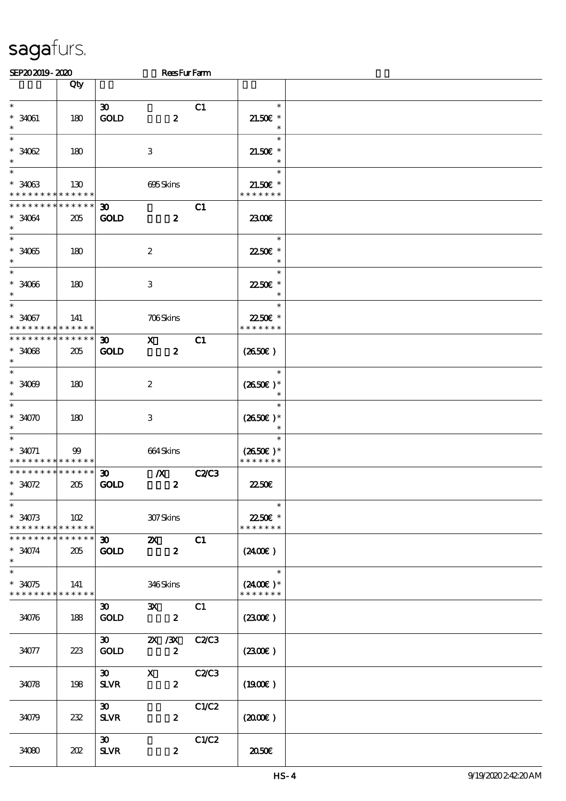| SEP202019-2020                                      |             |                                            | <b>ReesFurFarm</b>      |             |                             |  |
|-----------------------------------------------------|-------------|--------------------------------------------|-------------------------|-------------|-----------------------------|--|
|                                                     | Qty         |                                            |                         |             |                             |  |
|                                                     |             |                                            |                         |             |                             |  |
| $\ast$                                              |             | $\boldsymbol{\mathfrak{D}}$                |                         | C1          | $\ast$                      |  |
| $* 34061$                                           | 180         | <b>GOLD</b>                                | $\boldsymbol{z}$        |             | $21.50E$ *                  |  |
| $\ast$                                              |             |                                            |                         |             | $\ast$                      |  |
| $\ast$                                              |             |                                            |                         |             | $\ast$                      |  |
| $*3002$                                             | 180         |                                            | $\,3$                   |             | $21.50E$ *                  |  |
| $\ast$<br>$\ast$                                    |             |                                            |                         |             | $\ast$                      |  |
|                                                     |             |                                            |                         |             | $\ast$                      |  |
| $*3003$<br>* * * * * * * * <mark>* * * * * *</mark> | 130         |                                            | 695Skins                |             | $21.50E$ *<br>* * * * * * * |  |
| * * * * * * * *                                     | * * * * * * |                                            |                         |             |                             |  |
| $* 34064$                                           | 205         | $\boldsymbol{\mathfrak{D}}$<br><b>GOLD</b> | $\boldsymbol{z}$        | C1          |                             |  |
| $\ast$                                              |             |                                            |                         |             | 2300E                       |  |
| $\ast$                                              |             |                                            |                         |             | $\ast$                      |  |
| $*34065$                                            | 180         |                                            | $\boldsymbol{2}$        |             | 2250E *                     |  |
| $\ast$                                              |             |                                            |                         |             | $\ast$                      |  |
| $\overline{\phantom{0}}$                            |             |                                            |                         |             | $\ast$                      |  |
| $* 3006$                                            | 180         |                                            | $\,3$                   |             | 22.50€ *                    |  |
| $\ast$                                              |             |                                            |                         |             | $\ast$                      |  |
| $\ast$                                              |             |                                            |                         |             | $\ast$                      |  |
| $* 34067$                                           | 141         |                                            | 706Skins                |             | 22.50€ *                    |  |
| * * * * * * * * <mark>* * * * * *</mark>            |             |                                            |                         |             | * * * * * * *               |  |
| * * * * * * * *                                     | * * * * * * | $\boldsymbol{\mathfrak{D}}$                | $\mathbf{x}$            | C1          |                             |  |
| $*3008$                                             | 205         | <b>GOLD</b>                                | $\boldsymbol{z}$        |             | $(2650\epsilon)$            |  |
| $\ast$                                              |             |                                            |                         |             |                             |  |
| $\ast$                                              |             |                                            |                         |             | $\ast$                      |  |
| $* 3000$                                            | 180         |                                            | $\boldsymbol{2}$        |             | $(2650\epsilon)*$           |  |
| $\ast$                                              |             |                                            |                         |             |                             |  |
| $\ast$                                              |             |                                            |                         |             | $\ast$                      |  |
| $*34070$                                            | 180         |                                            | 3                       |             | $(2650E)*$                  |  |
| $\ast$<br>$\ast$                                    |             |                                            |                         |             | $\ast$                      |  |
| $* 34071$                                           |             |                                            |                         |             |                             |  |
| * * * * * * * * <mark>* * * * * *</mark>            | $99\,$      |                                            | 664Skins                |             | $(2650E)*$<br>* * * * * * * |  |
| * * * * * * * * * * * * * *                         |             | $\boldsymbol{\mathfrak{D}}$                | $\boldsymbol{X}$        | <b>C2C3</b> |                             |  |
| $*34072$                                            | 205         | <b>GOLD</b>                                | $\boldsymbol{z}$        |             | 2250E                       |  |
| $*$                                                 |             |                                            |                         |             |                             |  |
| $\ast$                                              |             |                                            |                         |             | $\ast$                      |  |
| $*34073$                                            | 102         |                                            | 307Skins                |             | 22.50€ *                    |  |
| * * * * * * * * <mark>* * * * * * *</mark>          |             |                                            |                         |             | * * * * * * *               |  |
| * * * * * * * * * * * * * *                         |             | $30 - 1$                                   | $\mathbf{z}$            | C1          |                             |  |
| $* 34074$                                           | 205         | <b>GOLD</b>                                | $\boldsymbol{z}$        |             | $(2400\varepsilon)$         |  |
| $\ast$                                              |             |                                            |                         |             |                             |  |
| $\overline{\ast}$                                   |             |                                            |                         |             | $\ast$                      |  |
| $*34075$                                            | 141         |                                            | 346Skins                |             | $(2400E)*$                  |  |
| * * * * * * * * * * * * * *                         |             |                                            |                         |             | * * * * * * *               |  |
|                                                     |             | $\boldsymbol{\mathfrak{D}}$                | $\mathbf{x}$            | C1          |                             |  |
| 34076                                               | 188         | <b>GOLD</b>                                | $\overline{\mathbf{z}}$ |             | (2300)                      |  |
|                                                     |             |                                            |                         |             |                             |  |
|                                                     |             | $\boldsymbol{\mathfrak{D}}$                | 2X / 3X C2/C3           |             |                             |  |
| 34077                                               | 223         | <b>GOLD</b>                                | $\mathbf{z}$            |             | $(2300\varepsilon)$         |  |
|                                                     |             | $\infty$                                   | $\mathbf X$             |             |                             |  |
|                                                     |             |                                            | $\boldsymbol{2}$        | C2C3        |                             |  |
| 34078                                               | 198         | <b>SLVR</b>                                |                         |             | $(1900\epsilon)$            |  |
|                                                     |             | $\boldsymbol{\mathfrak{D}}$                |                         | C1/C2       |                             |  |
| 34079                                               | 232         | <b>SLVR</b>                                | $\boldsymbol{z}$        |             | $(2000\varepsilon)$         |  |
|                                                     |             |                                            |                         |             |                             |  |
|                                                     |             | $\boldsymbol{\mathfrak{D}}$                |                         | C1/C2       |                             |  |
| 34080                                               | 202         | <b>SLVR</b>                                | $\boldsymbol{z}$        |             | 2050                        |  |
|                                                     |             |                                            |                         |             |                             |  |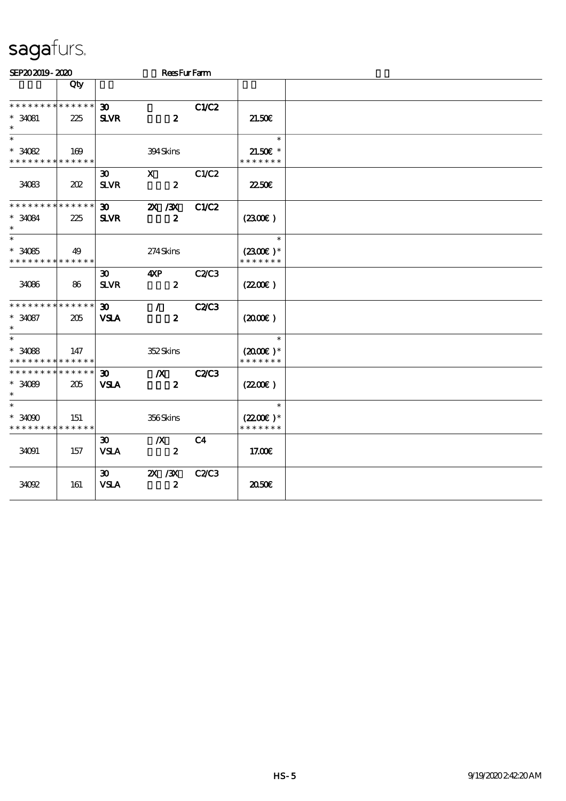| SEP202019-2020                             |     |                             | <b>ReesFurFarm</b> |                |                      |  |
|--------------------------------------------|-----|-----------------------------|--------------------|----------------|----------------------|--|
|                                            | Qty |                             |                    |                |                      |  |
| * * * * * * * * * * * * * *                |     | $\boldsymbol{\mathfrak{D}}$ |                    | <b>C1/C2</b>   |                      |  |
| $* 34081$<br>$\ast$                        | 225 | <b>SLVR</b>                 | $\boldsymbol{z}$   |                | 21.50E               |  |
| $\overline{\ast}$                          |     |                             |                    |                | $\ast$               |  |
| $*3082$                                    | 169 |                             | 394Skins           |                | $21.50$ $\epsilon$ * |  |
| * * * * * * * * * * * * * *                |     |                             |                    |                | * * * * * * *        |  |
|                                            |     | $\boldsymbol{\mathfrak{D}}$ | $\mathbf{x}$       | C1/C2          |                      |  |
| 34083                                      | 202 | <b>SLVR</b>                 | $\boldsymbol{z}$   |                | 2250E                |  |
| * * * * * * * * * * * * * *                |     | $\boldsymbol{\mathfrak{D}}$ | 2X / 3X            | <b>C1/C2</b>   |                      |  |
| $* 34084$<br>$\ast$                        | 225 | <b>SLVR</b>                 | $\boldsymbol{z}$   |                | (2300)               |  |
| $\ast$                                     |     |                             |                    |                | $\ast$               |  |
| $*34085$                                   | 49  |                             | 274Skins           |                | $(2300)$ *           |  |
| * * * * * * * * * * * * * *                |     |                             |                    |                | * * * * * * *        |  |
|                                            |     | 30 <sup>2</sup>             | 4XP                | <b>C2/C3</b>   |                      |  |
| 34086                                      | 86  | $S\!L\!V\!R$                | $\boldsymbol{z}$   |                | (220E)               |  |
| * * * * * * * * * * * * * *                |     | $\boldsymbol{\mathfrak{D}}$ | $\mathcal{T}$      | <b>C2C3</b>    |                      |  |
| $* 34087$<br>$\ast$                        | 205 | <b>VSLA</b>                 | $\boldsymbol{z}$   |                | $(2000\varepsilon)$  |  |
| $\ast$                                     |     |                             |                    |                | $\ast$               |  |
| $* 34088$                                  | 147 |                             | 352Skins           |                | $(2000\varepsilon)*$ |  |
| * * * * * * * * <mark>* * * * * * *</mark> |     |                             |                    |                | * * * * * * *        |  |
| * * * * * * * * * * * * * *                |     | $\boldsymbol{\mathfrak{D}}$ | $\boldsymbol{X}$   | <b>C2/C3</b>   |                      |  |
| $*3089$                                    | 205 | <b>VSLA</b>                 | $\boldsymbol{z}$   |                | (220)                |  |
| $\ast$                                     |     |                             |                    |                |                      |  |
| $\ast$                                     |     |                             |                    |                | $\ast$               |  |
| $*3000$                                    | 151 |                             | 356Skins           |                | $(2200)$ *           |  |
| * * * * * * * * * * * * * *                |     |                             |                    |                | * * * * * * *        |  |
|                                            |     | $\boldsymbol{\mathfrak{D}}$ | $\boldsymbol{X}$   | C <sub>4</sub> |                      |  |
| 34091                                      | 157 | <b>VSLA</b>                 | $\boldsymbol{z}$   |                | 17.00E               |  |
|                                            |     | $\boldsymbol{\mathfrak{D}}$ | 2X / 3X            | <b>C2/C3</b>   |                      |  |
| 34092                                      | 161 | <b>VSLA</b>                 | $\boldsymbol{z}$   |                | 2050€                |  |
|                                            |     |                             |                    |                |                      |  |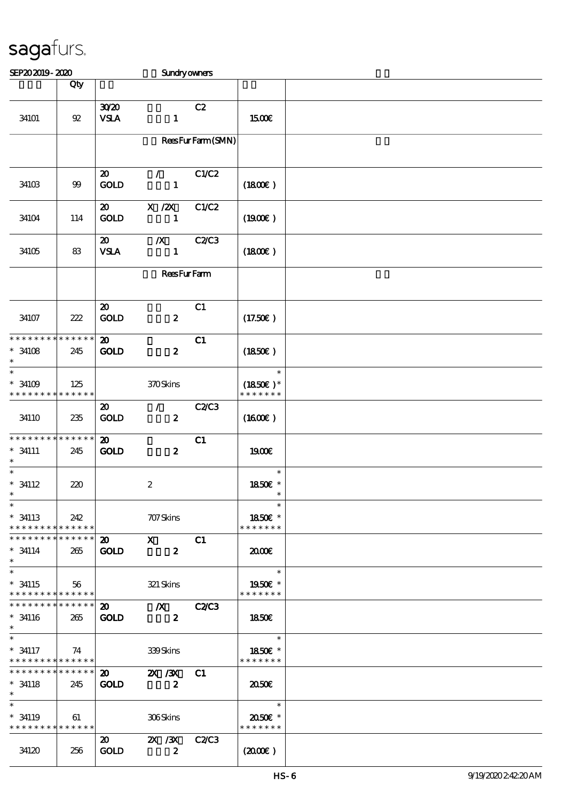| SEP202019-2020                                       |        |                                            | <b>Sundryowners</b>                           |                  |                                                      |  |
|------------------------------------------------------|--------|--------------------------------------------|-----------------------------------------------|------------------|------------------------------------------------------|--|
|                                                      | Qty    |                                            |                                               |                  |                                                      |  |
| 34101                                                | $92\,$ | 3020<br><b>VSLA</b>                        | $\mathbf{1}$                                  | C2               | 1500€                                                |  |
|                                                      |        |                                            |                                               | ReesFurFarm(SMN) |                                                      |  |
| 34103                                                | $99$   | $\boldsymbol{\mathfrak{D}}$<br>GOLD        | $\mathcal{L}$<br>$\mathbf{1}$                 | C1/C2            | (1800)                                               |  |
| 34104                                                | 114    | $\boldsymbol{\mathsf{20}}$<br>GOLD         | $X$ / $ZX$<br>1                               | C1/C2            | (1900)                                               |  |
| 34105                                                | 83     | $\boldsymbol{\mathfrak{D}}$<br><b>VSLA</b> | $\boldsymbol{X}$<br>$\mathbf{1}$              | C2/C3            | (1800)                                               |  |
|                                                      |        | <b>ReesFurFarm</b>                         |                                               |                  |                                                      |  |
| 34107                                                | 222    | $\boldsymbol{\mathsf{20}}$<br><b>GOLD</b>  | $\boldsymbol{z}$                              | C1               | (17.50)                                              |  |
| * * * * * * * * * * * * * *<br>$* 34108$<br>$\ast$   | 245    | $\boldsymbol{\mathfrak{D}}$<br><b>GOLD</b> | $\boldsymbol{z}$                              | C1               | (1850)                                               |  |
| $\ast$<br>$*34109$<br>* * * * * * * * * * * * * *    | 125    |                                            | 370Skins                                      |                  | $\ast$<br>$(1850)$ *<br>* * * * * * *                |  |
| 34110                                                | 235    | $\boldsymbol{\mathfrak{D}}$<br><b>GOLD</b> | $\mathcal{F}$<br>$\boldsymbol{z}$             | C2/C3            | $(1600\varepsilon)$                                  |  |
| * * * * * * * * * * * * * *<br>$* 34111$<br>$\ast$   | 245    | $\boldsymbol{\mathbf{z}}$<br>GOLD          | $\boldsymbol{z}$                              | C1               | 1900E                                                |  |
| $\ast$<br>$*$ 34112<br>$\ast$                        | 220    |                                            | $\boldsymbol{2}$                              |                  | $\ast$<br>1850E *                                    |  |
| $\ast$<br>$* 34113$<br>* * * * * * * * * * * * * *   | 242    |                                            | 707 Skins                                     |                  | $\ast$<br>1850€ *<br>* * * * * * *                   |  |
| ******** <mark>******</mark><br>$*$ 34114<br>$\ast$  | 265    | $\boldsymbol{\mathsf{20}}$<br><b>GOLD</b>  | $\boldsymbol{\mathrm{X}}$<br>$\boldsymbol{z}$ | C1               | 2000                                                 |  |
| $\ast$<br>$* 34115$<br>* * * * * * * * * * * * * * * | 56     |                                            | 321 Skins                                     |                  | $\ast$<br>1950E *<br>* * * * * * *                   |  |
| * * * * * * * * * * * * * * *<br>$* 34116$<br>$\ast$ | 265    | $\boldsymbol{\mathfrak{D}}$<br><b>GOLD</b> | $\chi$ C2/C3<br>$\boldsymbol{z}$              |                  | 1850E                                                |  |
| $\ast$<br>$* 34117$<br>* * * * * * * * * * * * * *   | 74     |                                            | $339\mathrm{S}$ kins                          |                  | $\overline{\phantom{a}}$<br>1850€ *<br>* * * * * * * |  |
| * * * * * * * * * * * * * * *<br>$* 34118$<br>$\ast$ | 245    | $\boldsymbol{\mathfrak{D}}$<br><b>GOLD</b> | 2X / 3X C1<br>$\overline{\mathbf{2}}$         |                  | 2050E                                                |  |
| $\ast$<br>$*$ 34119<br>* * * * * * * * * * * * * *   | 61     |                                            | 306Skins                                      |                  | $\ast$<br>2050E *<br>* * * * * * *                   |  |
| 34120                                                | 256    | $\boldsymbol{\mathfrak{D}}$<br><b>GOLD</b> | 2X / 3X C2/C3<br>$\boldsymbol{z}$             |                  | (200E)                                               |  |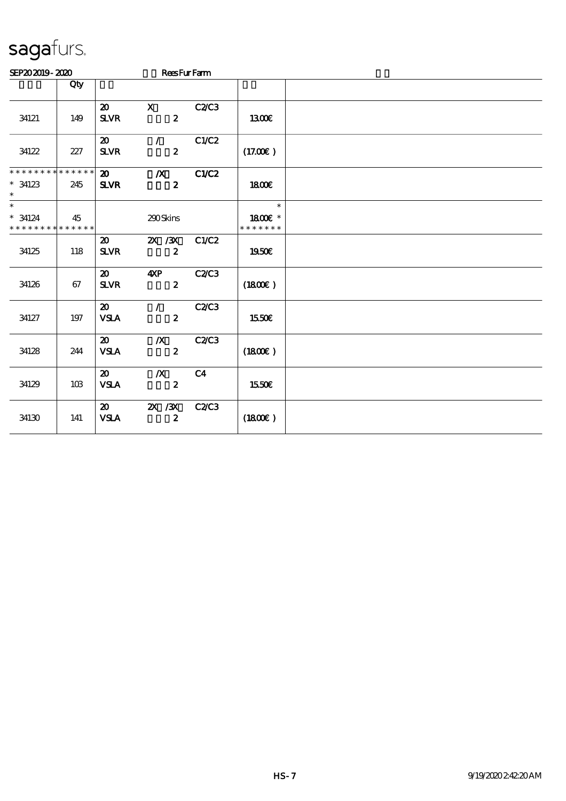| SEP202019-2020                                     |     |                                                         | <b>ReesFurFarm</b>                   |                |                                    |  |
|----------------------------------------------------|-----|---------------------------------------------------------|--------------------------------------|----------------|------------------------------------|--|
|                                                    | Qty |                                                         |                                      |                |                                    |  |
| 34121                                              | 149 | $\boldsymbol{\mathfrak{D}}$<br><b>SLVR</b>              | $\mathbf x$<br>$\boldsymbol{z}$      | C2/C3          | 1300€                              |  |
| 34122                                              | 227 | $\boldsymbol{\mathfrak{D}}$<br><b>SLVR</b>              | $\mathcal{L}$<br>$\boldsymbol{z}$    | C1/C2          | (17.00)                            |  |
| * * * * * * * * * * * * * *<br>$*34123$<br>$\ast$  | 245 | $\boldsymbol{\mathsf{a}}$<br><b>SLVR</b>                | $\boldsymbol{X}$<br>$\boldsymbol{z}$ | C1/C2          | 1800E                              |  |
| $\ast$<br>$* 34124$<br>* * * * * * * * * * * * * * | 45  |                                                         | 290Skins                             |                | $\ast$<br>1800E *<br>* * * * * * * |  |
| 34125                                              | 118 | $\boldsymbol{\mathfrak{D}}$<br>$S\!L\!VR$               | 2X / 3X<br>$\boldsymbol{2}$          | C1/C2          | 1950€                              |  |
| 34126                                              | 67  | $\boldsymbol{\mathfrak{D}}$<br>${\bf S\!L}\!{\bf V\!R}$ | 4XP<br>$\boldsymbol{z}$              | C2C3           | (1800)                             |  |
| 34127                                              | 197 | $\boldsymbol{\mathfrak{D}}$<br><b>VSLA</b>              | $\mathcal{L}$<br>$\boldsymbol{z}$    | C2C3           | 1550€                              |  |
| 34128                                              | 244 | 20<br><b>VSLA</b>                                       | $\boldsymbol{X}$<br>$\boldsymbol{z}$ | <b>C2/C3</b>   | (1800E)                            |  |
| 34129                                              | 10B | $\boldsymbol{\mathfrak{D}}$<br><b>VSLA</b>              | $\boldsymbol{X}$<br>$\boldsymbol{z}$ | C <sub>4</sub> | 1550€                              |  |
| 34130                                              | 141 | $\boldsymbol{\mathfrak{D}}$<br><b>VSLA</b>              | $\chi$ / $\chi$<br>$\boldsymbol{z}$  | C2C3           | (1800)                             |  |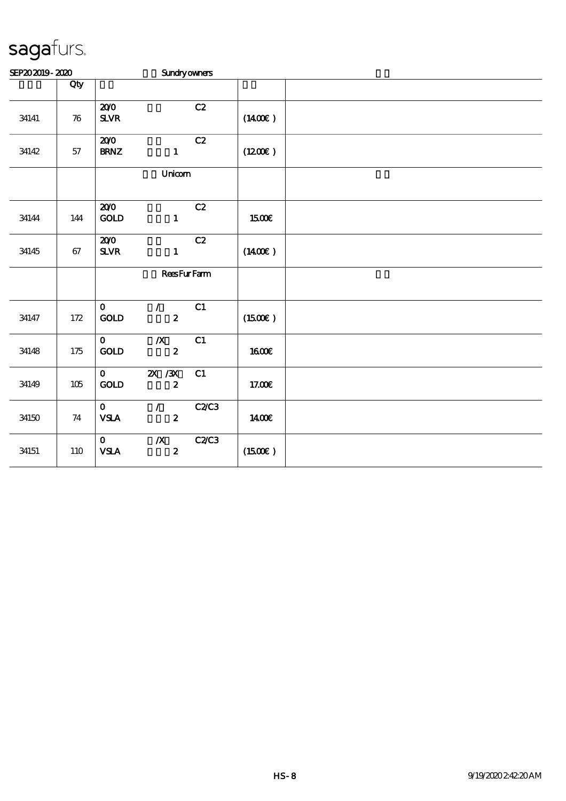| SEP202019-2020 |                    |                                    | <b>Sundryowners</b>                  |      |                     |  |  |  |  |  |
|----------------|--------------------|------------------------------------|--------------------------------------|------|---------------------|--|--|--|--|--|
|                | Qty                |                                    |                                      |      |                     |  |  |  |  |  |
| 34141          | $\boldsymbol{\pi}$ | 200<br>${\bf S\!L}\!{\bf V\!R}$    |                                      | C2   | $(1400\varepsilon)$ |  |  |  |  |  |
| 34142          | $5\!7$             | 200<br><b>BRNZ</b>                 | $\mathbf{1}$                         | C2   | (1200E)             |  |  |  |  |  |
|                |                    |                                    | Unicom                               |      |                     |  |  |  |  |  |
| 34144          | 144                | 200<br>GOLD                        | $\mathbf{1}$                         | C2   | 1500€               |  |  |  |  |  |
| 34145          | 67                 | 200<br><b>SLVR</b>                 | $\mathbf{1}$                         | C2   | $(1400\varepsilon)$ |  |  |  |  |  |
|                |                    |                                    | <b>ReesFurFarm</b>                   |      |                     |  |  |  |  |  |
| 34147          | 172                | $\mathbf{o}$<br>GOD                | $\mathcal{L}$<br>$\boldsymbol{z}$    | C1   | (1500E)             |  |  |  |  |  |
| 34148          | $175\,$            | $\mathbf{O}$<br>$\mathop{\rm GOD}$ | $\boldsymbol{X}$<br>$\boldsymbol{z}$ | C1   | 1600E               |  |  |  |  |  |
| 34149          | $105\,$            | $\mathbf{O}$<br>GOLD               | $2X$ / $3X$<br>$\boldsymbol{z}$      | C1   | 17.00E              |  |  |  |  |  |
| 34150          | 74                 | $\mathbf{O}$<br>${\bf VSA}$        | $\mathcal{L}$<br>$\boldsymbol{z}$    | C2C3 | 1400€               |  |  |  |  |  |
| 34151          | 110                | $\mathbf{O}$<br><b>VSLA</b>        | $\pmb{X}$<br>$\boldsymbol{2}$        | C2C3 | (1500E)             |  |  |  |  |  |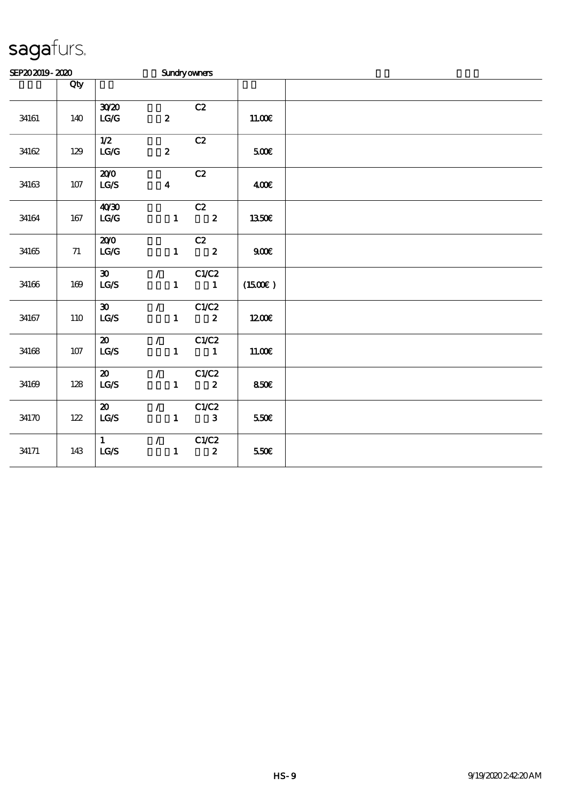| SEP202019-2020 |            |                                                                  |                               | <b>Sundryowners</b>           |         |  |  |  |  |  |
|----------------|------------|------------------------------------------------------------------|-------------------------------|-------------------------------|---------|--|--|--|--|--|
|                | Qty        |                                                                  |                               |                               |         |  |  |  |  |  |
| 34161          | 140        | 3020<br>$\mathbf{L}\mathbf{C}\mathbf{C}$                         | $\boldsymbol{z}$              | C2                            | 11.00E  |  |  |  |  |  |
| 34162          | 129        | 1/2<br>LG/G                                                      | $\boldsymbol{z}$              | C2                            | 500E    |  |  |  |  |  |
| 34163          | $107$      | 200<br>$\mathbf{LG}\mathbf{\mathcal{S}}$                         | $\boldsymbol{4}$              | C2                            | 400€    |  |  |  |  |  |
| 34164          | 167        | 40'30<br>LG/G                                                    | $\mathbf{1}$                  | C2<br>$\overline{\mathbf{2}}$ | 1350€   |  |  |  |  |  |
| 34165          | $71\,$     | 200<br>$\mathbf{LG}\mathbf{G}$                                   | $\mathbf{1}$                  | C2<br>$\overline{\mathbf{2}}$ | 900E    |  |  |  |  |  |
| 34166          | 169        | $\boldsymbol{\mathfrak{D}}$<br>LG/S                              | $\mathcal{L}$<br>$\mathbf{1}$ | C1/C2<br>$\blacksquare$       | (1500E) |  |  |  |  |  |
| 34167          | <b>110</b> | $\boldsymbol{\mathfrak{D}}$<br>$\mathbf{L}\mathbf{C} \mathbf{S}$ | $\mathcal{L}$<br>$\mathbf{1}$ | C1/C2<br>$\boldsymbol{z}$     | 1200E   |  |  |  |  |  |
| $34168\,$      | 107        | $\boldsymbol{\mathfrak{D}}$<br>LG/S                              | $\mathcal{L}$<br>$\mathbf{1}$ | C1/C2<br>$\mathbf{1}$         | 11.00E  |  |  |  |  |  |
| 34169          | 128        | $\boldsymbol{\omega}$<br>$\mathbf{LG}\mathcal{S}$                | $\mathcal{L}$<br>$\mathbf{1}$ | C1/C2<br>$\boldsymbol{z}$     | 850E    |  |  |  |  |  |
| 34170          | 122        | $\boldsymbol{\mathfrak{D}}$<br>LCS                               | $\mathcal{L}$<br>$\mathbf{1}$ | C1/C2<br>$\mathbf{3}$         | 550€    |  |  |  |  |  |
| 34171          | 143        | $\mathbf{1}$<br>LG/S                                             | $\mathcal{L}$<br>$\mathbf{1}$ | C1/C2<br>$\boldsymbol{z}$     | 550E    |  |  |  |  |  |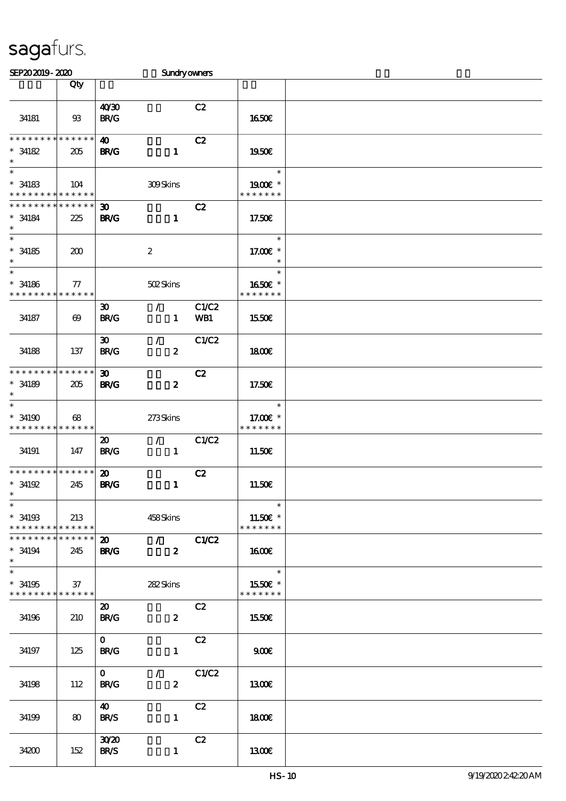| SEP202019-2020                                                   |                       |                                            | <b>Sundryowners</b>               |              |                                                  |  |
|------------------------------------------------------------------|-----------------------|--------------------------------------------|-----------------------------------|--------------|--------------------------------------------------|--|
|                                                                  | Qty                   |                                            |                                   |              |                                                  |  |
| 34181                                                            | $93$                  | 40 <sup>20</sup><br><b>BR/G</b>            |                                   | C2           | <b>1650€</b>                                     |  |
| * * * * * * * *<br>$*34182$<br>$\ast$                            | * * * * * *<br>205    | $\boldsymbol{\omega}$<br><b>BR/G</b>       | $\mathbf{1}$                      | C2           | 1950E                                            |  |
| $\ast$<br>$* 34183$<br>* * * * * * * * <mark>* * * * * *</mark>  | 104                   |                                            | <b>309Skins</b>                   |              | $\ast$<br>1900E *<br>* * * * * * *               |  |
| * * * * * * * *<br>$* 34184$<br>$\ast$                           | * * * * * *<br>225    | 30 <sub>o</sub><br><b>BR/G</b>             | $\mathbf{1}$                      | C2           | 17.50E                                           |  |
| $\overline{\phantom{0}}$<br>$* 34185$<br>$\ast$                  | 200                   |                                            | $\boldsymbol{2}$                  |              | $\ast$<br>17.00€ *<br>$\ast$                     |  |
| $\ast$<br>$^\ast$ 34186<br>* * * * * * * * * * * * * *           | ${\bf \tau}$          |                                            | 502Skins                          |              | $\ast$<br>1650E *<br>* * * * * * *               |  |
| 34187                                                            | $\boldsymbol{\omega}$ | $\boldsymbol{\mathfrak{D}}$<br><b>BR/G</b> | $\mathcal{L}$<br>$\mathbf{1}$     | C1/C2<br>WB1 | 1550€                                            |  |
| 34188                                                            | 137                   | 30 <sub>o</sub><br><b>BR/G</b>             | $\mathcal{T}$<br>$\boldsymbol{z}$ | C1/C2        | 1800E                                            |  |
| * * * * * * * *<br>$* 34189$<br>$\ast$                           | * * * * * *<br>205    | $\boldsymbol{\mathfrak{D}}$<br><b>BR/G</b> | $\boldsymbol{z}$                  | C2           | 17.50€                                           |  |
| $\ast$<br>$*34190$<br>* * * * * * * * <mark>* * * * * * *</mark> | 68                    |                                            | 273Skins                          |              | $\ast$<br>17.00€ *<br>* * * * * * *              |  |
| 34191                                                            | 147                   | $\boldsymbol{\mathfrak{D}}$<br><b>BR/G</b> | $\mathcal{L}$<br>$\mathbf{1}$     | C1/C2        | 11.50€                                           |  |
| * * * * * * * * * * * * * *<br>$*$ 34192<br>$*$                  | 245                   | $\boldsymbol{\mathfrak{D}}$<br><b>BR/G</b> | $\mathbf{1}$                      | C2           | 11.50E                                           |  |
| $\ast$<br>$*$ 34193<br>* * * * * * * * <mark>* * * * * *</mark>  | 213                   |                                            | 458Skins                          |              | $\ast$<br>11.50 $\varepsilon$ *<br>* * * * * * * |  |
| * * * * * * * *<br>$* 34194$<br>$\ast$                           | * * * * * *<br>245    | <b>BR/G</b>                                | 20 / C1/C2<br>$\mathbf{2}$        |              | $1600$ $\varepsilon$                             |  |
| $\overline{\ast}$<br>$* 34195$<br>* * * * * * * * * * * * * *    | 37                    |                                            | 282Skins                          |              | $\ast$<br>1550E *<br>* * * * * * *               |  |
| 34196                                                            | 210                   | $\boldsymbol{\mathfrak{D}}$<br><b>BR/G</b> | $\boldsymbol{2}$                  | C2           | 1550€                                            |  |
| 34197                                                            | 125                   | $\mathbf{O}$<br><b>BR/G</b>                | $\mathbf{1}$                      | C2           | 900                                              |  |
| 34198                                                            | 112                   | $\mathbf{O}$<br><b>BR/G</b>                | $\mathcal{L}$<br>$\boldsymbol{z}$ | C1/C2        | 1300                                             |  |
| 34199                                                            | 80                    | 40<br><b>BR/S</b>                          | $\mathbf{1}$                      | C2           | 1800E                                            |  |
| 34200                                                            | 152                   | 30 <sup>20</sup><br><b>BR/S</b>            | $\mathbf{1}$                      | C2           | 1300                                             |  |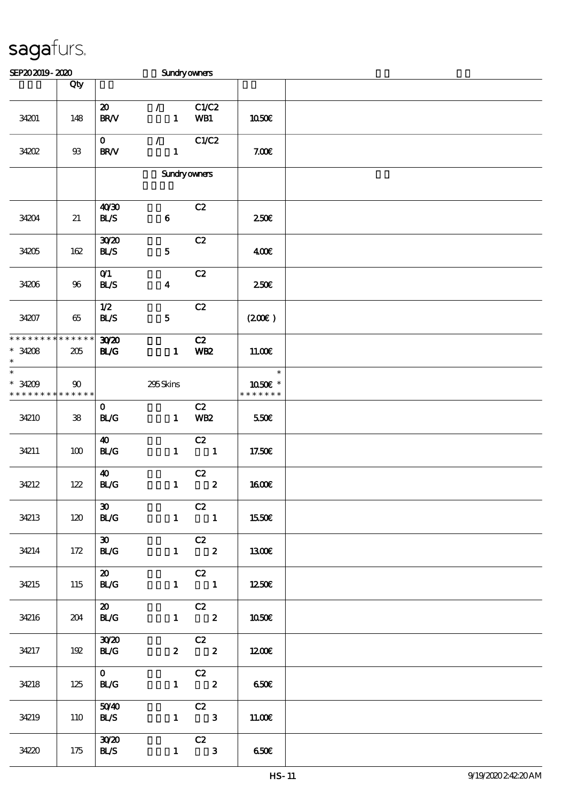| SEP202019-2020                                    |            |                                                    | <b>Sundryowners</b>           |                                               |                                    |  |
|---------------------------------------------------|------------|----------------------------------------------------|-------------------------------|-----------------------------------------------|------------------------------------|--|
|                                                   | Qty        |                                                    |                               |                                               |                                    |  |
| 34201                                             | 148        | $\boldsymbol{\mathfrak{D}}$<br>$\text{BR}\text{V}$ | $\mathcal{L}$<br>$\mathbf{1}$ | C1/C2<br>WB1                                  | 1050€                              |  |
| 34202                                             | $9\!\!3$   | $\mathbf{O}$<br>BR/V                               | $\mathcal{L}$<br>$\mathbf{1}$ | C1/C2                                         | 7.00E                              |  |
|                                                   |            |                                                    | <b>Sundryowners</b>           |                                               |                                    |  |
| 34204                                             | 21         | 40'30<br><b>BL/S</b>                               | $\bf 6$                       | C2                                            | 250E                               |  |
| 34205                                             | 162        | 3020<br><b>BL/S</b>                                | ${\bf 5}$                     | C2                                            | 400                                |  |
| 34206                                             | 96         | O(1)<br>BLS                                        | $\boldsymbol{4}$              | C2                                            | 250 <sup>2</sup>                   |  |
| 34207                                             | 65         | 1/2<br>BLS                                         | $\mathbf{5}$                  | C2                                            | (200)                              |  |
| * * * * * * * * * * * * * *<br>$*34208$<br>$\ast$ | 205        | 3020<br><b>BL/G</b>                                | $\mathbf{1}$                  | C2<br><b>WB2</b>                              | 11.00E                             |  |
| $\ast$<br>$*34209$<br>* * * * * * * * * * * * * * | 90         |                                                    | 295Skins                      |                                               | $\ast$<br>1050E *<br>* * * * * * * |  |
| 34210                                             | ${\bf 38}$ | $\mathbf{O}$<br><b>BL/G</b>                        | $\mathbf{1}$                  | C2<br><b>WB2</b>                              | 550€                               |  |
| 34211                                             | 100        | $\boldsymbol{\omega}$<br>BLG                       | $\mathbf{1}$                  | C2<br>$\overline{\phantom{a}}$                | 17.50€                             |  |
| 34212                                             | 122        | 40<br>BLG                                          | $\mathbf{1}$                  | C2<br>$\boldsymbol{2}$                        | <b>1600€</b>                       |  |
| 34213                                             | 120        | $\boldsymbol{\mathfrak{D}}$<br><b>BL/G</b>         |                               | C2<br>$1 \qquad \qquad 1$                     | 1550€                              |  |
| 34214                                             | 172        | $\infty$<br><b>BL/G</b>                            |                               | $\overline{C}2$<br>$1 \t 2$                   | 1300E                              |  |
| 34215                                             | 115        | $\boldsymbol{\mathfrak{D}}$<br>BLG                 |                               | C2<br>$1 \quad 1$                             | 1250€                              |  |
| 34216                                             | 204        | $\boldsymbol{\mathfrak{D}}$<br><b>BL/G</b>         |                               | C2<br>$1 \t 2$                                | 1050€                              |  |
| 34217                                             | 192        | 30 <sup>20</sup><br>BLG                            |                               | $\begin{array}{cc} & C2 \\ 2 & 2 \end{array}$ | 1200                               |  |
| 34218                                             | 125        | $\mathbf{O}$<br><b>BL/G</b>                        |                               | $\begin{array}{cc} & c2 \\ 1 & 2 \end{array}$ | 650€                               |  |
| 34219                                             | 110        | 5040<br><b>BL/S</b>                                |                               | C2<br>$1 \qquad 3$                            | 11.00E                             |  |
| 34220                                             | 175        | 30 <sup>2</sup><br><b>BLS</b>                      | $\mathbf{1}$                  | C2<br>$\overline{\mathbf{3}}$                 | 650                                |  |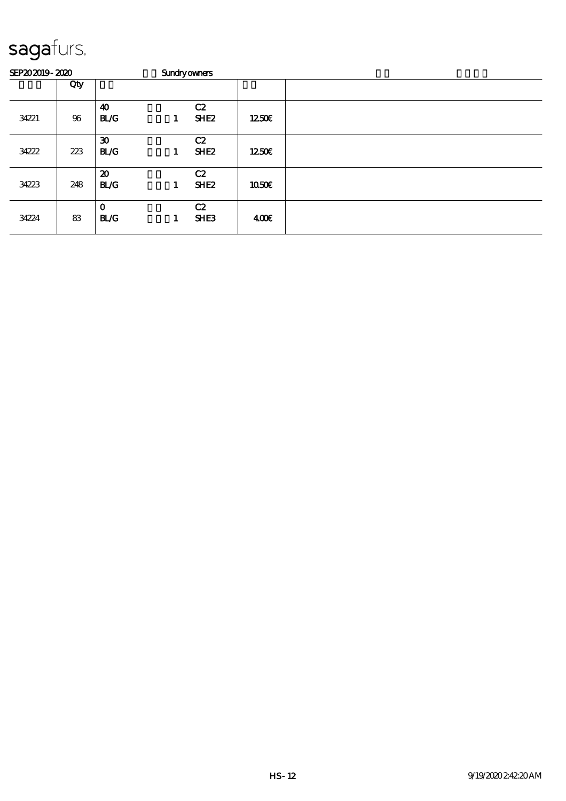| SEP202019-2020 |     | <b>Sundryowners</b>                        |   |                        |              |  |  |  |
|----------------|-----|--------------------------------------------|---|------------------------|--------------|--|--|--|
|                | Qty |                                            |   |                        |              |  |  |  |
| 34221          | 96  | $\boldsymbol{\omega}$<br><b>BL/G</b>       | 1 | C2<br>SHE <sub>2</sub> | 1250E        |  |  |  |
| 34222          | 223 | $\boldsymbol{\mathfrak{D}}$<br><b>BL/G</b> | 1 | C2<br>SHE <sub>2</sub> | 1250         |  |  |  |
| 34223          | 248 | $\boldsymbol{\mathfrak{D}}$<br><b>BL/G</b> | 1 | C2<br>SHE <sub>2</sub> | <b>1050€</b> |  |  |  |
| 34224          | 83  | $\mathbf 0$<br><b>BL/G</b>                 | 1 | C2<br>SHE <sub>3</sub> | 400          |  |  |  |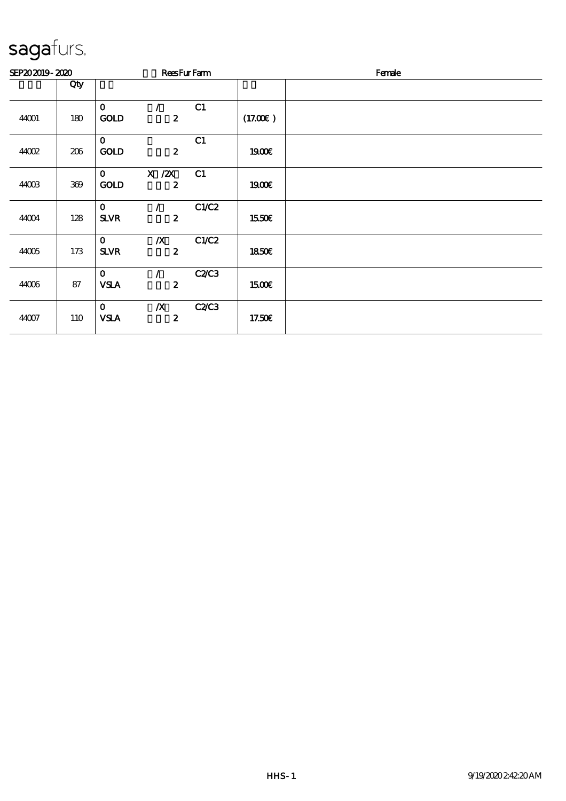| SEP202019-2020 |     |                             |                                      | <b>ReesFurFarm</b> |              | Female |  |  |
|----------------|-----|-----------------------------|--------------------------------------|--------------------|--------------|--------|--|--|
|                | Qty |                             |                                      |                    |              |        |  |  |
| 44001          | 180 | $\mathbf{O}$<br><b>GOLD</b> | $\mathcal{L}$<br>$\boldsymbol{z}$    | C1                 | (17.00)      |        |  |  |
| 4002           | 206 | $\mathbf 0$<br><b>GOLD</b>  | $\boldsymbol{z}$                     | C1                 | 1900E        |        |  |  |
| 44003          | 369 | $\mathbf{O}$<br><b>GOLD</b> | $X \, /ZX$<br>$\boldsymbol{z}$       | C1                 | 1900E        |        |  |  |
| 44004          | 128 | $\mathbf{o}$<br><b>SLVR</b> | $\mathcal{L}$<br>$\boldsymbol{z}$    | C1/C2              | 1550€        |        |  |  |
| 44005          | 173 | $\mathbf 0$<br><b>SLVR</b>  | $\boldsymbol{X}$<br>$\boldsymbol{z}$ | C1/C2              | <b>1850€</b> |        |  |  |
| 44006          | 87  | $\mathbf{O}$<br><b>VSLA</b> | $\mathcal{L}$<br>$\boldsymbol{z}$    | C2C3               | <b>1500€</b> |        |  |  |
| 44007          | 110 | $\mathbf{O}$<br><b>VSLA</b> | $\boldsymbol{X}$<br>$\boldsymbol{z}$ | <b>C2/C3</b>       | 17.50E       |        |  |  |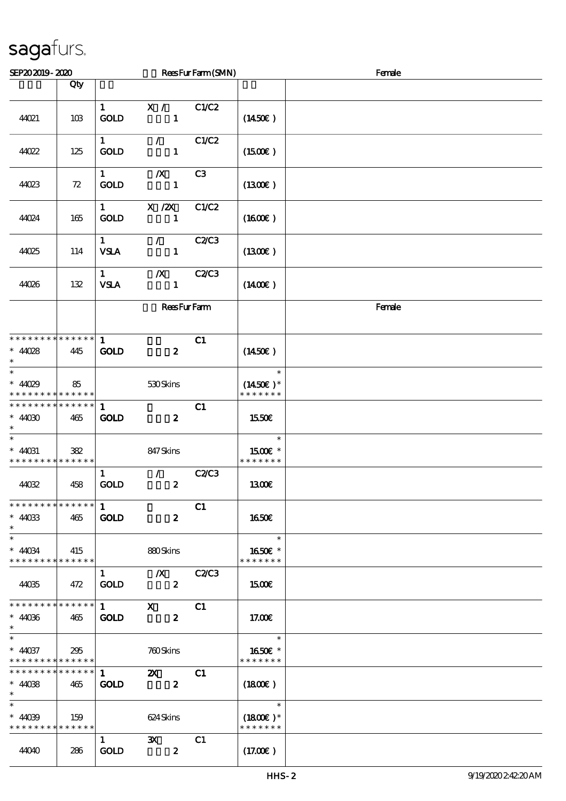| SEP202019-2020                                                              |     |                                       |                                             | ReesFurFarm(SMN) |                                       | Female |
|-----------------------------------------------------------------------------|-----|---------------------------------------|---------------------------------------------|------------------|---------------------------------------|--------|
|                                                                             | Qty |                                       |                                             |                  |                                       |        |
| 44021                                                                       | 10B | $\mathbf{1}$<br><b>GOLD</b>           | X /<br>$\mathbf{1}$                         | C1/C2            | $(1450\varepsilon)$                   |        |
| 44022                                                                       | 125 | $1 \quad \blacksquare$<br><b>GOLD</b> | $\mathcal{F}^{\mathcal{F}}$<br>$\mathbf{1}$ | C1/C2            | (1500)                                |        |
| 44023                                                                       | 72  | $1 \quad$<br><b>GOLD</b>              | $\boldsymbol{X}$<br>$\mathbf{1}$            | C <sub>3</sub>   | (1300)                                |        |
| 44024                                                                       | 165 | 1<br><b>GOLD</b>                      | X / ZX<br>$\mathbf{1}$                      | C1/C2            | $(1600\varepsilon)$                   |        |
| 44025                                                                       | 114 | $\mathbf{1}$<br><b>VSLA</b>           | $\mathcal{L}$<br>$\mathbf{1}$               | <b>C2/C3</b>     | (1300)                                |        |
| 44026                                                                       | 132 | $\mathbf{1}$<br><b>VSLA</b>           | $\boldsymbol{X}$<br>$\mathbf{1}$            | <b>C2/C3</b>     | $(1400\varepsilon)$                   |        |
|                                                                             |     |                                       | <b>ReesFurFam</b>                           |                  |                                       | Female |
| * * * * * * * * * * * * * *<br>$* 4028$<br>$\ast$                           | 445 | $\mathbf{1}$<br><b>GOLD</b>           | $\boldsymbol{z}$                            | C1               | (1450E)                               |        |
| $\overline{\ast}$<br>$* 4029$<br>* * * * * * * * <mark>* * * * * * *</mark> | 85  |                                       | 530Skins                                    |                  | $\ast$<br>$(1450E)*$<br>* * * * * * * |        |
| * * * * * * * * * * * * * *<br>$*4000$<br>$\ast$                            | 465 | $\mathbf{1}$<br><b>GOLD</b>           | $\boldsymbol{z}$                            | C1               | 1550€                                 |        |
| $\ast$<br>$*$ 44031<br>* * * * * * * * <mark>* * * * * * *</mark>           | 382 |                                       | 847 Skins                                   |                  | $\ast$<br>1500€ *<br>* * * * * * *    |        |
| 44032                                                                       | 458 | $\mathbf{1}$<br><b>GOLD</b>           | $\mathcal{F}$<br>$\boldsymbol{z}$           | <b>C2/C3</b>     | 1300€                                 |        |
| * * * * * * * * * * * * * *<br>$* 4003$<br>$\ast$                           | 465 | $\mathbf{1}$<br><b>GOLD</b>           | $\boldsymbol{z}$                            | C1               | 1650E                                 |        |
| $\ast$<br>$* 40034$<br>* * * * * * * * * * * * * *                          | 415 |                                       | 880Skins                                    |                  | $\ast$<br>1650€ *<br>* * * * * * *    |        |
| 44035                                                                       | 472 | $\mathbf{1}$<br><b>GOLD</b>           | $\mathbf{X}$<br>$\boldsymbol{z}$            | <b>C2/C3</b>     | 1500€                                 |        |
| * * * * * * * * * * * * * *<br>$* 4006$<br>$\ast$                           | 465 | $1 \quad \blacksquare$<br><b>GOLD</b> | $\mathbf{X}$<br>$\boldsymbol{z}$            | C1               | 17.00E                                |        |
| $\ast$<br>$* 4037$<br>* * * * * * * * * * * * * *                           | 295 |                                       | 760Skins                                    |                  | $\ast$<br>1650€ *<br>* * * * * * *    |        |
| * * * * * * * * * * * * * * *<br>$* 4008$<br>$\ast$                         | 465 | $\mathbf{1}$<br><b>GOLD</b>           | $\mathbf{z}$<br>$\boldsymbol{z}$            | C1               | $(1800\varepsilon)$                   |        |
| $\ast$<br>$* 4039$<br>* * * * * * * * * * * * * *                           | 159 |                                       | 624 Skins                                   |                  | $\ast$<br>$(1800E)*$<br>* * * * * * * |        |
| 44040                                                                       | 286 | $\mathbf{1}$<br><b>GOLD</b>           | $\mathbf{x}$<br>$\boldsymbol{z}$            | C1               | (17.00)                               |        |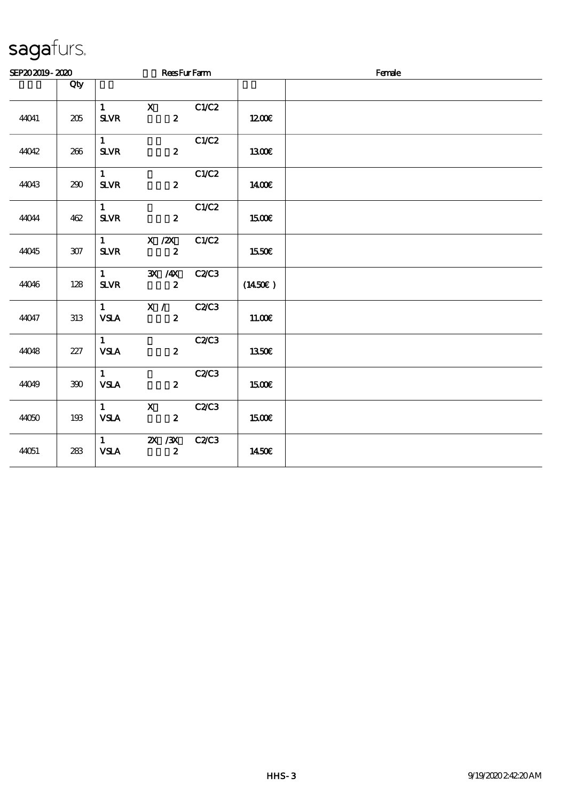|       | SEP202019-2020 |                                               |                                           | <b>ReesFurFarm</b> |         | Female |
|-------|----------------|-----------------------------------------------|-------------------------------------------|--------------------|---------|--------|
|       | Qty            |                                               |                                           |                    |         |        |
| 44041 | 205            | $\mathbf{1}$<br><b>SLVR</b>                   | $\mathbf{X}$<br>$\mathbf{2}$              | C1/C2              | 1200E   |        |
| 44042 | 266            | $1 \quad$<br>$S\!L\!V\!R$                     | $\mathbf{2}$                              | C1/C2              | 1300€   |        |
| 44043 | 290            | 1<br>${\bf S\!L}\!{\bf V\!R}$                 | $\mathbf{z}$                              | C1/C2              | 1400E   |        |
| 44044 | 462            | 1<br>${\bf S\!L}\!{\bf V\!R}$                 | $\boldsymbol{z}$                          | C1/C2              | 1500€   |        |
| 44045 | $307\,$        | $1 \qquad \qquad$<br>${\bf S\!L}\!{\bf V\!R}$ | $X$ / $ZX$<br>$\boldsymbol{2}$            | C1/C2              | 1550€   |        |
| 44046 | 128            | $1 \quad \blacksquare$<br>$S\!L\!V\!R$        | 3X /4X<br>$\boldsymbol{2}$                | <b>C2/C3</b>       | (1450E) |        |
| 44047 | 313            | $1 \quad \blacksquare$<br><b>VSLA</b>         | X / C2C3<br>$\mathbf{z}$                  |                    | 11.00E  |        |
| 44048 | 227            | 1<br><b>VSLA</b>                              | $\mathbf{2}$                              | <b>C2/C3</b>       | 1350E   |        |
| 44049 | 300            | 1<br><b>VSLA</b>                              | $\mathbf{z}$                              | <b>C2C3</b>        | 1500€   |        |
| 44050 | 193            | $1 \quad \blacksquare$<br><b>VSLA</b>         | $\mathbf{X}$<br>$\boldsymbol{2}$          | <b>C2/C3</b>       | 1500€   |        |
| 44051 | 283            | <b>VSLA</b>                                   | $\overline{1}$ 2X /3X<br>$\boldsymbol{z}$ | <b>C2/C3</b>       | 1450E   |        |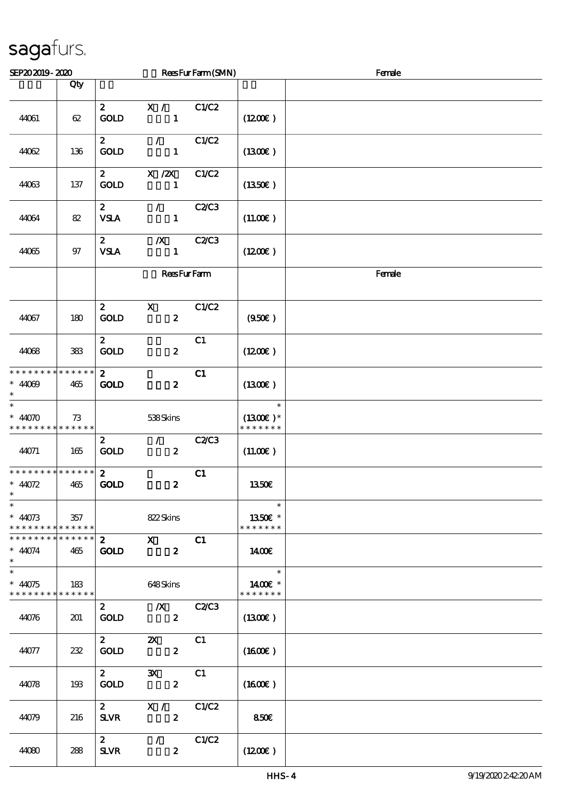| SEP202019-2020                                                   |     |                                 |                                               | ReesFurFarm(SMN) |                                        | Female |
|------------------------------------------------------------------|-----|---------------------------------|-----------------------------------------------|------------------|----------------------------------------|--------|
|                                                                  | Qty |                                 |                                               |                  |                                        |        |
| 44061                                                            | 62  | $\mathbf{z}$<br><b>GOLD</b>     | X /<br>$\mathbf{1}$                           | C1/C2            | $(1200\varepsilon)$                    |        |
| 44062                                                            | 136 | $\mathbf{z}$<br><b>GOLD</b>     | $\mathcal{L}$<br>$\mathbf{1}$                 | C1/C2            | (1300)                                 |        |
| 44063                                                            | 137 | 2 <sup>7</sup><br><b>GOLD</b>   | X / ZX<br>$\mathbf{1}$                        | C1/C2            | (1350E)                                |        |
| 44064                                                            | 82  | $\mathbf{z}$<br><b>VSLA</b>     | $\mathcal{L}$<br>$\mathbf{1}$                 | <b>C2/C3</b>     | (11.00)                                |        |
| 44065                                                            | 97  | $\mathbf{z}$<br><b>VSLA</b>     | $\boldsymbol{X}$<br>$\mathbf{1}$              | C2C3             | (1200E)                                |        |
|                                                                  |     |                                 | <b>ReesFurFarm</b>                            |                  |                                        | Female |
| 44067                                                            | 180 | $\boldsymbol{z}$<br><b>GOLD</b> | $\mathbf{x}$<br>$\boldsymbol{z}$              | C1/C2            | (950)                                  |        |
| 44068                                                            | 383 | $\mathbf{2}$<br><b>GOLD</b>     | $\boldsymbol{2}$                              | C1               | (1200E)                                |        |
| * * * * * * * * * * * * * *<br>$* 4009$<br>$\ast$                | 465 | $\mathbf{2}$<br><b>GOLD</b>     | $\boldsymbol{z}$                              | C1               | (1300)                                 |        |
| $\ast$<br>$* 4070$<br>* * * * * * * * * * * * * *                | 73  |                                 | 538Skins                                      |                  | $\ast$<br>$(1300E)^*$<br>* * * * * * * |        |
| 44071                                                            | 165 | $\mathbf{2}$<br><b>GOLD</b>     | $\mathcal{L}$<br>$\boldsymbol{2}$             | C2C3             | (11.00)                                |        |
| * * * * * * * * * * * * * *<br>$* 4072$<br>$\ast$                | 465 | $\mathbf{z}$<br>GOLD            | $\boldsymbol{z}$                              | C1               | 1350€                                  |        |
| $\ast$<br>$* 4073$<br>* * * * * * * * * * * * * *                | 357 |                                 | 822Skins                                      |                  | $\ast$<br>1350E *<br>* * * * * * *     |        |
| * * * * * * * * <mark>* * * * * * *</mark><br>$* 4074$<br>$\ast$ | 465 | $\mathbf{2}$<br><b>GOLD</b>     | $\mathbf{X}$<br>$\boldsymbol{z}$              | C1               | 1400E                                  |        |
| $\ast$<br>$* 4075$<br>* * * * * * * * * * * * * *                | 183 |                                 | 648Skins                                      |                  | $\ast$<br>1400€ *<br>* * * * * * *     |        |
| 44076                                                            | 201 | $\mathbf{2}$<br><b>GOLD</b>     | $\mathbb{Z}_{X}$<br>$\boldsymbol{z}$          | <b>C2/C3</b>     | (1300)                                 |        |
| 44077                                                            | 232 | $\mathbf{2}$<br><b>GOLD</b>     | $\boldsymbol{\mathsf{Z}}$<br>$\boldsymbol{z}$ | C1               | (1600E)                                |        |
| 44078                                                            | 198 | $\mathbf{2}$<br><b>GOLD</b>     | $\mathbf{x}$<br>$\boldsymbol{z}$              | C1               | $(1600\varepsilon)$                    |        |
| 44079                                                            | 216 | $\mathbf{2}$<br><b>SLVR</b>     | X /<br>$\boldsymbol{z}$                       | C1/C2            | 850€                                   |        |
| 44080                                                            | 288 | $\mathbf{2}$<br><b>SLVR</b>     | $\mathcal{F}$<br>$\boldsymbol{z}$             | C1/C2            | (1200E)                                |        |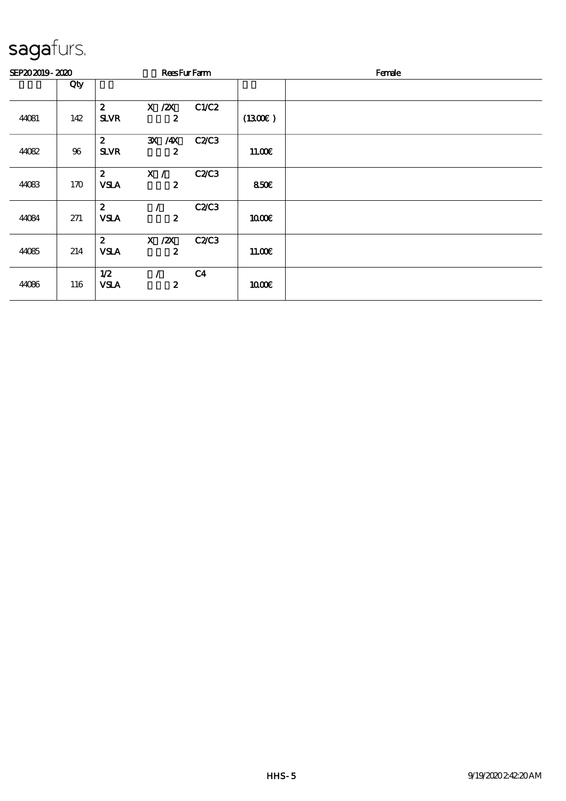| SEP202019-2020 |        |                                 | <b>ReesFurFarm</b>             |                |         | Female |
|----------------|--------|---------------------------------|--------------------------------|----------------|---------|--------|
|                | Qty    |                                 |                                |                |         |        |
| 44081          | 142    | $\boldsymbol{z}$<br><b>SLVR</b> | $X$ / $ZX$<br>$\boldsymbol{z}$ | C1/C2          | (1300E) |        |
| 44082          | $96\,$ | $\boldsymbol{z}$<br><b>SLVR</b> | 3X /4X<br>$\boldsymbol{z}$     | <b>C2/C3</b>   | 11.00E  |        |
| 44083          | 170    | $\boldsymbol{2}$<br><b>VSLA</b> | X /<br>$\boldsymbol{z}$        | C2C3           | 850E    |        |
| 44084          | 271    | $\boldsymbol{z}$<br><b>VSLA</b> | $\boldsymbol{z}$               | C2C3           | 1000E   |        |
| 44085          | 214    | $\boldsymbol{z}$<br><b>VSLA</b> | $X$ / $ZX$<br>$\boldsymbol{2}$ | <b>C2/C3</b>   | 11.00E  |        |
| 44086          | 116    | 1/2<br><b>VSLA</b>              | $\boldsymbol{z}$               | C <sub>4</sub> | 1000E   |        |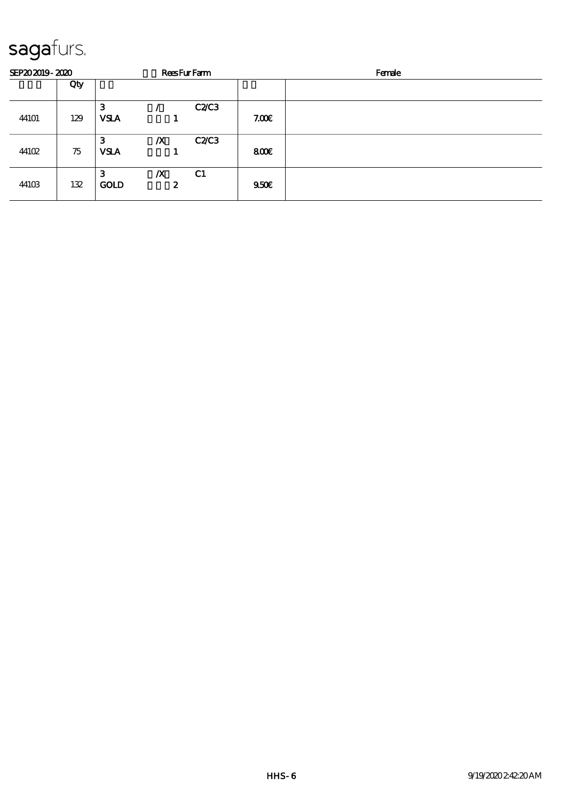| SEP202019-2020 |     |                  |                       | <b>ReesFurFarm</b> |       | Female |
|----------------|-----|------------------|-----------------------|--------------------|-------|--------|
|                | Qty |                  |                       |                    |       |        |
| 44101          | 129 | З<br><b>VSLA</b> |                       | C2C3               | 7.00E |        |
| 44102          | 75  | З<br><b>VSLA</b> | $\boldsymbol{X}$      | C2C3               | 800E  |        |
| 44103          | 132 | 3<br><b>GOLD</b> | $\boldsymbol{X}$<br>2 | C <sub>1</sub>     | 950E  |        |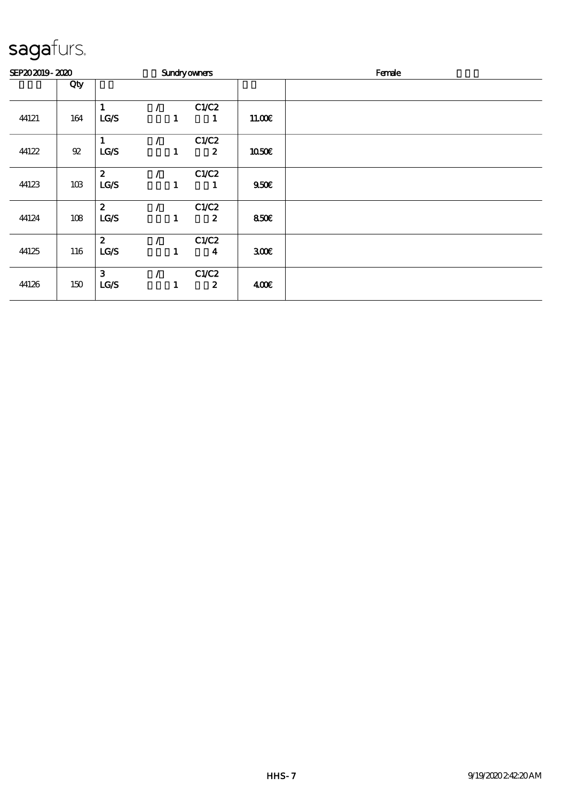| SEP202019-2020 |                  |                          |               |   | <b>Sundryowners</b>       |                  | Female |  |  |
|----------------|------------------|--------------------------|---------------|---|---------------------------|------------------|--------|--|--|
|                | Qty              |                          |               |   |                           |                  |        |  |  |
| 44121          | 164              | LG/S                     |               | 1 | C1/C2<br>1                | 1100E            |        |  |  |
| 44122          | ${\mathfrak{A}}$ | LG/S                     | $\mathcal{L}$ | 1 | C1/C2<br>$\boldsymbol{z}$ | <b>1050€</b>     |        |  |  |
| 44123          | 10B              | $\boldsymbol{z}$<br>LG/S |               | 1 | C1/C2<br>1                | 950 <sub>E</sub> |        |  |  |
| 44124          | 108              | $\boldsymbol{z}$<br>LCS  |               | 1 | C1/C2<br>$\boldsymbol{z}$ | 850E             |        |  |  |
| 44125          | 116              | $\boldsymbol{z}$<br>LG/S |               | 1 | C1/C2<br>4                | 300E             |        |  |  |
| 44126          | 150              | 3<br>LG/S                | $\prime$      | 1 | C1/C2<br>$\boldsymbol{z}$ | 400              |        |  |  |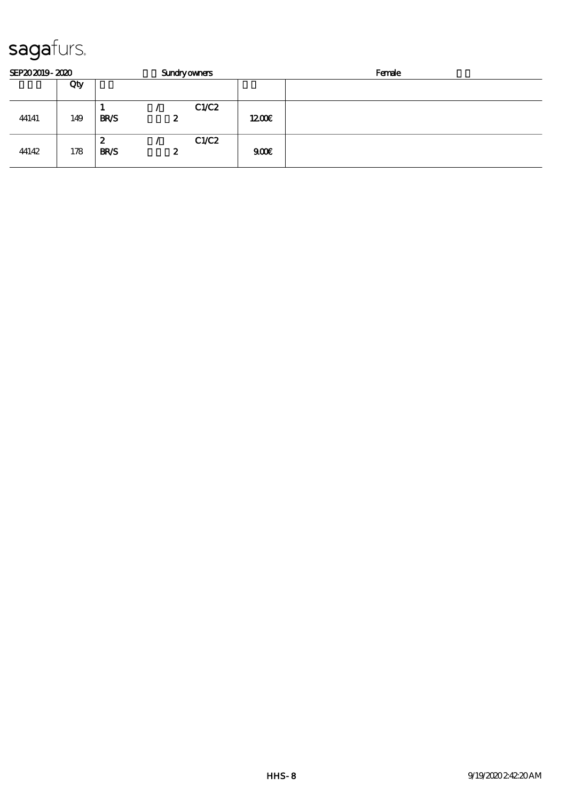| SEP202019-2020 |     |                  | <b>Sundryowners</b> | Female |  |  |
|----------------|-----|------------------|---------------------|--------|--|--|
|                | Qty |                  |                     |        |  |  |
| 44141          | 149 | <b>BR/S</b>      | C1/C2<br>2          | 1200   |  |  |
| 44142          | 178 | 2<br><b>BR/S</b> | C1/C2<br>2          | 900    |  |  |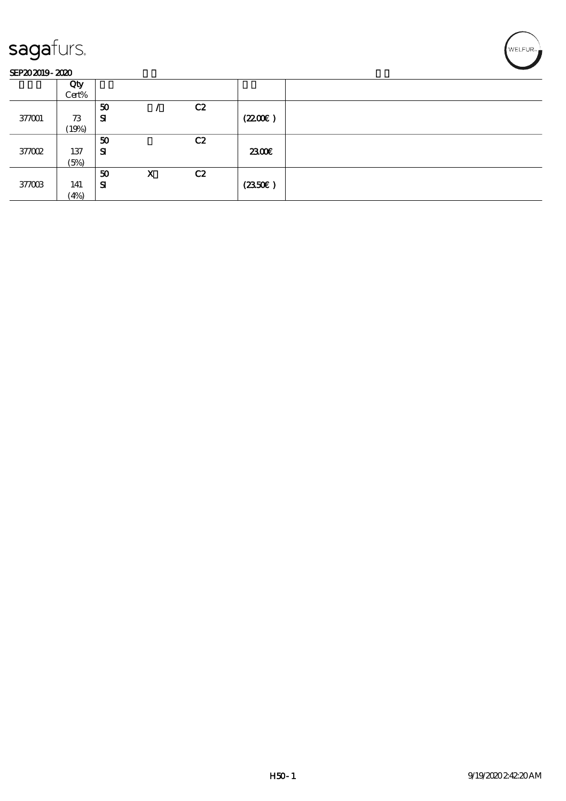#### SEP202019-2020

|        | Qty<br>Cert% |           |   |    |        |  |
|--------|--------------|-----------|---|----|--------|--|
|        |              | 50        |   | C2 |        |  |
| 377001 | 73           | ${\bf s}$ |   |    | (220)  |  |
|        | (19%)        |           |   |    |        |  |
|        |              | 50        |   | C2 |        |  |
| 37002  | 137          | SI        |   |    | 2300€  |  |
|        | (5%)         |           |   |    |        |  |
|        |              | 50        | X | C2 |        |  |
| 377003 | 141          | Я         |   |    | (2350) |  |
|        | (4%)         |           |   |    |        |  |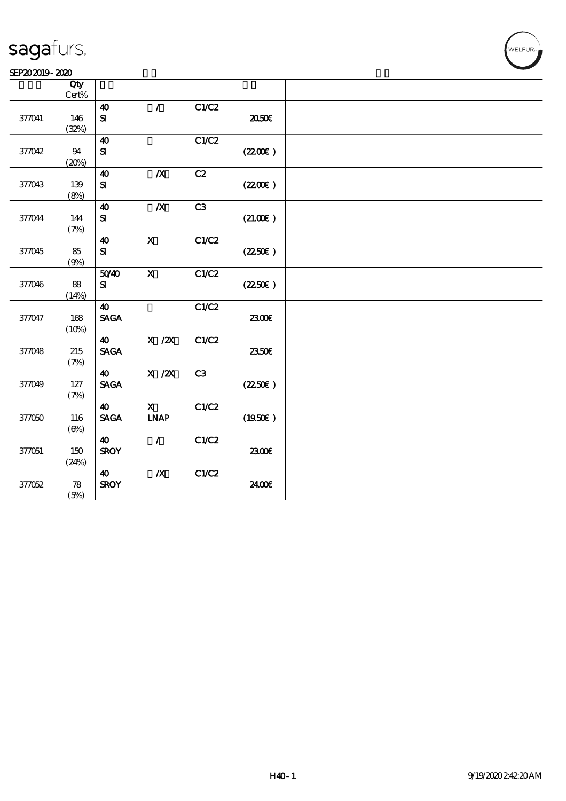#### SEP202019-2020

|        | Qty           |                                |                           |       |                  |  |
|--------|---------------|--------------------------------|---------------------------|-------|------------------|--|
|        | $Cert\%$      |                                |                           |       |                  |  |
|        |               | $\boldsymbol{\omega}$          | $\mathcal{L}$             | C1/C2 |                  |  |
| 377041 | 146           | ${\bf s}$                      |                           |       | ææ               |  |
|        | (32%)         |                                |                           |       |                  |  |
|        |               | $\boldsymbol{\omega}$          |                           | C1/C2 |                  |  |
| 37042  | 94            | ${\bf s}$                      |                           |       | (220E)           |  |
|        | (20%)         |                                |                           |       |                  |  |
|        |               | $\boldsymbol{\Lambda}$         | $\boldsymbol{X}$          | C2    |                  |  |
| 37043  | 139           | ${\bf S\!I}$                   |                           |       | (220E)           |  |
|        | (8%)          |                                |                           |       |                  |  |
|        |               | $\boldsymbol{\omega}$          | $\boldsymbol{X}$          | C3    |                  |  |
| 37044  | 144           | ${\bf S}$                      |                           |       | (21.00)          |  |
|        | (7%)          |                                |                           |       |                  |  |
|        |               | $\boldsymbol{\Lambda}$         | $\boldsymbol{\mathrm{X}}$ | C1/C2 |                  |  |
| 37045  | 85            | ${\bf s}$                      |                           |       | $(2250\epsilon)$ |  |
|        | (9%)          |                                |                           |       |                  |  |
|        |               | 5040                           | $\mathbf{x}$              | C1/C2 |                  |  |
| 37046  | 88            | ${\bf S}$                      |                           |       | (2250)           |  |
|        | (14%)         |                                |                           |       |                  |  |
|        |               | 40                             |                           | C1/C2 |                  |  |
| 377047 | 168           | <b>SAGA</b>                    |                           |       | 2300E            |  |
|        | (10%)         |                                |                           |       |                  |  |
|        |               | $\boldsymbol{\omega}$          | $X$ / $ZX$                | C1/C2 |                  |  |
| 37048  | 215           | <b>SAGA</b>                    |                           |       | 2350E            |  |
|        | (7%)          | $\boldsymbol{\omega}$          |                           | C3    |                  |  |
|        |               |                                | $X$ / $ZX$                |       |                  |  |
| 37049  | $127$<br>(7%) | $\operatorname{\mathsf{SAGA}}$ |                           |       | (2250)           |  |
|        |               | $\boldsymbol{\omega}$          | $\overline{\mathbf{X}}$   | C1/C2 |                  |  |
| 37050  | 116           | <b>SAGA</b>                    | <b>INAP</b>               |       | (1950)           |  |
|        | $(\Theta)$    |                                |                           |       |                  |  |
|        |               | $\boldsymbol{\omega}$          | $\mathcal{L}$             | C1/C2 |                  |  |
| 377051 | 150           | <b>SROY</b>                    |                           |       | 2300E            |  |
|        | (24%)         |                                |                           |       |                  |  |
|        |               | $\boldsymbol{\omega}$          | $\boldsymbol{X}$          | C1/C2 |                  |  |
| 377052 | ${\bf 78}$    | <b>SROY</b>                    |                           |       | 2400E            |  |
|        | (5%)          |                                |                           |       |                  |  |
|        |               |                                |                           |       |                  |  |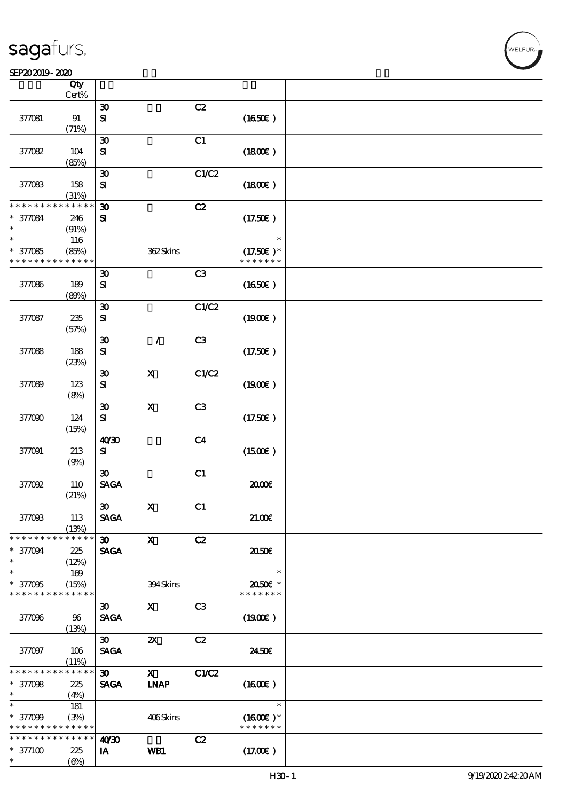#### $SEP202019 - 2020$

|                                            | Qty<br>Cert%         |                                             |                       |                |                              |  |
|--------------------------------------------|----------------------|---------------------------------------------|-----------------------|----------------|------------------------------|--|
|                                            |                      | $\boldsymbol{\mathfrak{D}}$                 |                       | C2             |                              |  |
| 377081                                     | $91\,$<br>(71%)      | $\mathbf{S}$                                |                       |                | (1650)                       |  |
|                                            |                      | $\boldsymbol{\mathfrak{D}}$                 |                       | C1             |                              |  |
| 37082                                      | 104<br>(85%)         | ${\bf s}$                                   |                       |                | (1800)                       |  |
|                                            |                      | $\boldsymbol{\mathfrak{D}}$                 |                       | C1/C2          |                              |  |
| 377083                                     | 158<br>(31%)         | ${\bf s}$                                   |                       |                | $(1800\varepsilon)$          |  |
| * * * * * * *                              | * * * * * *          | $\boldsymbol{\mathfrak{D}}$                 |                       | C2             |                              |  |
| * 37084<br>*                               | 246<br>(91%)         | ${\bf s}$                                   |                       |                | (17.50)                      |  |
| $\ast$                                     | 116                  |                                             |                       |                | $\ast$                       |  |
| $* 37085$<br>* * * * * * * *               | (85%)<br>* * * * * * |                                             | 362Skins              |                | $(17.50)$ *<br>* * * * * * * |  |
|                                            |                      | $\boldsymbol{\mathfrak{D}}$                 |                       | C3             |                              |  |
| 377086                                     | 189                  | ${\bf s}$                                   |                       |                | (1650)                       |  |
|                                            | (80%)                |                                             |                       | C1/C2          |                              |  |
| 377087                                     | 235                  | $\boldsymbol{\mathfrak{D}}$<br>$\mathbf{S}$ |                       |                | (1900)                       |  |
|                                            | (57%)                | $\boldsymbol{\mathfrak{D}}$                 | $\mathcal{L}$         | C3             |                              |  |
| 377088                                     | 188<br>(23%)         | ${\bf s}$                                   |                       |                | (17.50)                      |  |
|                                            |                      | $\boldsymbol{\mathfrak{D}}$                 | $\mathbf x$           | C1/C2          |                              |  |
| 377089                                     | 123<br>(8%)          | ${\bf s}$                                   |                       |                | $(1900\epsilon)$             |  |
|                                            |                      | $\boldsymbol{\mathfrak{D}}$                 | $\mathbf X$           | C3             |                              |  |
| 377090                                     | 124<br>(15%)         | $\mathbf{S}$                                |                       |                | (17.50)                      |  |
|                                            |                      | 40'30                                       |                       | C <sub>4</sub> |                              |  |
| 377091                                     | 213<br>(9%)          | ${\bf s}$                                   |                       |                | (1500E)                      |  |
|                                            |                      | $\boldsymbol{\mathfrak{D}}$                 |                       | C1             |                              |  |
| $37002$                                    | 110                  | <b>SAGA</b>                                 |                       |                | æœ                           |  |
|                                            | (21%)                | $\boldsymbol{\mathfrak{D}}$                 | $\mathbf{X}$          | C1             |                              |  |
| 37008                                      | 113                  | <b>SAGA</b>                                 |                       |                | 21.00E                       |  |
| * * * * * * * *                            | (13%)<br>* * * * * * |                                             |                       |                |                              |  |
| * 377094<br>$\ast$                         | 225<br>(12%)         | 30<br><b>SAGA</b>                           | $\mathbf{X}$          | C2             | 2050E                        |  |
| $\overline{\ast}$                          | 169                  |                                             |                       |                | $\ast$                       |  |
| * 377095                                   | (15%)                |                                             | 394Skins              |                | 2050E *                      |  |
| * * * * * * * *                            | $* * * * * * *$      |                                             |                       |                | * * * * * * *                |  |
|                                            |                      | $\boldsymbol{\mathfrak{D}}$                 | $\mathbf{X}$          | C <sub>3</sub> |                              |  |
| 377096                                     | 96<br>(13%)          | <b>SAGA</b>                                 |                       |                | (1900E)                      |  |
|                                            |                      | $\boldsymbol{\mathfrak{D}}$                 | $\boldsymbol{\alpha}$ | C2             |                              |  |
| 377097                                     | 106<br>(11%)         | <b>SAGA</b>                                 |                       |                | 2450E                        |  |
| * * * * * * * *                            | $******$             | $\boldsymbol{\mathfrak{D}}$                 | $\mathbf{X}$          | C1/C2          |                              |  |
| * 37008                                    | 225                  | <b>SAGA</b>                                 | INAP                  |                | $(1600\varepsilon)$          |  |
| $\ast$                                     | (4%)                 |                                             |                       |                |                              |  |
| $\ast$                                     | 181                  |                                             |                       |                | $\ast$                       |  |
| * 37099                                    | (3%)                 |                                             | 406Skins              |                | $(1600E)*$                   |  |
| * * * * * * * * <mark>* * * * * * *</mark> |                      |                                             |                       |                | * * * * * * *                |  |
| * * * * * * * *                            | $* * * * * * *$      | 40'30                                       |                       | C2             |                              |  |
| $* 377100$                                 | 225                  | IA                                          | WB1                   |                | (17.00)                      |  |
| $\ast$                                     | $(\Theta)$           |                                             |                       |                |                              |  |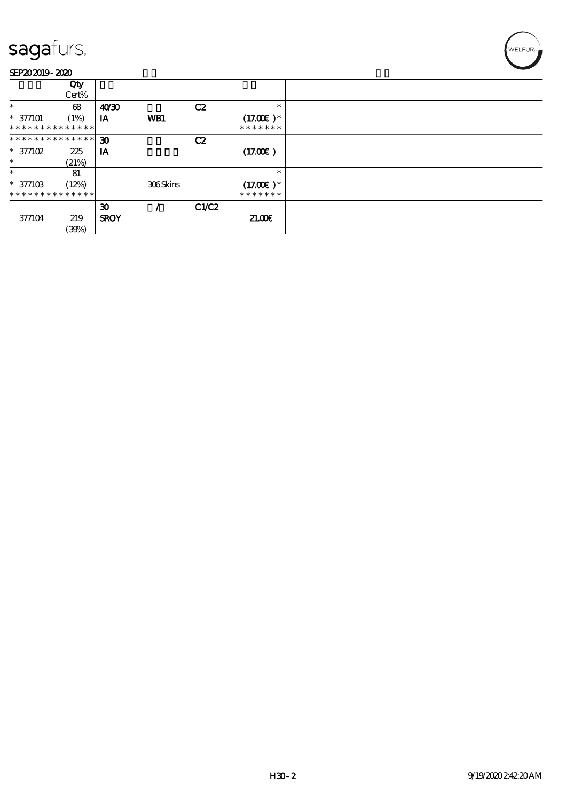#### SEP202019-2020

|                               | Qty<br>Cert% |                             |          |       |               |  |
|-------------------------------|--------------|-----------------------------|----------|-------|---------------|--|
| $\ast$                        | 68           | 40'30                       |          | C2    | $\ast$        |  |
| $*$ 377101                    | (1%)         | IA                          | WB1      |       | $(17.00)$ *   |  |
| * * * * * * * * * * * * * *   |              |                             |          |       | *******       |  |
| * * * * * * * * * * * * * * * |              | $\boldsymbol{\mathfrak{D}}$ |          | C2    |               |  |
| $* 377102$                    | 225          | IA                          |          |       | (17.00)       |  |
| $\ast$                        | (21%)        |                             |          |       |               |  |
| $\ast$                        | 81           |                             |          |       | $\ast$        |  |
| $* 37710B$                    | (12%)        |                             | 306Skins |       | $(17.00)$ *   |  |
| * * * * * * * * * * * * * *   |              |                             |          |       | * * * * * * * |  |
|                               |              | $\boldsymbol{\mathfrak{D}}$ |          | C1/C2 |               |  |
| 377104                        | 219          | <b>SROY</b>                 |          |       | 21.00         |  |
|                               | (30%)        |                             |          |       |               |  |

WELFUR<sub>7</sub>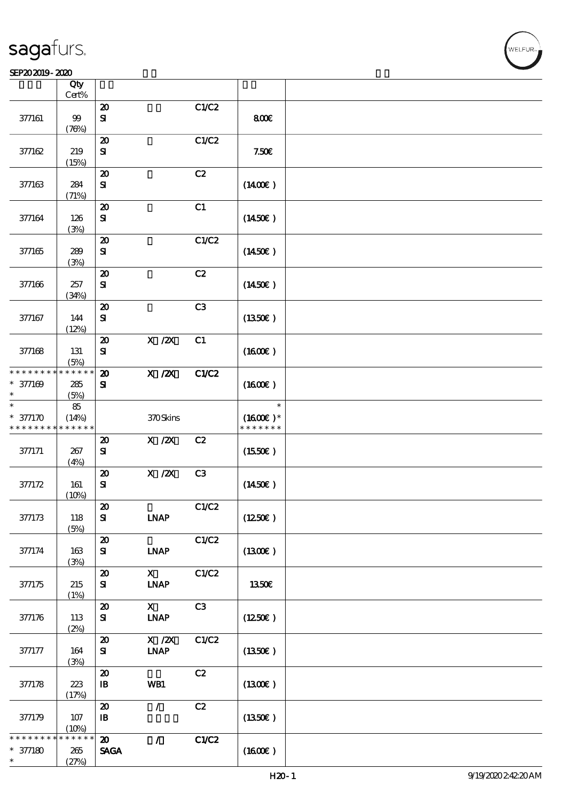#### SEP202019-2020

|                               | Qty<br>$Cert\%$      |                                     |                                                                         |               |                             |  |
|-------------------------------|----------------------|-------------------------------------|-------------------------------------------------------------------------|---------------|-----------------------------|--|
|                               |                      | $\boldsymbol{\mathbf{z}}$           |                                                                         | C1/C2         |                             |  |
| 377161                        | 99<br>(78%)          | ${\bf s}$                           |                                                                         |               | 800€                        |  |
|                               |                      | $\boldsymbol{\boldsymbol{\lambda}}$ |                                                                         | C1/C2         |                             |  |
| 377162                        | 219<br>(15%)         | ${\bf s}$                           |                                                                         |               | 7.50E                       |  |
|                               |                      | $\boldsymbol{\mathbf{z}}$           |                                                                         | C2            |                             |  |
| 377163                        | 284<br>(71%)         | ${\bf s}$                           |                                                                         |               | $(1400\varepsilon)$         |  |
|                               |                      | $\boldsymbol{\mathbf{z}}$           |                                                                         | C1            |                             |  |
| 377164                        | 126<br>(3%)          | ${\bf s}$                           |                                                                         |               | (1450E)                     |  |
|                               |                      | $\boldsymbol{\mathfrak{D}}$         |                                                                         | C1/C2         |                             |  |
| 377165                        | 289<br>(3%)          | ${\bf s}$                           |                                                                         |               | $(1450\epsilon)$            |  |
|                               |                      | $\boldsymbol{\mathbf{z}}$           |                                                                         | C2            |                             |  |
| 377166                        | 257<br>(34%)         | ${\bf s}$                           |                                                                         |               | $(1450\epsilon)$            |  |
|                               |                      | $\boldsymbol{\mathbf{z}}$           |                                                                         | C3            |                             |  |
| 377167                        | 144<br>(12%)         | ${\bf s}$                           |                                                                         |               | (1350)                      |  |
|                               |                      | $\boldsymbol{\mathfrak{D}}$         | $X$ / $ZX$                                                              | C1            |                             |  |
| 377168                        | 131<br>(5%)          | ${\bf S}$                           |                                                                         |               | (1600E)                     |  |
| * * * * * * * *               | * * * * * *          | $\boldsymbol{\mathbf{z}}$           | $X$ / $ZX$                                                              | C1/C2         |                             |  |
| $* 377169$<br>$\ast$          | 285<br>(5%)          | ${\bf s}$                           |                                                                         |               | (1600E)                     |  |
| $\ast$                        | 85                   |                                     |                                                                         |               | $\ast$                      |  |
| $* 377170$<br>* * * * * * * * | (14%)<br>* * * * * * |                                     | 370Skins                                                                |               | $(1600E)*$<br>* * * * * * * |  |
|                               |                      | $\boldsymbol{\mathbf{z}}$           | $\boldsymbol{\mathrm{X}}$ / <b><math>\boldsymbol{\mathrm{X}}</math></b> | C2            |                             |  |
| 377171                        | 267<br>(4%)          | ${\bf s}$                           |                                                                         |               | (1550E)                     |  |
|                               |                      | $\boldsymbol{\mathbf{z}}$           | $X$ / $ZX$                                                              | C3            |                             |  |
| 377172                        | 161                  | ${\bf s}$                           |                                                                         |               | $(1450\varepsilon)$         |  |
|                               | (10%)                |                                     |                                                                         |               |                             |  |
|                               |                      | $\pmb{\mathcal{Z}}$                 |                                                                         | C1/C2         |                             |  |
| 377173                        | 118<br>(5%)          | ${\bf s}$                           | <b>INAP</b>                                                             |               | (1250E)                     |  |
|                               |                      | $\boldsymbol{\mathsf{20}}$          |                                                                         | C1/C2         |                             |  |
| 377174                        | 163<br>(3%)          | ${\bf s}$                           | <b>INAP</b>                                                             |               | (1300)                      |  |
|                               |                      | $\boldsymbol{\mathbf{z}}$           | $\mathbf{X}$                                                            | C1/C2         |                             |  |
| 377175                        | 215<br>(1%)          | ${\bf s}$                           | <b>INAP</b>                                                             |               | 1350E                       |  |
|                               |                      | $\boldsymbol{\mathfrak{D}}$         | $\mathbf{X}$                                                            | C3            |                             |  |
| 377176                        | 113<br>(2%)          | $\mathbf{S}$                        | <b>INAP</b>                                                             |               | (1250E)                     |  |
|                               |                      | $\boldsymbol{\mathbf{z}}$           | $X$ / $ZX$                                                              | C1/C2         |                             |  |
| 377177                        | 164<br>(3%)          | ${\bf s}$                           | <b>INAP</b>                                                             |               | (1350)                      |  |
|                               |                      | $\boldsymbol{\mathbf{z}}$           |                                                                         | $\mathbf{C2}$ |                             |  |
| 377178                        | 223<br>(17%)         | $\mathbf{B}$                        | WB1                                                                     |               | (1300)                      |  |
|                               |                      | $\boldsymbol{\mathfrak{D}}$         | $\mathcal{L}$                                                           | C2            |                             |  |
| 377179                        | $107$                | $\mathbf{B}$                        |                                                                         |               | (1350)                      |  |
|                               | (10%)                |                                     |                                                                         |               |                             |  |
| * * * * * *                   | $* * * * * *$<br>*   | $\boldsymbol{\mathbf{z}}$           | $\mathcal{L}$                                                           | C1/C2         |                             |  |
| $* 377180$                    | $265\,$              | $\operatorname{\mathsf{SAGA}}$      |                                                                         |               | (1600)                      |  |
| $\ast$                        | (27%)                |                                     |                                                                         |               |                             |  |

.<br>NELFUR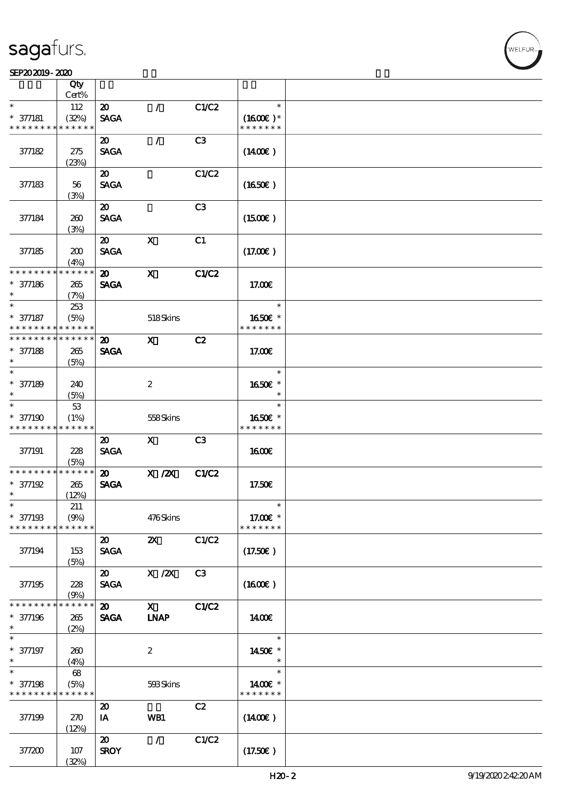#### SEP202019-2020

|                                          | Qty<br>Cert%    |                             |                           |       |                     |  |
|------------------------------------------|-----------------|-----------------------------|---------------------------|-------|---------------------|--|
| $\ast$                                   | 112             | $\boldsymbol{\mathfrak{D}}$ | $\mathcal{L}$             | C1/C2 | $\ast$              |  |
|                                          |                 |                             |                           |       |                     |  |
| $* 377181$                               | (32%)           | <b>SAGA</b>                 |                           |       | $(1600E)*$          |  |
| * * * * * * * *                          | * * * * * *     |                             |                           |       | * * * * * * *       |  |
|                                          |                 | $\boldsymbol{\mathfrak{D}}$ | $\mathcal{L}$             | C3    |                     |  |
| 377182                                   | 275             | <b>SAGA</b>                 |                           |       | $(1400\varepsilon)$ |  |
|                                          | (23%)           |                             |                           |       |                     |  |
|                                          |                 | $\boldsymbol{\mathfrak{D}}$ |                           | C1/C2 |                     |  |
|                                          |                 |                             |                           |       |                     |  |
| 377183                                   | 56              | <b>SAGA</b>                 |                           |       | $(1650\epsilon)$    |  |
|                                          | (3%)            |                             |                           |       |                     |  |
|                                          |                 | $\boldsymbol{\mathfrak{D}}$ |                           | C3    |                     |  |
| 377184                                   | 260             | <b>SAGA</b>                 |                           |       | $(1500\varepsilon)$ |  |
|                                          | (3%)            |                             |                           |       |                     |  |
|                                          |                 | $\boldsymbol{\mathfrak{D}}$ | $\mathbf{x}$              | C1    |                     |  |
|                                          |                 |                             |                           |       |                     |  |
| 377185                                   | 200             | <b>SAGA</b>                 |                           |       | (17.00)             |  |
|                                          | (4%)            |                             |                           |       |                     |  |
| * * * * * * * *                          | * * * * * *     | $\boldsymbol{\mathsf{20}}$  | $\mathbf{x}$              | C1/C2 |                     |  |
| $* 377186$                               | 265             | <b>SAGA</b>                 |                           |       | 17.00E              |  |
| $\ast$                                   | (7%)            |                             |                           |       |                     |  |
| $\ast$                                   | 253             |                             |                           |       | $\ast$              |  |
| * 377187                                 | (5%)            |                             | 518Skins                  |       | 1650€ *             |  |
| * * * * * * * *                          | * * * * * *     |                             |                           |       | * * * * * * *       |  |
|                                          |                 |                             |                           |       |                     |  |
| * * * * * * * * <mark>* * * * * *</mark> |                 | $\boldsymbol{\mathfrak{D}}$ | $\mathbf{x}$              | C2    |                     |  |
| $* 377188$                               | 265             | <b>SAGA</b>                 |                           |       | 17.00E              |  |
| $\ast$                                   | (5%)            |                             |                           |       |                     |  |
| $\ast$                                   |                 |                             |                           |       | $\ast$              |  |
| $* 377189$                               | 240             |                             | $\boldsymbol{2}$          |       | 1650E *             |  |
| $\ast$                                   | (5%)            |                             |                           |       | $\ast$              |  |
| $\ast$                                   |                 |                             |                           |       | $\ast$              |  |
|                                          | 53              |                             |                           |       |                     |  |
| $* 377190$                               | (1%)            |                             | 558Skins                  |       | 1650€ *             |  |
|                                          | * * * * * *     |                             |                           |       | * * * * * * *       |  |
| * * * * * * * *                          |                 |                             |                           |       |                     |  |
|                                          |                 | $\boldsymbol{\mathfrak{D}}$ | $\mathbf{X}$              | C3    |                     |  |
|                                          |                 |                             |                           |       |                     |  |
| 377191                                   | 228             | <b>SAGA</b>                 |                           |       | 1600E               |  |
| * * * * * * * *                          | (5%)            |                             |                           |       |                     |  |
|                                          | $* * * * * * *$ | $\boldsymbol{\mathfrak{D}}$ | $X$ / $ZX$                | C1/C2 |                     |  |
| $* 377192$                               | 265             | <b>SAGA</b>                 |                           |       | 17.50€              |  |
| $\ast$                                   | (12%)           |                             |                           |       |                     |  |
| $\ast$                                   | 211             |                             |                           |       | $\ast$              |  |
| $* 37719B$                               | (9%)            |                             | 476Skins                  |       | 17.00€ *            |  |
| * * * * * * * *                          | * * * * * *     |                             |                           |       | * * * * * * *       |  |
|                                          |                 |                             |                           |       |                     |  |
|                                          |                 | $\boldsymbol{\mathfrak{D}}$ | $\boldsymbol{\mathsf{Z}}$ | C1/C2 |                     |  |
| 377194                                   | 153             | <b>SAGA</b>                 |                           |       | $(17.50\epsilon)$   |  |
|                                          | (5%)            |                             |                           |       |                     |  |
|                                          |                 | $\boldsymbol{\mathsf{20}}$  | $X$ / $ZX$                | C3    |                     |  |
| 377195                                   | 228             | <b>SAGA</b>                 |                           |       | $(1600\varepsilon)$ |  |
|                                          | (9%)            |                             |                           |       |                     |  |
| * * * * * * * *                          | * * * * * *     | $\boldsymbol{\mathfrak{D}}$ | $\mathbf{X}$              | C1/C2 |                     |  |
|                                          |                 |                             |                           |       |                     |  |
| * 377196<br>$\ast$                       | 265             | <b>SAGA</b>                 | <b>LNAP</b>               |       | <b>1400€</b>        |  |
| $\ast$                                   | (2%)            |                             |                           |       | $\ast$              |  |
|                                          |                 |                             |                           |       |                     |  |
| * 377197                                 | 260             |                             | $\boldsymbol{2}$          |       | 1450E *             |  |
| $\ast$                                   | (4%)            |                             |                           |       |                     |  |
| $\overline{\ast}$                        | 68              |                             |                           |       | $\ast$              |  |
| $* 377198$                               | (5%)            |                             | 593Skins                  |       | 1400€ *             |  |
| * * * * * * * *                          | * * * * * *     |                             |                           |       | * * * * * * *       |  |
|                                          |                 |                             |                           |       |                     |  |
|                                          |                 | $\boldsymbol{\mathfrak{D}}$ |                           | C2    |                     |  |
| 377199                                   | 270             | IA                          | WB1                       |       | $(1400\varepsilon)$ |  |
|                                          | (12%)           |                             |                           |       |                     |  |
|                                          |                 | $\boldsymbol{\mathfrak{D}}$ | $\mathcal{L}$             | C1/C2 |                     |  |
| 377200                                   | 107<br>(32%)    | <b>SROY</b>                 |                           |       | (17.50)             |  |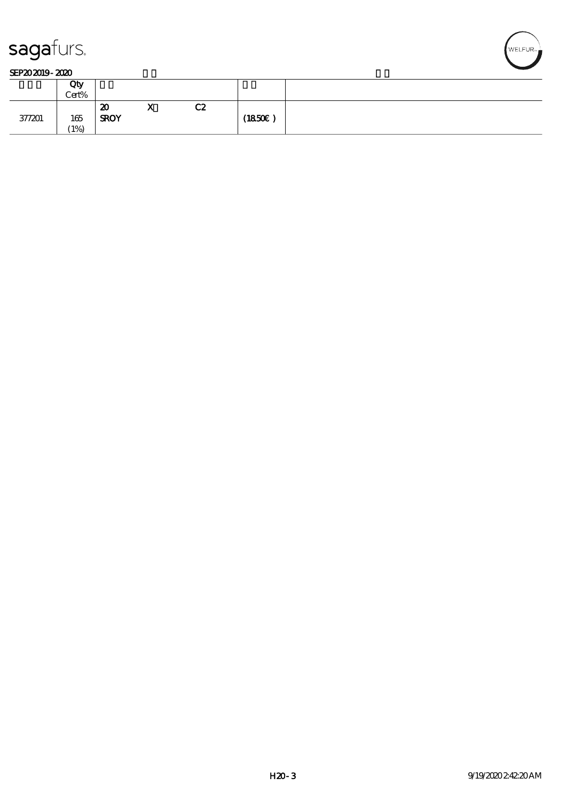

#### SEP202019-2020

|        | Qty<br>Cert% |                                          |                              |    |        |
|--------|--------------|------------------------------------------|------------------------------|----|--------|
| 377201 | 165<br>(1%)  | $\boldsymbol{\mathsf{z}}$<br><b>SROY</b> | $\mathbf{v}$<br>$\mathbf{A}$ | C2 | (1850) |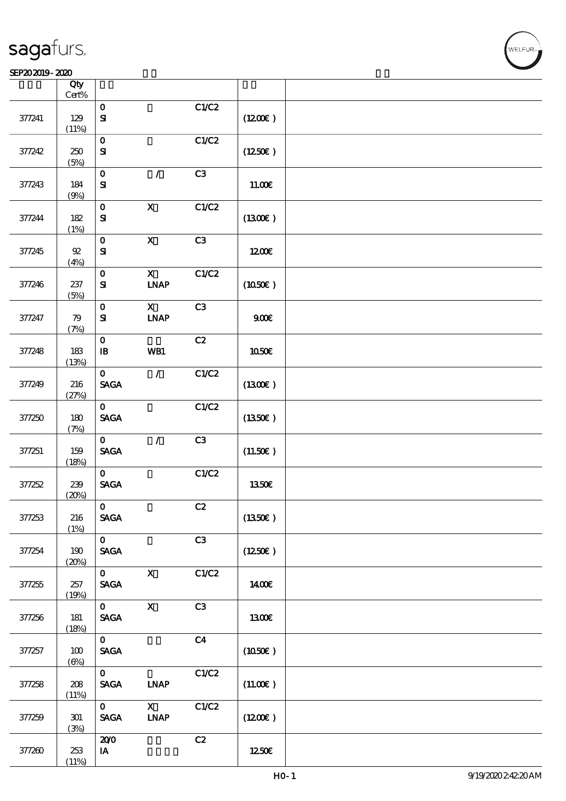### SEP202019-2020

|        | Qty<br>$Cert\%$ |                                |                              |                |              |  |
|--------|-----------------|--------------------------------|------------------------------|----------------|--------------|--|
|        |                 | $\mathbf 0$                    |                              | C1/C2          |              |  |
| 377241 | 129<br>(11%)    | ${\bf S}$                      |                              |                | (1200E)      |  |
|        |                 | $\mathbf{o}$                   |                              | C1/C2          |              |  |
| 377242 | 250<br>(5%)     | ${\bf s}$                      |                              |                | (1250E)      |  |
|        |                 | $\mathbf O$                    | $\mathcal{L}$                | C3             |              |  |
| 377243 | 184<br>(9%)     | ${\bf s}$                      |                              |                | 11.00E       |  |
|        |                 | $\mathbf{o}$                   | $\mathbf X$                  | C1/C2          |              |  |
| 377244 | 182<br>(1%)     | ${\bf s}$                      |                              |                | (1300E)      |  |
|        |                 | $\mathbf{o}$                   | $\boldsymbol{\mathrm{X}}$    | C3             |              |  |
| 377245 | $92\,$<br>(4%)  | ${\bf s}$                      |                              |                | 1200E        |  |
|        |                 | $\mathbf O$                    | $\boldsymbol{\mathsf{X}}$    | C1/C2          |              |  |
| 377246 | 237<br>(5%)     | ${\bf s}$                      | <b>INAP</b>                  |                | (1050)       |  |
|        |                 | $\mathbf O$                    | $\mathbf X$                  | C3             |              |  |
| 377247 | 79<br>(7%)      | $\bf S$                        | $\ensuremath{\mathbf{INAP}}$ |                | 900E         |  |
|        |                 | $\mathbf{o}$                   |                              | C2             |              |  |
| 377248 | 183<br>(13%)    | $\, {\bf I} \! {\bf B} \,$     | WB1                          |                | 1050€        |  |
|        |                 | $\mathbf{O}$                   | $\mathcal{L}$                | C1/C2          |              |  |
| 377249 | 216<br>(27%)    | $\operatorname{\mathsf{SAGA}}$ |                              |                | (1300E)      |  |
|        |                 | $\mathbf{O}$                   |                              | C1/C2          |              |  |
| 377250 | 180<br>(7%)     | <b>SAGA</b>                    |                              |                | (1350E)      |  |
|        |                 | $\mathbf{O}$                   | $\mathcal{L}$                | C3             |              |  |
| 377251 | 159<br>(18%)    | <b>SAGA</b>                    |                              |                | (11.50)      |  |
|        |                 | $\mathbf{O}$                   |                              | C1/C2          |              |  |
| 377252 | 239             | <b>SAGA</b>                    |                              |                | 1350€        |  |
|        | (20%)           |                                |                              |                |              |  |
|        |                 | $\mathbf 0$                    |                              | C2             |              |  |
| 377253 | 216<br>(1%)     | <b>SAGA</b>                    |                              |                | (1350E)      |  |
|        |                 | $\mathbf{O}$                   |                              | C3             |              |  |
| 377254 | 190<br>(20%)    | $\operatorname{\mathsf{SAGA}}$ |                              |                | (1250E)      |  |
|        |                 | $\mathbf{O}$                   | $\mathbf X$                  | C1/C2          |              |  |
| 377255 | 257             | $\ensuremath{\mathsf{SAGA}}$   |                              |                | 1400€        |  |
|        | (19%)           |                                |                              |                |              |  |
|        |                 | $\mathbf{O}$                   | $\boldsymbol{\mathrm{X}}$    | C3             |              |  |
| 377256 | 181<br>(18%)    | $\ensuremath{\mathsf{SAGA}}$   |                              |                | <b>1300€</b> |  |
|        |                 | $\mathbf{O}$                   |                              | C <sub>4</sub> |              |  |
| 377257 | 100             | $\operatorname{\mathsf{SAGA}}$ |                              |                | (1050)       |  |
|        | $(\Theta)$      | $\mathbf{O}$                   |                              | C1/C2          |              |  |
| 377258 | 208             | <b>SAGA</b>                    | <b>INAP</b>                  |                | (11.00)      |  |
|        | (11%)           |                                |                              |                |              |  |
|        |                 | $\mathbf{O}$                   | $\mathbf{X}$                 | C1/C2          |              |  |
| 377259 | 301<br>(3%)     | $\ensuremath{\mathsf{SAGA}}$   | $\ensuremath{\mathbf{INAP}}$ |                | (1200E)      |  |
|        |                 | 200                            |                              | C2             |              |  |
| 377260 | 253             | $\,$ IA                        |                              |                | 1250E        |  |
|        | (11%)           |                                |                              |                |              |  |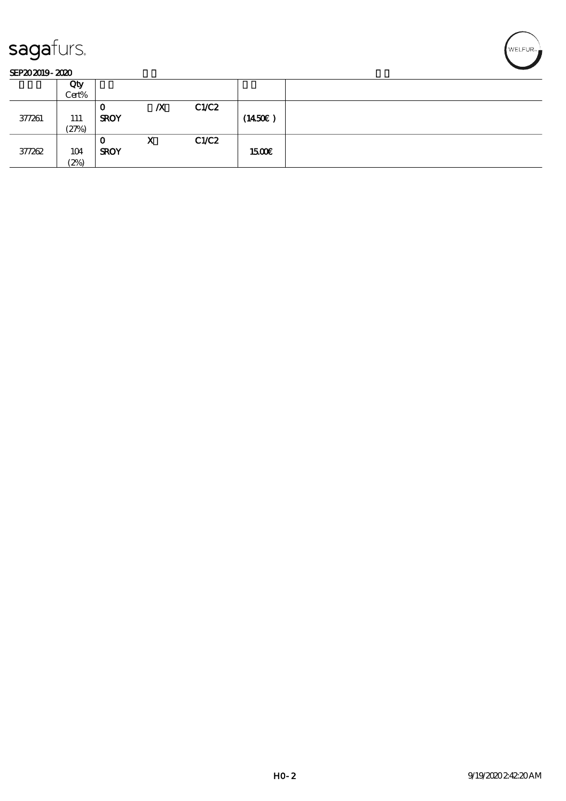

#### SEP202019-2020

|        | Qty   |             |                  |       |              |  |
|--------|-------|-------------|------------------|-------|--------------|--|
|        | Cert% |             |                  |       |              |  |
|        |       | u           | $\boldsymbol{X}$ | C1/C2 |              |  |
| 377261 | 111   | <b>SROY</b> |                  |       | (1450E)      |  |
|        | (27%) |             |                  |       |              |  |
|        |       | О           | X                | C1/C2 |              |  |
| 377262 | 104   | <b>SROY</b> |                  |       | <b>1500€</b> |  |
|        | (2%)  |             |                  |       |              |  |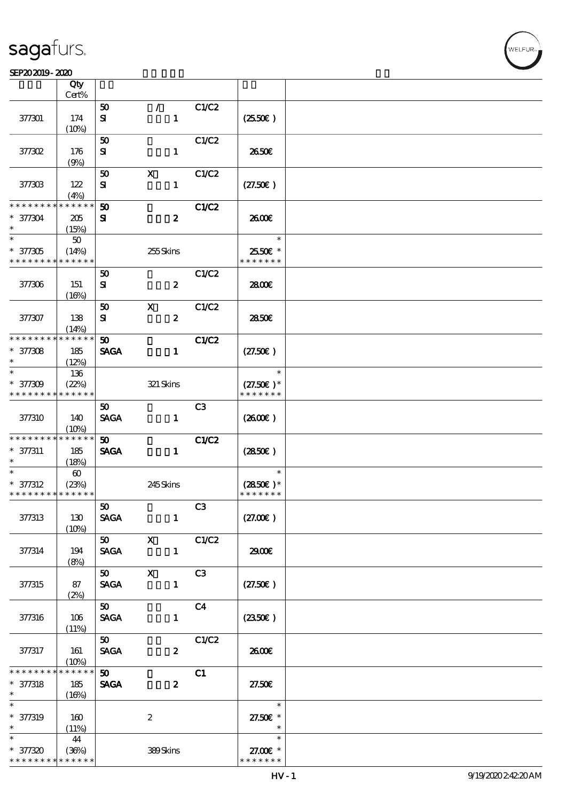#### SEP20 2019 - 2020 米黄 天鹅绒 公皮

| SEP202019-2020                                      |                                |                                            |                                 |                |                                        |  |
|-----------------------------------------------------|--------------------------------|--------------------------------------------|---------------------------------|----------------|----------------------------------------|--|
|                                                     | Qty<br>Cert%                   |                                            |                                 |                |                                        |  |
| 377301                                              | 174<br>(10%)                   | 50<br>${\bf s}$                            | $\mathcal{F}$<br>$\mathbf{1}$   | C1/C2          | $(2550\varepsilon)$                    |  |
| 377302                                              | 176<br>(9%)                    | 50<br>${\bf s}$                            | $\mathbf{1}$                    | C1/C2          | 2650E                                  |  |
| 377303                                              | 122<br>(4%)                    | 50<br>${\bf s}$                            | $\mathbf x$<br>$\mathbf{1}$     | C1/C2          | (27.50)                                |  |
| * * * * * * *<br>$* 377304$<br>$\ast$               | * * * * * *<br>205<br>(15%)    | 50<br>${\bf s}$                            | $\boldsymbol{z}$                | <b>C1/C2</b>   | 2600E                                  |  |
| $\ast$<br>$* 377305$<br>* * * * * * * *             | 50<br>(14%)<br>* * * * * *     |                                            | 255Skins                        |                | $\ast$<br>25.50€ *<br>* * * * * * *    |  |
| 377306                                              | 151<br>(16%)                   | 50<br>${\bf s}$                            | $\pmb{2}$                       | C1/C2          | 2800€                                  |  |
| 377307                                              | 138<br>(14%)                   | 50<br>${\bf s}$                            | $\mathbf x$<br>$\boldsymbol{z}$ | C1/C2          | 2850E                                  |  |
| * * * * * * * *<br>$* 377308$<br>$\ast$             | * * * * * *<br>185<br>(12%)    | 50<br><b>SAGA</b>                          | $\mathbf{1}$                    | <b>C1/C2</b>   | (27.50)                                |  |
| $\ast$<br>$* 377309$<br>* * * * * * * *             | 136<br>(22%)<br>* * * * * *    |                                            | $321$ Skins                     |                | $\ast$<br>$(27.50)$ *<br>* * * * * * * |  |
| 377310                                              | 140<br>(10%)                   | 50 <sub>o</sub><br><b>SAGA</b>             | $\mathbf{1}$                    | C <sub>3</sub> | $(2600\varepsilon)$                    |  |
| * * * * * * * *<br>$* 377311$<br>$\ast$             | * * * * * *<br>185<br>(18%)    | $\boldsymbol{\mathfrak{D}}$<br><b>SAGA</b> | $\mathbf{1}$                    | <b>C1/C2</b>   | $(2850\epsilon)$                       |  |
| $\ast$<br>$* 377312$<br>* * * * * * * * * * * * * * | $\boldsymbol{\omega}$<br>(23%) |                                            | 245Skins                        |                | $\ast$<br>$(2850)$ *<br>* * * * * * *  |  |
| 377313                                              | 130<br>$(10\%)$                | 50 <sub>1</sub><br><b>SAGA</b>             | $\mathbf{1}$                    | C3             | (27.00)                                |  |
| 377314                                              | 194<br>(8%)                    | 50 X<br><b>SAGA</b>                        | $\mathbf{1}$                    | C1/C2          | 29.00E                                 |  |
| 377315                                              | 87<br>(2%)                     | 50 X<br><b>SAGA</b>                        | $\mathbf{1}$                    | C3             | (27.50)                                |  |
| 377316                                              | 106<br>(11%)                   | 50<br><b>SAGA</b>                          | $\mathbf{1}$                    | C <sub>4</sub> | $(2350\epsilon)$                       |  |
| 377317                                              | 161<br>$(10\%)$                | 50<br><b>SAGA</b>                          | $\boldsymbol{z}$                | C1/C2          | 2600E                                  |  |
| * * * * * * * *<br>$* 377318$<br>$\ast$             | * * * * * *<br>185<br>(16%)    | 50<br><b>SAGA</b>                          | $\boldsymbol{z}$                | C1             | 27.50E                                 |  |
| $\ast$<br>$* 377319$<br>$\ast$                      | 160<br>(11%)                   |                                            | $\boldsymbol{2}$                |                | $\ast$<br>27.50€ *<br>$\ast$           |  |
| $\ast$<br>* 377320<br>* * * * * * * * * * * * * *   | 44<br>(36%)                    |                                            | 389Skins                        |                | $\ast$<br>27.00 £*<br>* * * * * * *    |  |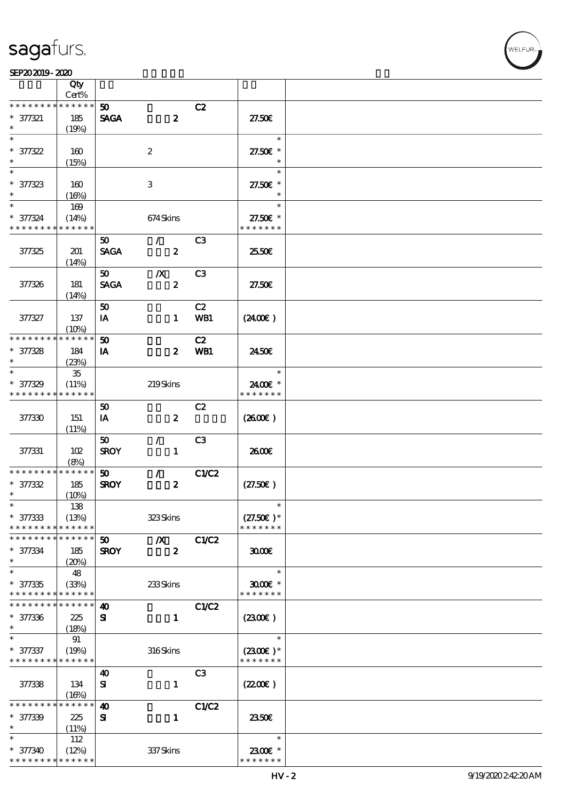

|                             | Qty                  |                       |                           |                |                           |  |
|-----------------------------|----------------------|-----------------------|---------------------------|----------------|---------------------------|--|
| * * * * * * * *             | Cert%<br>* * * * * * |                       |                           |                |                           |  |
|                             |                      | 50 <sub>o</sub>       |                           | C2             |                           |  |
| $* 377321$<br>$\ast$        | 185                  | <b>SAGA</b>           | $\boldsymbol{z}$          |                | 27.50E                    |  |
| $\ast$                      | (19%)                |                       |                           |                | $\ast$                    |  |
|                             |                      |                       |                           |                |                           |  |
| $* 377322$<br>$\ast$        | 160                  |                       | $\boldsymbol{z}$          |                | 27.50€ *<br>$\ast$        |  |
| $\ast$                      | (15%)                |                       |                           |                | $\ast$                    |  |
|                             |                      |                       |                           |                |                           |  |
| $* 377323$<br>$\ast$        | 160                  |                       | $\ensuremath{\mathbf{3}}$ |                | 27.50€ *<br>$\ast$        |  |
| $\ast$                      | (16%)                |                       |                           |                | $\ast$                    |  |
|                             | 169                  |                       |                           |                |                           |  |
| * 377324<br>* * * * * * * * | (14%)<br>* * * * * * |                       | 674Skins                  |                | 27.50€ *<br>* * * * * * * |  |
|                             |                      |                       |                           |                |                           |  |
|                             |                      | 50                    | $\mathcal{L}$             | C <sub>3</sub> |                           |  |
| 377325                      | 201                  | <b>SAGA</b>           | $\boldsymbol{z}$          |                | 2550E                     |  |
|                             | (14%)                |                       |                           |                |                           |  |
|                             |                      | 50                    | $\boldsymbol{X}$          | C <sub>3</sub> | 27.50E                    |  |
| 377326                      | 181                  | <b>SAGA</b>           | $\boldsymbol{z}$          |                |                           |  |
|                             | (14%)                | 50                    |                           | C2             |                           |  |
| 377327                      | 137                  |                       |                           |                |                           |  |
|                             | (10%)                | IA                    | $\mathbf{1}$              | WB1            | (240E)                    |  |
| * * * * * * * *             | * * * * * *          | 50                    |                           | C2             |                           |  |
|                             |                      |                       | $\boldsymbol{z}$          | WB1            | 2450E                     |  |
| $* 377328$<br>$\ast$        | 184<br>(23%)         | IA                    |                           |                |                           |  |
| $\ast$                      | $35\,$               |                       |                           |                | $\ast$                    |  |
| $* 377329$                  | (11%)                |                       | 219Skins                  |                | 2400€ *                   |  |
| * * * * * * * *             | * * * * * *          |                       |                           |                | * * * * * * *             |  |
|                             |                      | 50                    |                           | C2             |                           |  |
| 377330                      | 151                  |                       | $\boldsymbol{z}$          |                | $(2600\varepsilon)$       |  |
|                             |                      | IA                    |                           |                |                           |  |
|                             | (11%)                | 50                    | $\mathcal{L}$             | C <sub>3</sub> |                           |  |
| 377331                      | 102                  | <b>SROY</b>           | $\mathbf{1}$              |                | 2600E                     |  |
|                             | (8%)                 |                       |                           |                |                           |  |
| * * * * * * * *             | * * * * * *          | 50                    | $\mathcal{L}$             | C1/C2          |                           |  |
| $* 377332$                  | 185                  | <b>SROY</b>           | $\boldsymbol{z}$          |                | (27.50)                   |  |
| $\ast$                      | (10%)                |                       |                           |                |                           |  |
| $\ast$                      | 138                  |                       |                           |                | $\ast$                    |  |
| $* 377333$                  | (13%)                |                       | 323Skins                  |                | $(27.50)$ *               |  |
| * * * * * * * *             | * * * * * *          |                       |                           |                | * * * * * * *             |  |
| * * * * * * *               | * * * * * *          | 50 <sub>o</sub>       | $\boldsymbol{X}$          | C1/C2          |                           |  |
| $^\ast$ 377334              | 185                  | <b>SROY</b>           | $\boldsymbol{z}$          |                | 3000                      |  |
| $\ast$                      | (20%)                |                       |                           |                |                           |  |
| $\ast$                      | 48                   |                       |                           |                | $\ast$                    |  |
| $* 377335$                  | (33%)                |                       | 233Skins                  |                | $3000$ $*$                |  |
| * * * * * * * *             | * * * * * *          |                       |                           |                | * * * * * * *             |  |
| * * * * * * * *             | * * * * * *          | $\boldsymbol{\omega}$ |                           | C1/C2          |                           |  |
| $* 377336$                  | 225                  | ${\bf s}$             | $\mathbf{1}$              |                | (2300)                    |  |
| $\ast$                      | (18%)                |                       |                           |                |                           |  |
|                             | 91                   |                       |                           |                | $\ast$                    |  |
| $* 377337$                  | (19%)                |                       | 316Skins                  |                | $(2300)$ *                |  |
| * * * * * * * * * * * * * * |                      |                       |                           |                | * * * * * * *             |  |
|                             |                      | $\boldsymbol{\omega}$ |                           | C <sub>3</sub> |                           |  |
| 377338                      | 134                  | ${\bf s}$             | $\mathbf{I}$              |                | (220)                     |  |
|                             | (16%)                |                       |                           |                |                           |  |
| * * * * * * *               | * * * * * *          | $\boldsymbol{\omega}$ |                           | C1/C2          |                           |  |
| $* 377339$                  | 225                  | ${\bf s}$             | $\mathbf{1}$              |                | 2350E                     |  |
| $\ast$                      | (11%)                |                       |                           |                |                           |  |
| $\ast$                      | 112                  |                       |                           |                | $\ast$                    |  |
| * 377340                    | (12%)                |                       | 337Skins                  |                | 2300€ *                   |  |
| * * * * * * * *             | * * * * * *          |                       |                           |                | * * * * * * *             |  |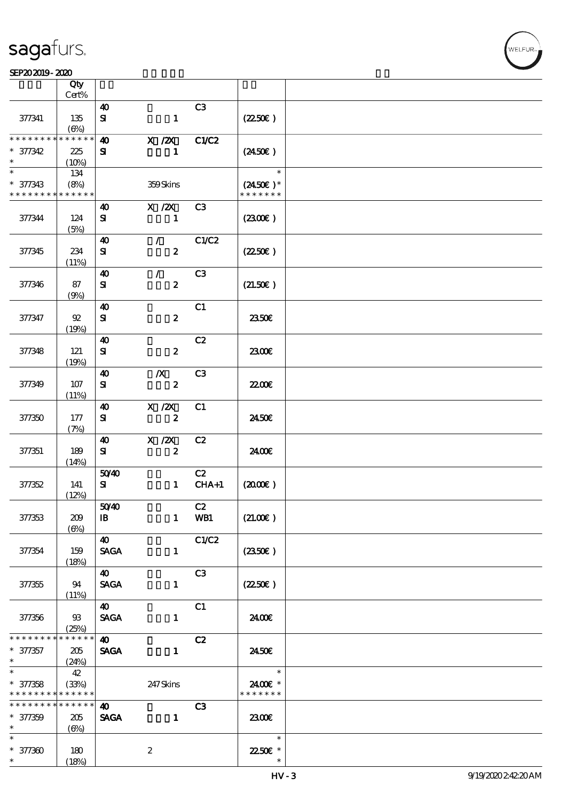#### SEP20 2019 - 2020 米黄 天鹅绒 公皮

|                                           | Qty               |                                     |                  |                |                                     |  |
|-------------------------------------------|-------------------|-------------------------------------|------------------|----------------|-------------------------------------|--|
|                                           | $Cert\%$          |                                     |                  |                |                                     |  |
| 377341                                    | 135               | $\boldsymbol{\omega}$<br>$\bf S\!I$ | $\mathbf{1}$     | C <sub>3</sub> | (2250)                              |  |
|                                           | $(\Theta)$        |                                     |                  |                |                                     |  |
| * * * * * * * *                           | * * * * * *       | $\boldsymbol{\omega}$               | $X$ / $ZX$       | <b>C1/C2</b>   |                                     |  |
| $* 377342$<br>$\ast$                      | 225               | ${\bf s}$                           | $\mathbf{1}$     |                | $(2450\epsilon)$                    |  |
| $\overline{\phantom{0}}$                  | (10%)<br>134      |                                     |                  |                | $\ast$                              |  |
| $* 377343$<br>* * * * * * * * * * * * * * | (8%)              |                                     | 359Skins         |                | $(2450\epsilon)^*$<br>* * * * * * * |  |
|                                           |                   | 40                                  | X / ZX           | C3             |                                     |  |
| 377344                                    | 124<br>(5%)       | ${\bf s}$                           | $\mathbf{1}$     |                | (230E)                              |  |
|                                           |                   | $\boldsymbol{\omega}$               | $\mathcal{L}$    | C1/C2          |                                     |  |
| 377345                                    | 234               | ${\bf s}$                           | $\boldsymbol{z}$ |                | (2250)                              |  |
|                                           | (11%)             | $\boldsymbol{\omega}$               | $\mathcal{L}$    | C <sub>3</sub> |                                     |  |
| 377346                                    | 87<br>(9%)        | ${\bf s}$                           | $\pmb{2}$        |                | (21.50)                             |  |
|                                           |                   | $\boldsymbol{\Lambda}$              |                  | C1             |                                     |  |
| 377347                                    | $92\,$<br>(19%)   | ${\bf s}$                           | $\pmb{2}$        |                | <b>2350€</b>                        |  |
|                                           |                   | $\boldsymbol{\omega}$               |                  | C2             |                                     |  |
| 377348                                    | 121<br>(19%)      | ${\bf s}$                           | $\boldsymbol{2}$ |                | 2300E                               |  |
|                                           |                   | $\boldsymbol{\omega}$               | $\boldsymbol{X}$ | C <sub>3</sub> |                                     |  |
| 377349                                    | 107<br>(11%)      | ${\bf s}$                           | $\boldsymbol{2}$ |                | 22.00 <del>€</del>                  |  |
|                                           |                   | $\boldsymbol{\omega}$               | $X \, /ZX$       | C1             |                                     |  |
| 377350                                    | 177<br>(7%)       | ${\bf s}$                           | $\boldsymbol{2}$ |                | 2450E                               |  |
|                                           |                   | $\boldsymbol{\omega}$               | $\mathbf{X}$ /2X | C2             |                                     |  |
| 377351                                    | 189               | ${\bf s}$                           | $\boldsymbol{2}$ |                | 2400E                               |  |
|                                           | (14%)             | 5040                                |                  | C2             |                                     |  |
| 377352                                    | 141               | ${\bf s}$                           | $\mathbf{1}$     | $CHA+1$        | (200E)                              |  |
|                                           | (12%)             |                                     |                  |                |                                     |  |
|                                           |                   | 5040                                |                  | C2             |                                     |  |
| 377353                                    | 209<br>$(\Theta)$ | $\mathbf{B}$                        | $\mathbf{1}$     | WB1            | (21.00)                             |  |
|                                           |                   | <b>40</b>                           |                  | C1/C2          |                                     |  |
| 377354                                    | 159<br>(18%)      | <b>SAGA</b>                         | $\mathbf{1}$     |                | $(2350\epsilon)$                    |  |
|                                           |                   | $\boldsymbol{\omega}$               |                  | C <sub>3</sub> |                                     |  |
| 377355                                    | 94<br>(11%)       | <b>SAGA</b>                         | $\mathbf{1}$     |                | $(2250\varepsilon)$                 |  |
|                                           |                   | $\boldsymbol{\omega}$               |                  | C1             |                                     |  |
| 377356                                    | 93<br>(25%)       | <b>SAGA</b>                         | $\mathbf{1}$     |                | 2400€                               |  |
| * * * * * * * *                           | * * * * * * *     | $\boldsymbol{\omega}$               |                  | C2             |                                     |  |
| $* 377357$<br>$*$ and $*$                 | 205<br>(24%)      | <b>SAGA</b>                         | $\mathbf{1}$     |                | 2450E                               |  |
|                                           | 42                |                                     |                  |                | $\ast$                              |  |
| $* 377358$                                | (33%)             |                                     | 247 Skins        |                | 2400E *                             |  |
| * * * * * * * * * * * * * *               |                   |                                     |                  |                | * * * * * * *                       |  |
| * * * * * * * *                           | $******$          | $\boldsymbol{40}$                   |                  | C <sub>3</sub> |                                     |  |
| $* 377359$<br>$\ast$                      | 205<br>$(\Theta)$ | <b>SAGA</b>                         | $\mathbf{1}$     |                | 2300                                |  |
| $\ast$                                    |                   |                                     |                  |                | $\ast$                              |  |
| $* 377300$                                | 180               |                                     | $\boldsymbol{z}$ |                | 22.50€ *                            |  |
| $\ast$                                    | (18%)             |                                     |                  |                |                                     |  |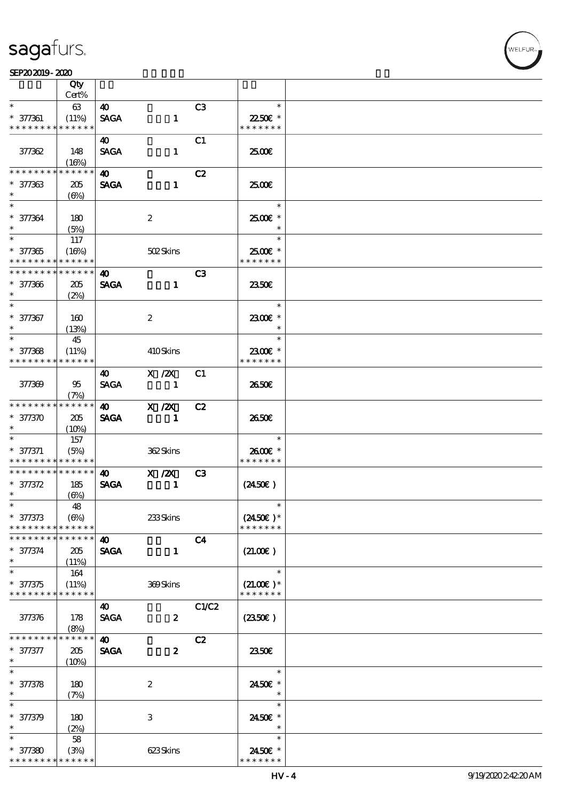#### SEP20 2019 - 2020 米黄 天鹅绒 公皮

|                               | Qty                      |                       |                          |                |                          |  |
|-------------------------------|--------------------------|-----------------------|--------------------------|----------------|--------------------------|--|
| $\ast$                        | Cert%                    |                       |                          |                | $\ast$                   |  |
| $* 377361$                    | 63                       | 40                    |                          | C <sub>3</sub> | 22.50€ *                 |  |
| * * * * * * * *               | (11%)<br>* * * * * *     | <b>SAGA</b>           | $\mathbf{1}$             |                | * * * * * * *            |  |
|                               |                          | 40                    |                          | C1             |                          |  |
| 377362                        | 148                      | <b>SAGA</b>           | $\mathbf{1}$             |                | 2500€                    |  |
|                               | (16%)                    |                       |                          |                |                          |  |
| * * * * * * *                 | * * * * * *              | $\boldsymbol{\omega}$ |                          | C2             |                          |  |
| $* 377363$                    | 205                      | <b>SAGA</b>           | $\mathbf{1}$             |                | 2500€                    |  |
| $\ast$                        | $(\Theta)$               |                       |                          |                |                          |  |
| $\overline{\phantom{0}}$      |                          |                       |                          |                | $\ast$                   |  |
| $* 377364$                    | 180                      |                       | $\boldsymbol{2}$         |                | 2500€ *                  |  |
| $\ast$                        | (5%)                     |                       |                          |                | $\ast$                   |  |
|                               | 117                      |                       |                          |                | $\ast$                   |  |
| $* 377365$<br>* * * * * * * * | (16%)<br>$* * * * * * *$ |                       | 502Skins                 |                | 2500€ *<br>* * * * * * * |  |
| __<br>* * * * * * * *         | * * * * * *              | 40                    |                          | C3             |                          |  |
| $* 377366$                    | 205                      | <b>SAGA</b>           | $\mathbf{1}$             |                | 2350E                    |  |
| $\ast$                        | (2%)                     |                       |                          |                |                          |  |
| $\overline{\ast}$             |                          |                       |                          |                | $\ast$                   |  |
| $* 377367$                    | 160                      |                       | $\boldsymbol{2}$         |                | 2300€ *                  |  |
| $\ast$                        | (13%)                    |                       |                          |                | $\ast$                   |  |
| $\ast$                        | 45                       |                       |                          |                | $\ast$                   |  |
| $* 377368$                    | (11%)                    |                       | 410Skins                 |                | 2300€ *                  |  |
| * * * * * * * *               | * * * * * *              |                       |                          |                | * * * * * * *            |  |
|                               |                          | 40                    | X / ZX                   | C <sub>1</sub> |                          |  |
| 377369                        | 95                       | <b>SAGA</b>           | $\overline{\phantom{0}}$ |                | 2650E                    |  |
|                               | (7%)                     |                       |                          |                |                          |  |
| * * * * * * * *               | * * * * * *              | $\boldsymbol{\omega}$ | $X$ / $ZX$               | C2             |                          |  |
| $* 377370$<br>$\ast$          | 205                      | <b>SAGA</b>           | $\blacksquare$           |                | 2650E                    |  |
| $\ast$                        | (10%)                    |                       |                          |                | $\ast$                   |  |
| $* 377371$                    | 157<br>(5%)              |                       | 362Skins                 |                | 2600€ *                  |  |
| * * * * * * * *               | * * * * * *              |                       |                          |                | * * * * * * *            |  |
| * * * * * * * *               | $* * * * * * *$          | $\boldsymbol{\omega}$ | $X$ / $ZX$               | C3             |                          |  |
| $* 377372$                    | 185                      | <b>SAGA</b>           | $\blacksquare$           |                | $(2450\epsilon)$         |  |
| $\ast$                        | (6%)                     |                       |                          |                |                          |  |
| $*$                           | 48                       |                       |                          |                | $\ast$                   |  |
| $* 377373$                    | (6%)                     |                       | 233Skins                 |                | $(2450\text{E})*$        |  |
| * * * * * * * *               | * * * * * *              |                       |                          |                | * * * * * * *            |  |
| * * * * * * * *               | * * * * * *              | $\boldsymbol{\omega}$ |                          | C <sub>4</sub> |                          |  |
| $* 377374$<br>$\ast$          | 205                      | <b>SAGA</b>           | $\mathbf{1}$             |                | (21.00)                  |  |
| $\ast$                        | (11%)<br>164             |                       |                          |                | $\ast$                   |  |
| $* 377375$                    | (11%)                    |                       | 369Skins                 |                | $(21.00)$ *              |  |
| * * * * * * * *               | * * * * * *              |                       |                          |                | * * * * * * *            |  |
|                               |                          | 40                    |                          | C1/C2          |                          |  |
| 377376                        | 178                      | <b>SAGA</b>           | $\boldsymbol{z}$         |                | (2350)                   |  |
|                               | (8%)                     |                       |                          |                |                          |  |
| * * * * * * *                 | * * * * *                | 40                    |                          | C2             |                          |  |
| $* 377377$                    | 205                      | <b>SAGA</b>           | $\boldsymbol{z}$         |                | 2350E                    |  |
| $\ast$                        | (10%)                    |                       |                          |                |                          |  |
| $\overline{\ast}$             |                          |                       |                          |                | $\ast$                   |  |
| $* 377378$                    | 180                      |                       | $\boldsymbol{2}$         |                | 2450€ *                  |  |
| $\ast$<br>$\ast$              | (7%)                     |                       |                          |                | $\ast$<br>$\ast$         |  |
|                               |                          |                       |                          |                |                          |  |
| * 377379<br>$\ast$            | 180                      |                       | 3                        |                | 2450E *<br>$\ast$        |  |
| $\ast$                        | (2%)                     |                       |                          |                |                          |  |
|                               |                          |                       |                          |                | $\ast$                   |  |
| $* 377380$                    | 58<br>(3%)               |                       | 623Skins                 |                | 2450E *                  |  |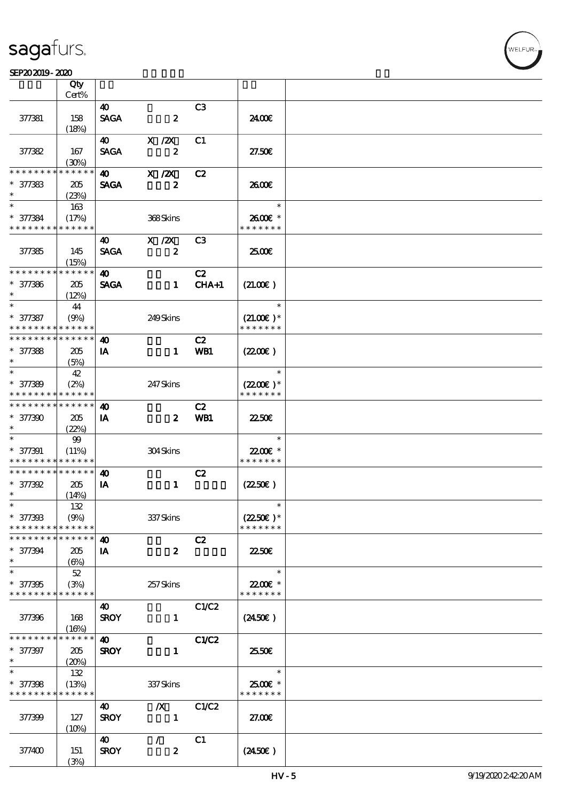#### SEP20 2019 - 2020 米黄 天鹅绒 公皮

|                                           | Qty                  |                       |                                                                              |                |                          |  |
|-------------------------------------------|----------------------|-----------------------|------------------------------------------------------------------------------|----------------|--------------------------|--|
|                                           | Cert%                |                       |                                                                              |                |                          |  |
|                                           |                      | $\boldsymbol{\omega}$ |                                                                              | C <sub>3</sub> |                          |  |
| 377381                                    | 158                  | <b>SAGA</b>           | $\boldsymbol{z}$                                                             |                | 2400€                    |  |
|                                           | (18%)                |                       |                                                                              |                |                          |  |
|                                           |                      | 40                    | $\boldsymbol{\mathrm{X}}$ / $\boldsymbol{\mathrm{Z}}\boldsymbol{\mathrm{X}}$ | C1             |                          |  |
| 377382                                    | 167                  | <b>SAGA</b>           | $\boldsymbol{z}$                                                             |                | 27.50E                   |  |
| * * * * * *                               | (30%)<br>* * * * * * |                       |                                                                              |                |                          |  |
|                                           |                      | $\boldsymbol{\omega}$ | $X$ / $ZX$                                                                   | C2             |                          |  |
| $* 377383$<br>$\ast$                      | 205                  | <b>SAGA</b>           | $\boldsymbol{z}$                                                             |                | 2600E                    |  |
| $\ast$                                    | (23%)                |                       |                                                                              |                | $\ast$                   |  |
|                                           | 163                  |                       |                                                                              |                |                          |  |
| $* 377384$<br>* * * * * * * * * * * * * * | (17%)                |                       | 368Skins                                                                     |                | 2600€ *<br>* * * * * * * |  |
|                                           |                      |                       | $X$ / $ZX$                                                                   | C <sub>3</sub> |                          |  |
| 377385                                    |                      | 40<br><b>SAGA</b>     | $\boldsymbol{z}$                                                             |                | 2500€                    |  |
|                                           | 145<br>(15%)         |                       |                                                                              |                |                          |  |
| * * * * * * * *                           | * * * * * *          | 40                    |                                                                              | C2             |                          |  |
| $* 377386$                                | 205                  | <b>SAGA</b>           | $\mathbf{1}$                                                                 | $CHA+1$        | (21.00)                  |  |
| $\ast$                                    | (12%)                |                       |                                                                              |                |                          |  |
| $\ast$                                    | 44                   |                       |                                                                              |                | $\ast$                   |  |
| $* 377387$                                | (9%)                 |                       | 249Skins                                                                     |                | $(21.00)$ *              |  |
| * * * * * * * *                           | * * * * * *          |                       |                                                                              |                | * * * * * * *            |  |
| * * * * * * * * * * * * * *               |                      | 40                    |                                                                              | C2             |                          |  |
| $* 377388$                                | 205                  | IA                    | $\mathbf{1}$                                                                 | WB1            | (220)                    |  |
| $\ast$                                    | (5%)                 |                       |                                                                              |                |                          |  |
| $\ast$                                    | 42                   |                       |                                                                              |                | $\ast$                   |  |
| $* 377389$                                | (2%)                 |                       | 247 Skins                                                                    |                | $(2200)$ *               |  |
| * * * * * * * *                           | ******               |                       |                                                                              |                | * * * * * * *            |  |
| * * * * * * * *                           | * * * * * *          | $\boldsymbol{\omega}$ |                                                                              | C2             |                          |  |
| * 377390                                  | 205                  | IA                    | $\boldsymbol{z}$                                                             | WB1            | 2250€                    |  |
| $\ast$                                    | (22%)                |                       |                                                                              |                |                          |  |
| $\ast$                                    | $99$                 |                       |                                                                              |                | $\ast$                   |  |
| $* 377391$                                | (11%)                |                       | 304Skins                                                                     |                | 22.00€ *                 |  |
| * * * * * * * * * * * * * *               |                      |                       |                                                                              |                | * * * * * * *            |  |
| * * * * * * * * * * * * * *               |                      | $\boldsymbol{\omega}$ |                                                                              | C2             |                          |  |
| $* 377392$                                | 205                  | IA                    | $\mathbf{1}$                                                                 |                | $(2250\varepsilon)$      |  |
| $\ast$                                    | (14%)                |                       |                                                                              |                |                          |  |
| $\ast$                                    | 132                  |                       |                                                                              |                | $\ast$                   |  |
| * 377393                                  | (9%)                 |                       | 337 Skins                                                                    |                | $(2250\epsilon)^*$       |  |
| * * * * * * * *                           | * * * * * *          |                       |                                                                              |                | * * * * * * *            |  |
| * * * * * * * *                           | * * * * * *          | 40                    |                                                                              | C2             |                          |  |
| $* 377394$<br>$\ast$                      | 205                  | IA                    | $\boldsymbol{z}$                                                             |                | 2250E                    |  |
| $\ast$                                    | (6%)                 |                       |                                                                              |                | $\ast$                   |  |
|                                           | $52\,$               |                       |                                                                              |                | 22.00€ *                 |  |
| $* 377395$<br>* * * * * * * * * * * * * * | (3%)                 |                       | 257Skins                                                                     |                | * * * * * * *            |  |
|                                           |                      | 40                    |                                                                              | C1/C2          |                          |  |
| 377396                                    | 168                  | <b>SROY</b>           | $\mathbf{1}$                                                                 |                | $(2450\epsilon)$         |  |
|                                           | (16%)                |                       |                                                                              |                |                          |  |
| * * * * * * *                             | * * * * * *          | $\boldsymbol{\omega}$ |                                                                              | <b>C1/C2</b>   |                          |  |
| $* 377397$                                | 205                  | <b>SROY</b>           | $\mathbf{1}$                                                                 |                | 2550€                    |  |
| $\ast$                                    | (20%)                |                       |                                                                              |                |                          |  |
| $\overline{\ast}$                         | 132                  |                       |                                                                              |                | $\ast$                   |  |
| $* 377398$                                | (13%)                |                       | 337Skins                                                                     |                | 2500€ *                  |  |
| * * * * * * * * * * * * * *               |                      |                       |                                                                              |                | * * * * * * *            |  |
|                                           |                      | 40                    | $\boldsymbol{X}$                                                             | C1/C2          |                          |  |
| 377399                                    | 127                  | <b>SROY</b>           | $\mathbf{1}$                                                                 |                | 27.00E                   |  |
|                                           | (10%)                |                       |                                                                              |                |                          |  |
|                                           |                      | 40                    | $\mathcal{L}$                                                                | C1             |                          |  |
| 377400                                    | 151                  | <b>SROY</b>           | $\boldsymbol{z}$                                                             |                | $(2450\epsilon)$         |  |
|                                           | (3%)                 |                       |                                                                              |                |                          |  |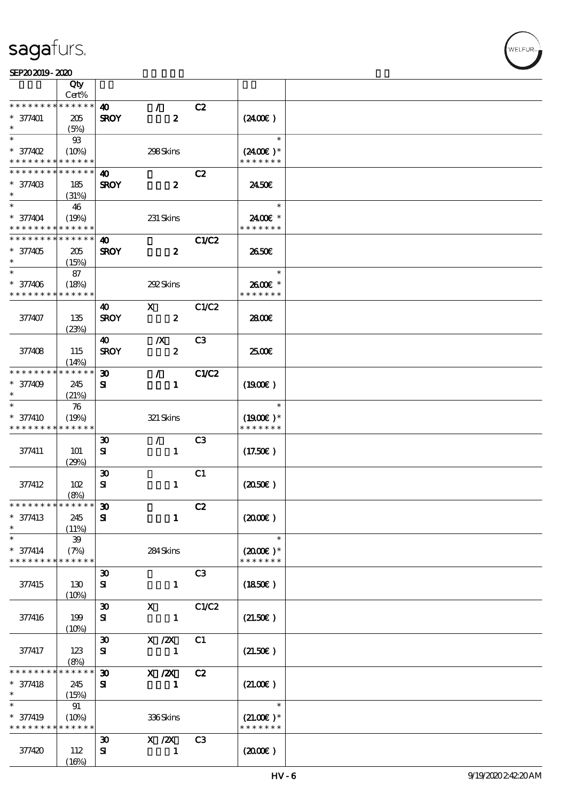| SEPAJAJIY-ALAU                             |              |                             |                  |                |                      |  |
|--------------------------------------------|--------------|-----------------------------|------------------|----------------|----------------------|--|
|                                            | Qty<br>Cert% |                             |                  |                |                      |  |
| * * * * * * * *                            | * * * * * *  |                             |                  |                |                      |  |
|                                            |              | 40                          | $\mathcal{L}$    | C2             |                      |  |
| $* 377401$                                 | 205          | <b>SROY</b>                 | $\boldsymbol{z}$ |                | $(2400\varepsilon)$  |  |
| $\ast$                                     | (5%)         |                             |                  |                |                      |  |
| $\ast$                                     | $93$         |                             |                  |                | $\ast$               |  |
| $*$ 377402                                 |              |                             |                  |                |                      |  |
|                                            | (10%)        |                             | 298Skins         |                | $(2400)$ *           |  |
| * * * * * * * *                            | * * * * * *  |                             |                  |                | * * * * * * *        |  |
| * * * * * * * * * * * * * *                |              | 40                          |                  | C2             |                      |  |
| $* 37740B$                                 | 185          | <b>SROY</b>                 | $\boldsymbol{z}$ |                | 2450E                |  |
| $\ast$                                     |              |                             |                  |                |                      |  |
|                                            | (31%)        |                             |                  |                |                      |  |
| $\ast$                                     | 46           |                             |                  |                | $\ast$               |  |
| $* 377404$                                 | (19%)        |                             | 231 Skins        |                | 2400€ *              |  |
| * * * * * * * * <mark>* * * * * * *</mark> |              |                             |                  |                | * * * * * * *        |  |
| * * * * * * * * <mark>* * * * * *</mark>   |              | 40                          |                  | C1/C2          |                      |  |
|                                            |              |                             |                  |                |                      |  |
| $* 377405$                                 | 205          | <b>SROY</b>                 | $\boldsymbol{z}$ |                | 2650E                |  |
| $\ast$                                     | (15%)        |                             |                  |                |                      |  |
| $\ast$                                     | 87           |                             |                  |                | $\ast$               |  |
| $* 377406$                                 | (18%)        |                             | 292Skins         |                | 2600E *              |  |
| * * * * * * * *                            | * * * * * *  |                             |                  |                | * * * * * * *        |  |
|                                            |              |                             |                  |                |                      |  |
|                                            |              | 40                          | $\mathbf{x}$     | C1/C2          |                      |  |
| 377407                                     | 135          | <b>SROY</b>                 | $\boldsymbol{z}$ |                | 2800E                |  |
|                                            | (23%)        |                             |                  |                |                      |  |
|                                            |              | 40                          | $\boldsymbol{X}$ | C <sub>3</sub> |                      |  |
|                                            |              |                             |                  |                |                      |  |
| 377408                                     | 115          | <b>SROY</b>                 | $\pmb{2}$        |                | 2500€                |  |
|                                            | (14%)        |                             |                  |                |                      |  |
| * * * * * * * *                            | $******$     | $\boldsymbol{\mathfrak{D}}$ | $\mathcal{L}$    | C1/C2          |                      |  |
| $* 377409$                                 | 245          | ${\bf s}$                   | $\mathbf{1}$     |                | $(1900\varepsilon)$  |  |
| $\ast$                                     |              |                             |                  |                |                      |  |
|                                            | (21%)        |                             |                  |                |                      |  |
| $\ast$                                     | 76           |                             |                  |                | $\ast$               |  |
| $* 377410$                                 | (19%)        |                             | 321 Skins        |                | $(1900E)*$           |  |
| * * * * * * * *                            | * * * * * *  |                             |                  |                | * * * * * * *        |  |
|                                            |              |                             | $\mathcal{L}$    | C3             |                      |  |
|                                            |              | $\boldsymbol{\mathfrak{D}}$ |                  |                |                      |  |
| 377411                                     | 101          | ${\bf s}$                   | $\mathbf{1}$     |                | $(17.50\epsilon)$    |  |
|                                            | (29%)        |                             |                  |                |                      |  |
|                                            |              | $\boldsymbol{\mathfrak{D}}$ |                  | C1             |                      |  |
| 377412                                     | 102          | ${\bf s}$                   | $\mathbf{1}$     |                | $(2050\epsilon)$     |  |
|                                            |              |                             |                  |                |                      |  |
|                                            | (8%)         |                             |                  |                |                      |  |
| * * * * * * * * <mark>* * * * * * *</mark> |              | $\boldsymbol{\mathfrak{D}}$ |                  | C2             |                      |  |
| * 377413                                   | 245          | ${\bf s}$                   | $\mathbf{1}$     |                | $(2000\varepsilon)$  |  |
|                                            | (11%)        |                             |                  |                |                      |  |
|                                            | 39           |                             |                  |                | $\ast$               |  |
|                                            |              |                             |                  |                |                      |  |
| $* 377414$                                 | (7%)         |                             | 284Skins         |                | $(2000\varepsilon)*$ |  |
| * * * * * * * * <mark>* * * * * *</mark>   |              |                             |                  |                | * * * * * * *        |  |
|                                            |              | $\boldsymbol{\mathfrak{D}}$ |                  | C3             |                      |  |
| 377415                                     | 130          | ${\bf s}$                   | $\mathbf{1}$     |                | $(1850\epsilon)$     |  |
|                                            | (10%)        |                             |                  |                |                      |  |
|                                            |              |                             |                  |                |                      |  |
|                                            |              | $\boldsymbol{\mathfrak{D}}$ | $\mathbf{x}$     | C1/C2          |                      |  |
| 377416                                     | 199          | ${\bf s}$                   | $\mathbf{1}$     |                | (21.50)              |  |
|                                            | (10%)        |                             |                  |                |                      |  |
|                                            |              | $\boldsymbol{\mathfrak{D}}$ | $X$ / $ZX$       | C1             |                      |  |
| 377417                                     | 123          | ${\bf s}$                   | 1                |                | (21.50)              |  |
|                                            |              |                             |                  |                |                      |  |
|                                            | (8%)         |                             |                  |                |                      |  |
| * * * * * * *                              | * * * * * *  | $\boldsymbol{\mathfrak{D}}$ | $X$ / $ZX$       | C2             |                      |  |
| $* 377418$                                 | 245          | ${\bf s}$                   | 1                |                | (21.00)              |  |
|                                            | (15%)        |                             |                  |                |                      |  |
|                                            | 91           |                             |                  |                | $\ast$               |  |
|                                            |              |                             |                  |                |                      |  |
| * 377419                                   | (10%)        |                             | 336Skins         |                | $(21.00)$ *          |  |
| * * * * * * * *                            | * * * * * *  |                             |                  |                | * * * * * * *        |  |
|                                            |              | $\boldsymbol{\mathfrak{D}}$ | $X \, /ZX$       | C3             |                      |  |
| 377420                                     | 112          | ${\bf s}$                   | 1                |                | (200E)               |  |
|                                            |              |                             |                  |                |                      |  |
|                                            | (16%)        |                             |                  |                |                      |  |

WELFUR<sub>1</sub>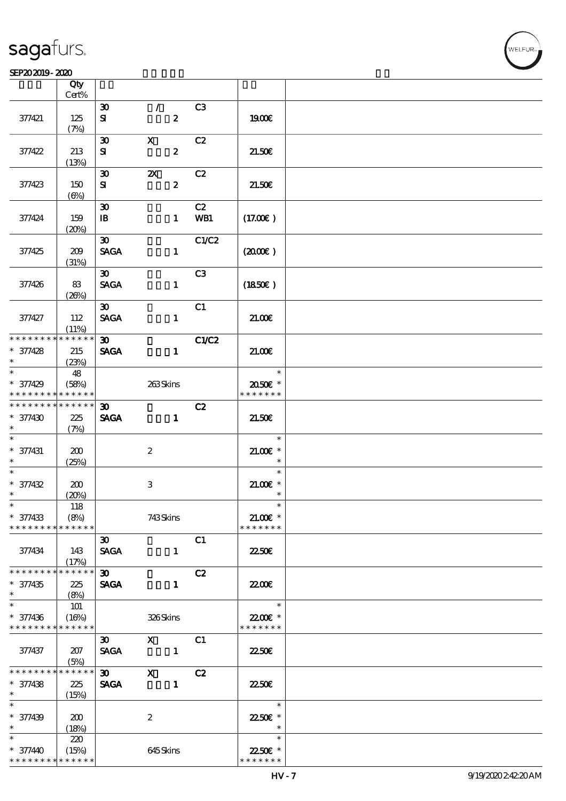#### $SEP202019 - 2020$  $\overline{\phantom{a}}$  Qty  $\overline{\phantom{a}}$

|                                          | Qty<br>Cert%         |                             |                       |                |                           |  |
|------------------------------------------|----------------------|-----------------------------|-----------------------|----------------|---------------------------|--|
|                                          |                      |                             |                       |                |                           |  |
|                                          |                      | $\boldsymbol{\mathfrak{D}}$ | $\mathcal{L}$         | C <sub>3</sub> |                           |  |
| 377421                                   | 125                  | ${\bf s}$                   | $\boldsymbol{z}$      |                | 1900€                     |  |
|                                          | (7%)                 |                             |                       |                |                           |  |
|                                          |                      | $\boldsymbol{\mathfrak{D}}$ | $\mathbf{x}$          | C2             |                           |  |
| 377422                                   | 213                  | ${\bf s}$                   | $\boldsymbol{z}$      |                | 21.50E                    |  |
|                                          | (13%)                |                             |                       |                |                           |  |
|                                          |                      | $\boldsymbol{\mathfrak{D}}$ | $\boldsymbol{\alpha}$ | C2             |                           |  |
| 377423                                   | 150                  | ${\bf s}$                   | $\boldsymbol{z}$      |                | 21.50E                    |  |
|                                          | $(\Theta)$           |                             |                       |                |                           |  |
|                                          |                      | $\boldsymbol{\mathfrak{D}}$ |                       | C2             |                           |  |
| 377424                                   | 159                  | $\mathbf{B}$                | $\mathbf{1}$          | WB1            | (17.00)                   |  |
|                                          | (20%)                |                             |                       |                |                           |  |
|                                          |                      | $\boldsymbol{\mathfrak{D}}$ |                       | C1/C2          |                           |  |
|                                          |                      | <b>SAGA</b>                 |                       |                |                           |  |
| 37425                                    | 209                  |                             | $\mathbf{1}$          |                | $(2000\varepsilon)$       |  |
|                                          | (31%)                |                             |                       |                |                           |  |
|                                          |                      | $\boldsymbol{\mathfrak{D}}$ |                       | C3             |                           |  |
| 377426                                   | 83                   | <b>SAGA</b>                 | $\mathbf{1}$          |                | (1850)                    |  |
|                                          | (20%)                |                             |                       |                |                           |  |
|                                          |                      | $\boldsymbol{\mathfrak{D}}$ |                       | C1             |                           |  |
| 377427                                   | 112                  | <b>SACA</b>                 | $\mathbf{1}$          |                | 21.00                     |  |
|                                          | (11%)                |                             |                       |                |                           |  |
| * * * * * * * * * * * * * *              |                      | $\infty$                    |                       | C1/C2          |                           |  |
| $* 377428$                               | 215                  | <b>SAGA</b>                 | $\mathbf{1}$          |                | 21.00                     |  |
| $\ast$                                   | (23%)                |                             |                       |                |                           |  |
| $\overline{\phantom{0}}$                 | 48                   |                             |                       |                | $\ast$                    |  |
| $* 377429$                               | (58%)                |                             | 263Skins              |                | 2050E *                   |  |
| * * * * * * * * <mark>* * * * * *</mark> |                      |                             |                       |                | * * * * * * *             |  |
| * * * * * * * * * * * * * * *            |                      | $\boldsymbol{\mathfrak{D}}$ |                       | C2             |                           |  |
| $* 377430$                               | 225                  | <b>SAGA</b>                 | $\mathbf{1}$          |                | 21.50E                    |  |
| $\ast$                                   | (7%)                 |                             |                       |                |                           |  |
| $\ast$                                   |                      |                             |                       |                | $\ast$                    |  |
| $* 377431$                               | 200                  |                             | $\boldsymbol{2}$      |                | $21.00$ $*$               |  |
| $\ast$                                   | (25%)                |                             |                       |                | $\ast$                    |  |
| $\ast$                                   |                      |                             |                       |                | $\ast$                    |  |
| * 377432                                 | 200                  |                             | 3                     |                | $21.005*$                 |  |
| $\ast$                                   |                      |                             |                       |                | $\ast$                    |  |
| $\ast$                                   | (20%)                |                             |                       |                | $\ast$                    |  |
|                                          | 118                  |                             |                       |                |                           |  |
| * 377433                                 | (8%)                 |                             | 743Skins              |                | $21.00E$ *                |  |
| * * * * * * * *                          | * * * * * *          |                             |                       |                | * * * * * * *             |  |
|                                          |                      | $\boldsymbol{\mathfrak{D}}$ |                       | C1             |                           |  |
| 377434                                   | 143                  | <b>SAGA</b>                 | $\mathbf{1}$          |                | 2250E                     |  |
|                                          | (17%)                |                             |                       |                |                           |  |
| * * * * * * * *                          | * * * * * *          | $\boldsymbol{\mathfrak{D}}$ |                       | C2             |                           |  |
| $* 377435$                               | 225                  | <b>SAGA</b>                 | $\mathbf{1}$          |                | 2200                      |  |
| $\ast$                                   | (8%)                 |                             |                       |                |                           |  |
| $\ast$                                   | 101                  |                             |                       |                | $\ast$                    |  |
| $* 377436$                               | (16%)                |                             | 326Skins              |                | 22.00€ *                  |  |
| * * * * * * * *                          | * * * * * *          |                             |                       |                | * * * * * * *             |  |
|                                          |                      | $\boldsymbol{\mathfrak{D}}$ | $\mathbf X$           | C1             |                           |  |
| 377437                                   | 207                  | <b>SAGA</b>                 | $\blacksquare$        |                | 2250E                     |  |
|                                          | (5%)                 |                             |                       |                |                           |  |
| * * * * * * * *                          | $* * * * * *$        | $\infty$                    | $\mathbf{x}$          | C2             |                           |  |
| $* 377438$                               | 225                  | <b>SAGA</b>                 | $\blacksquare$        |                | 2250E                     |  |
| $\ast$                                   | (15%)                |                             |                       |                |                           |  |
| $\ast$                                   |                      |                             |                       |                | $\ast$                    |  |
| $* 377439$                               | 200                  |                             | $\boldsymbol{2}$      |                | 22.50€ *                  |  |
| $\ast$                                   | (18%)                |                             |                       |                | $\ast$                    |  |
| $\ast$                                   | 220                  |                             |                       |                | $\ast$                    |  |
|                                          |                      |                             |                       |                |                           |  |
| $* 377440$<br>* * * * * * * *            | (15%)<br>* * * * * * |                             | 645Skins              |                | 22.50€ *<br>* * * * * * * |  |
|                                          |                      |                             |                       |                |                           |  |

**NELFUR**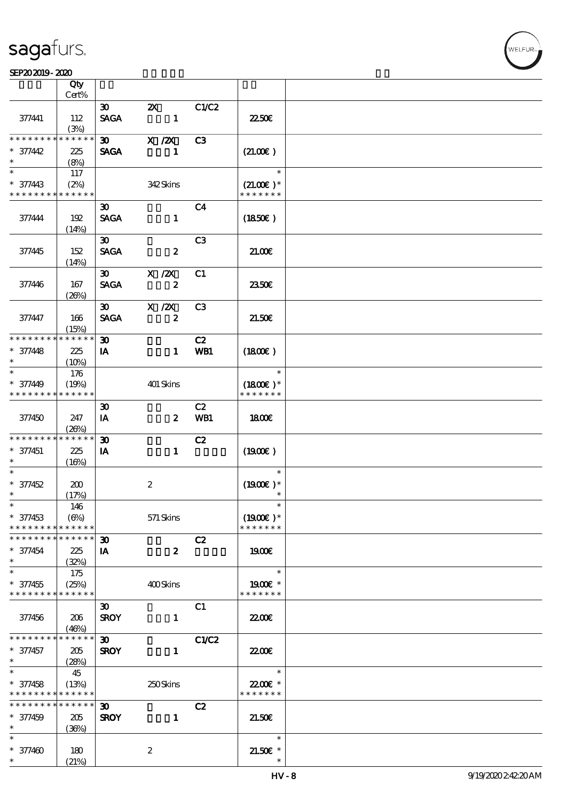#### SEP202019-2020

|                                           | Qty                  |                             |                  |                |                             |  |
|-------------------------------------------|----------------------|-----------------------------|------------------|----------------|-----------------------------|--|
|                                           | Cert%                |                             |                  |                |                             |  |
|                                           |                      | $\boldsymbol{\infty}$       | $\mathbf{X}$     | C1/C2          |                             |  |
| 377441                                    | 112                  | <b>SAGA</b>                 | $\blacksquare$   |                | 2250E                       |  |
| * * * * * * * * * * * * * *               | (3%)                 |                             |                  |                |                             |  |
|                                           |                      | $\boldsymbol{\mathfrak{D}}$ | $X$ / $ZX$       | C <sub>3</sub> |                             |  |
| $* 377442$                                | 225                  | <b>SAGA</b>                 | 1                |                | (21.00)                     |  |
| $\ast$<br>$\ast$                          | (8%)                 |                             |                  |                |                             |  |
|                                           | 117                  |                             |                  |                | $\ast$                      |  |
| $* 377443$                                | (2%)                 |                             | 342Skins         |                | $(21.00)$ *                 |  |
| * * * * * * * * * * * * * *               |                      |                             |                  |                | * * * * * * *               |  |
|                                           |                      | $\boldsymbol{\mathfrak{D}}$ |                  | C <sub>4</sub> |                             |  |
| 377444                                    | 192                  | <b>SAGA</b>                 | $\mathbf{1}$     |                | (1850)                      |  |
|                                           | (14%)                |                             |                  |                |                             |  |
|                                           |                      | $\boldsymbol{\mathfrak{D}}$ |                  | C <sub>3</sub> |                             |  |
| 377445                                    | 152                  | <b>SAGA</b>                 | $\boldsymbol{z}$ |                | 21.00                       |  |
|                                           | (14%)                |                             |                  |                |                             |  |
|                                           |                      | $\boldsymbol{\mathfrak{D}}$ | $X$ / $ZX$       | C1             |                             |  |
| 377446                                    | 167                  | <b>SAGA</b>                 | $\boldsymbol{z}$ |                | 2350E                       |  |
|                                           | (20%)                |                             |                  |                |                             |  |
|                                           |                      | $\infty$                    | $X$ / $ZX$       | C <sub>3</sub> |                             |  |
| 377447                                    | 166                  | <b>SAGA</b>                 | $\boldsymbol{z}$ |                | 21.50E                      |  |
| * * * * * * * *                           | (15%)<br>* * * * * * |                             |                  |                |                             |  |
|                                           |                      | $\boldsymbol{\mathfrak{D}}$ |                  | C2             |                             |  |
| $* 377448$<br>$\ast$                      | 225                  | IA                          | $\mathbf{1}$     | WB1            | $(1800\epsilon)$            |  |
| $\ast$                                    | $(10\%)$             |                             |                  |                | $\ast$                      |  |
|                                           | 176                  |                             |                  |                |                             |  |
| $* 377449$<br>* * * * * * * * * * * * * * | (19%)                |                             | 401 Skins        |                | $(1800E)*$<br>* * * * * * * |  |
|                                           |                      |                             |                  |                |                             |  |
|                                           |                      | $\boldsymbol{\mathfrak{D}}$ |                  | C2             |                             |  |
| 377450                                    | 247                  | IA                          | $\boldsymbol{z}$ | WB1            | 1800                        |  |
| * * * * * * * *                           | (20%)<br>* * * * * * | $\boldsymbol{\mathfrak{D}}$ |                  |                |                             |  |
|                                           |                      |                             |                  | C2             | (1900)                      |  |
| $* 377451$<br>$\ast$                      | 225                  | IA                          | $\mathbf{1}$     |                |                             |  |
| $\ast$                                    | (16%)                |                             |                  |                | $\ast$                      |  |
| $* 377452$                                | 200                  |                             | $\boldsymbol{2}$ |                | $(1900E)*$                  |  |
| $\ast$                                    | (17%)                |                             |                  |                | $\ast$                      |  |
| $*$                                       | 146                  |                             |                  |                | $\ast$                      |  |
| $* 377453$                                | (6%)                 |                             | $571$ Skins      |                | $(1900E)*$                  |  |
| * * * * * * * *                           | * * * * * *          |                             |                  |                | * * * * * * *               |  |
| * * * * * * * *                           | * * * * * *          | $\boldsymbol{\mathfrak{D}}$ |                  | C2             |                             |  |
| $* 377454$                                | 225                  | IA                          | $\boldsymbol{z}$ |                | 1900                        |  |
| $\ast$                                    | (32%)                |                             |                  |                |                             |  |
| $\ast$                                    | 175                  |                             |                  |                | $\ast$                      |  |
| $* 377455$                                | (25%)                |                             | 400Skins         |                | 1900E *                     |  |
| * * * * * * * * * * * * * *               |                      |                             |                  |                | * * * * * * *               |  |
|                                           |                      | $\boldsymbol{\mathfrak{D}}$ |                  | C1             |                             |  |
| 377456                                    | 206                  | <b>SROY</b>                 | $\mathbf{1}$     |                | <b>2200</b> €               |  |
|                                           | (46%)                |                             |                  |                |                             |  |
| * * * * * * * *                           | * * * * * *          | $\boldsymbol{\mathfrak{D}}$ |                  | C1/C2          |                             |  |
| $* 377457$                                | 205                  | <b>SROY</b>                 | $\mathbf{1}$     |                | <b>2200E</b>                |  |
| $\ast$                                    | (28%)                |                             |                  |                |                             |  |
| $\ast$                                    | 45                   |                             |                  |                | $\ast$                      |  |
| $* 377458$                                | (13%)                |                             | 250Skins         |                | 2200€ *                     |  |
| * * * * * * * * * * * * * *               |                      |                             |                  |                | * * * * * * *               |  |
| * * * * * * * *                           | $******$             | $\boldsymbol{\mathfrak{D}}$ |                  | C2             |                             |  |
| $* 377459$                                | 205                  | <b>SROY</b>                 | $\mathbf{1}$     |                | 21.50E                      |  |
| $\ast$                                    | (36%)                |                             |                  |                |                             |  |
| $\ast$                                    |                      |                             |                  |                | $\ast$                      |  |
| $* 377400$                                | 180                  |                             | $\boldsymbol{z}$ |                | $21.50E$ *                  |  |
| $\ast$                                    | (21%)                |                             |                  |                |                             |  |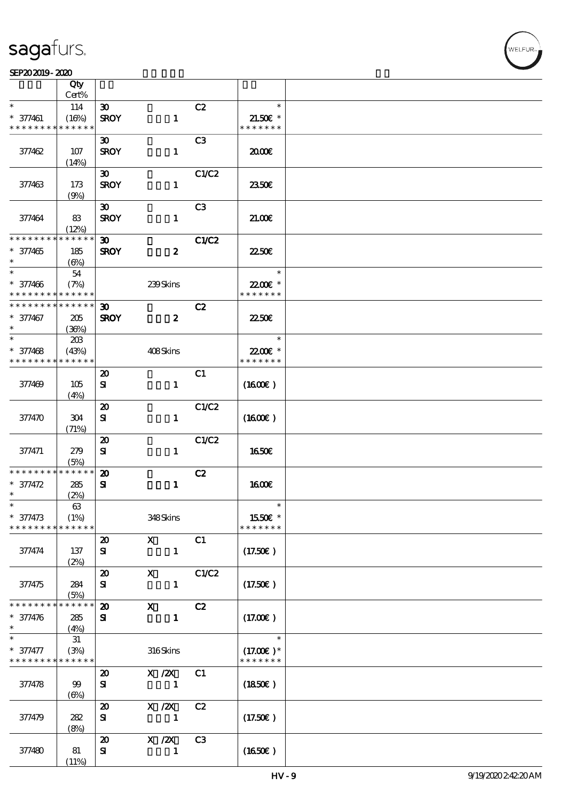#### SEP20 2019 - 2020 米黄 天鹅绒 公皮

|                                          | Qty<br>Cert%         |                             |                  |                |                     |  |
|------------------------------------------|----------------------|-----------------------------|------------------|----------------|---------------------|--|
| $\ast$                                   |                      |                             |                  |                | $\ast$              |  |
|                                          | 114                  | $\boldsymbol{\mathfrak{D}}$ |                  | C2             |                     |  |
| $* 377461$                               | (16%)                | <b>SROY</b>                 | $\mathbf{1}$     |                | $21.50E$ *          |  |
| * * * * * * * *                          | * * * * * *          |                             |                  |                | * * * * * * *       |  |
|                                          |                      | $\boldsymbol{\mathfrak{D}}$ |                  | C3             |                     |  |
| 377462                                   | 107                  | <b>SROY</b>                 | $\mathbf{1}$     |                | 2000                |  |
|                                          | (14%)                |                             |                  |                |                     |  |
|                                          |                      | $\boldsymbol{\mathfrak{D}}$ |                  | C1/C2          |                     |  |
| 377463                                   | 173                  | <b>SROY</b>                 | $\mathbf{1}$     |                | 2350E               |  |
|                                          | (9%)                 |                             |                  |                |                     |  |
|                                          |                      | $\boldsymbol{\mathfrak{D}}$ |                  | C <sub>3</sub> |                     |  |
|                                          |                      |                             |                  |                |                     |  |
| 377464                                   | 83                   | <b>SROY</b>                 | $\mathbf{1}$     |                | 21.00               |  |
| * * * * * * * *                          | (12%)<br>* * * * * * |                             |                  |                |                     |  |
|                                          |                      | $\boldsymbol{\mathfrak{D}}$ |                  | C1/C2          |                     |  |
| $* 377465$                               | 185                  | <b>SROY</b>                 | $\boldsymbol{z}$ |                | 2250E               |  |
| $\ast$                                   | $(\Theta)$           |                             |                  |                |                     |  |
| $\ast$                                   | 54                   |                             |                  |                | $\ast$              |  |
| $* 377466$                               | (7%)                 |                             | 239Skins         |                | 22.00 *             |  |
| * * * * * * * *                          | * * * * * *          |                             |                  |                | * * * * * * *       |  |
| * * * * * * * *                          | * * * * * *          | $\boldsymbol{\mathfrak{D}}$ |                  | C2             |                     |  |
| * 377467                                 | 205                  | <b>SROY</b>                 | $\boldsymbol{z}$ |                | <b>2250€</b>        |  |
| $\ast$                                   | (36%)                |                             |                  |                |                     |  |
| $\ast$                                   | 203                  |                             |                  |                | $\ast$              |  |
| $* 377468$                               | (43%)                |                             | 408Skins         |                | 22.00€ *            |  |
| * * * * * * * *                          | * * * * * *          |                             |                  |                | * * * * * * *       |  |
|                                          |                      |                             |                  |                |                     |  |
|                                          |                      | $\boldsymbol{\mathbf{z}}$   |                  | C1             |                     |  |
| 377469                                   | 105                  | ${\bf s}$                   | $\mathbf{1}$     |                | $(1600\varepsilon)$ |  |
|                                          | (4%)                 |                             |                  |                |                     |  |
|                                          |                      | $\boldsymbol{\mathsf{20}}$  |                  | C1/C2          |                     |  |
| 377470                                   | 304                  | ${\bf s}$                   | $\mathbf{1}$     |                | $(1600\varepsilon)$ |  |
|                                          | (71%)                |                             |                  |                |                     |  |
|                                          |                      | $\boldsymbol{\mathbf{z}}$   |                  | C1/C2          |                     |  |
| 377471                                   | 279                  | ${\bf s}$                   | $\mathbf{1}$     |                | 1650E               |  |
|                                          | (5%)                 |                             |                  |                |                     |  |
| * * * * * * * *                          | ******               | $\boldsymbol{\mathfrak{D}}$ |                  | C2             |                     |  |
| $* 377472$                               | 285                  | ${\bf s}$                   | $\mathbf{1}$     |                | <b>1600€</b>        |  |
| $\ast$                                   | (2%)                 |                             |                  |                |                     |  |
| $\ast$                                   | $63\,$               |                             |                  |                | $\ast$              |  |
|                                          |                      |                             |                  |                |                     |  |
| $* 377473$                               | (1%)                 |                             | 348Skins         |                | 1550€ *             |  |
| * * * * * * * *                          | * * * * * *          |                             |                  |                | * * * * * * *       |  |
|                                          |                      | $\boldsymbol{\mathfrak{D}}$ | $\mathbf{X}$     | C1             |                     |  |
| 377474                                   | 137                  | ${\bf s}$                   | $\mathbf{1}$     |                | (17.50)             |  |
|                                          | (2%)                 |                             |                  |                |                     |  |
|                                          |                      | $\boldsymbol{\mathsf{20}}$  | $\mathbf{x}$     | C1/C2          |                     |  |
| 377475                                   | 284                  | ${\bf s}$                   | $\mathbf{1}$     |                | (17.50)             |  |
|                                          | (5%)                 |                             |                  |                |                     |  |
| * * * * * * * *                          | * * * * * *          | $\boldsymbol{\mathfrak{D}}$ | $\mathbf{x}$     | C2             |                     |  |
| $* 377476$                               | 285                  | ${\bf s}$                   | $\mathbf{1}$     |                | (17.00)             |  |
| $\ast$                                   | (4%)                 |                             |                  |                |                     |  |
| $\ast$                                   |                      |                             |                  |                | $\ast$              |  |
|                                          | 31                   |                             |                  |                |                     |  |
| * 377477                                 | (3%)                 |                             | 316Skins         |                | $(17.00)$ *         |  |
| * * * * * * * * <mark>* * * * * *</mark> |                      |                             |                  |                | * * * * * * *       |  |
|                                          |                      | $\boldsymbol{\mathfrak{D}}$ | $X$ / $ZX$       | C1             |                     |  |
| 377478                                   | $99$                 | ${\bf s}$                   | $\blacksquare$   |                | (1850)              |  |
|                                          | $(\Theta)$           |                             |                  |                |                     |  |
|                                          |                      | $\boldsymbol{\mathfrak{D}}$ | $X$ / $ZX$       | C2             |                     |  |
| 377479                                   | 282                  | ${\bf s}$                   | $\mathbf{1}$     |                | (17.50E)            |  |
|                                          | (8%)                 |                             |                  |                |                     |  |
|                                          |                      | $\boldsymbol{\mathfrak{D}}$ | $X$ / $ZX$       | C <sub>3</sub> |                     |  |
| 377480                                   | 81                   | ${\bf s}$                   | 1                |                | (1650)              |  |
|                                          |                      |                             |                  |                |                     |  |
|                                          | (11%)                |                             |                  |                |                     |  |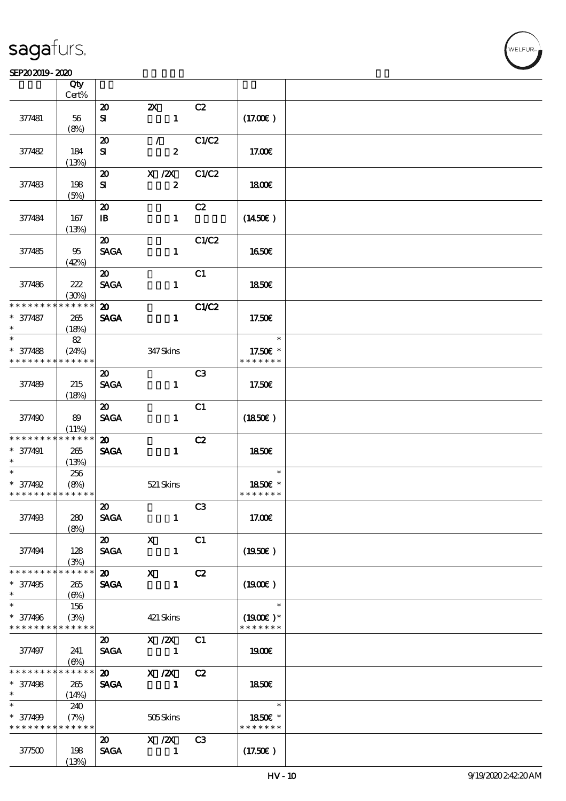#### SEP20 2019 - 2020 米黄 天鹅绒 公皮

| SEP202019-2020                          |                       |                                            |                                           |                |                          |  |
|-----------------------------------------|-----------------------|--------------------------------------------|-------------------------------------------|----------------|--------------------------|--|
|                                         | Qty                   |                                            |                                           |                |                          |  |
|                                         | Cert%                 |                                            |                                           |                |                          |  |
|                                         |                       | $\boldsymbol{\mathbf{z}}$                  | $\boldsymbol{\mathsf{Z}}$<br>$\mathbf{1}$ | C2             |                          |  |
| 377481                                  | 56<br>(8%)            | ${\bf s}$                                  |                                           |                | (17.00)                  |  |
|                                         |                       | $\boldsymbol{\mathfrak{D}}$                | $\mathcal{F}$                             | C1/C2          |                          |  |
| 37482                                   | 184                   | ${\bf s}$                                  | $\boldsymbol{z}$                          |                | 17.00E                   |  |
|                                         | (13%)                 |                                            |                                           |                |                          |  |
|                                         |                       | $\boldsymbol{\mathbf{z}}$                  | $X$ / $ZX$                                | C1/C2          |                          |  |
| 377483                                  | 198                   | ${\bf s}$                                  | $\pmb{2}$                                 |                | 1800E                    |  |
|                                         | (5%)                  |                                            |                                           |                |                          |  |
|                                         | 167                   | $\boldsymbol{\mathbf{z}}$                  | $\mathbf{1}$                              | C2             | $(1450\epsilon)$         |  |
| 377484                                  | (13%)                 | $\mathbf{B}$                               |                                           |                |                          |  |
|                                         |                       | $\boldsymbol{\mathfrak{D}}$                |                                           | C1/C2          |                          |  |
| 377485                                  | 95                    | <b>SAGA</b>                                | $\mathbf{1}$                              |                | 1650€                    |  |
|                                         | (42%)                 |                                            |                                           |                |                          |  |
|                                         |                       | $\boldsymbol{\mathfrak{D}}$                |                                           | C1             |                          |  |
| 377486                                  | 222                   | <b>SAGA</b>                                | $\mathbf{1}$                              |                | 1850€                    |  |
| * * * * * * * *                         | (30%)<br>* * * * * *  | $\boldsymbol{\mathfrak{D}}$                |                                           |                |                          |  |
| * 377487                                | 265                   | <b>SAGA</b>                                | $\mathbf{1}$                              | C1/C2          | 17.50€                   |  |
| $\ast$                                  | (18%)                 |                                            |                                           |                |                          |  |
| $\ast$                                  | 82                    |                                            |                                           |                | $\ast$                   |  |
| $* 377488$                              | (24%)                 |                                            | 347 Skins                                 |                | 17.50€ *                 |  |
| * * * * * * * *                         | * * * * * *           |                                            |                                           |                | * * * * * * *            |  |
|                                         |                       | $\boldsymbol{\mathfrak{D}}$                |                                           | C <sub>3</sub> |                          |  |
| 377489                                  | 215                   | <b>SAGA</b>                                | $\mathbf{1}$                              |                | 17.50€                   |  |
|                                         | (18%)                 | $\boldsymbol{\mathfrak{D}}$                |                                           | C1             |                          |  |
| 377490                                  | 89                    | <b>SAGA</b>                                | $\mathbf{1}$                              |                | $(1850\epsilon)$         |  |
|                                         | (11%)                 |                                            |                                           |                |                          |  |
| * * * * * * * *                         | * * * * * *           | $\boldsymbol{\mathfrak{D}}$                |                                           | C2             |                          |  |
| $* 377491$                              | $265\,$               | <b>SAGA</b>                                | $\mathbf{1}$                              |                | 1850E                    |  |
| $\ast$                                  | (13%)                 |                                            |                                           |                |                          |  |
| $\ast$                                  | 256                   |                                            |                                           |                | $\ast$                   |  |
| * 377492<br>* * * * * * * * * * * * * * | (8%)                  |                                            | 521 Skins                                 |                | 1850E *<br>* * * * * * * |  |
|                                         |                       | $\boldsymbol{\mathfrak{D}}$                |                                           | C3             |                          |  |
| 377493                                  | 280                   | SAGA                                       | $\mathbf{1}$                              |                | 17.00€                   |  |
|                                         | (8%)                  |                                            |                                           |                |                          |  |
|                                         |                       | $\boldsymbol{\mathsf{20}}$ X               |                                           | C1             |                          |  |
| 377494                                  | 128                   | <b>SAGA</b>                                | $\mathbf{1}$                              |                | $(1950\epsilon)$         |  |
|                                         | (3%)<br>$* * * * * *$ |                                            |                                           |                |                          |  |
| $* 377495$                              | 265                   | $\boldsymbol{\mathfrak{D}}$<br><b>SAGA</b> | $\mathbf x$<br>$\blacksquare$             | C2             | $(1900\epsilon)$         |  |
| $\ast$                                  | (6%)                  |                                            |                                           |                |                          |  |
| $\overline{\phantom{0}}$                | 156                   |                                            |                                           |                | $\ast$                   |  |
| $* 377496$                              | (3%)                  |                                            | 421 Skins                                 |                | $(1900E)*$               |  |
| * * * * * * * *                         | * * * * * *           |                                            |                                           |                | * * * * * * *            |  |
|                                         |                       | $\boldsymbol{\omega}$                      | X / ZX                                    | C1             |                          |  |
| 377497                                  | 241                   | <b>SAGA</b>                                | $\overline{\phantom{a}}$                  |                | 1900E                    |  |
| * * * * * * * *                         | (6%)<br>* * * * * *   |                                            | 20 X /2X                                  | C2             |                          |  |
| $* 377498$                              | 265                   | <b>SAGA</b>                                | - 1                                       |                | 1850 <sub>E</sub>        |  |
| $\ast$                                  | (14%)                 |                                            |                                           |                |                          |  |
|                                         | 240                   |                                            |                                           |                | $\ast$                   |  |
| * 377499                                | (7%)                  |                                            | 505Skins                                  |                | 1850E *                  |  |
| * * * * * * * *                         | * * * * * *           |                                            |                                           |                | * * * * * * *            |  |
|                                         |                       | $\boldsymbol{\mathsf{20}}$<br><b>SAGA</b>  | $X$ / $ZX$<br>$\sim$ 1                    | C <sub>3</sub> |                          |  |
| 377500                                  | 198<br>(13%)          |                                            |                                           |                | $(17.50\epsilon)$        |  |
|                                         |                       |                                            |                                           |                |                          |  |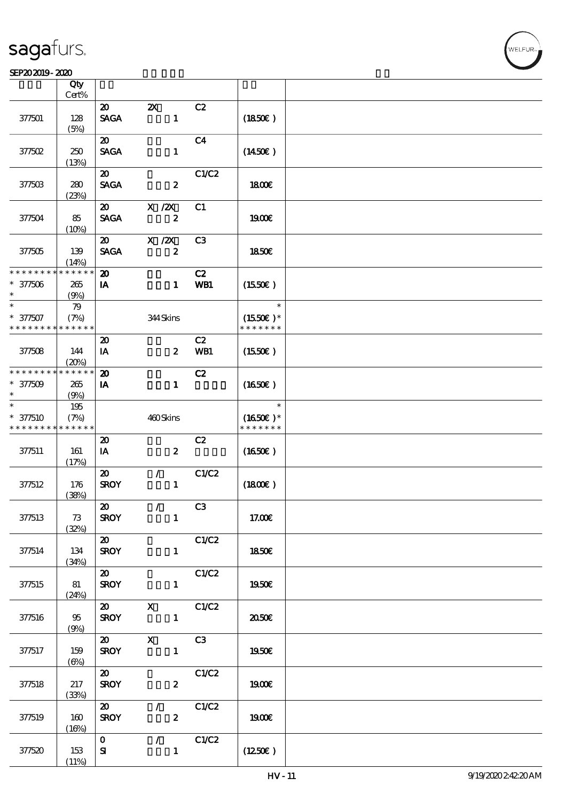#### SEP202019-2020

|                                           | Qty<br>$Cert\%$ |                                            |                                           |                |                             |  |
|-------------------------------------------|-----------------|--------------------------------------------|-------------------------------------------|----------------|-----------------------------|--|
|                                           |                 |                                            |                                           |                |                             |  |
| 377501                                    | 128<br>(5%)     | $\boldsymbol{\mathfrak{D}}$<br><b>SAGA</b> | $\boldsymbol{\mathsf{Z}}$<br>$\mathbf{1}$ | C2             | (1850)                      |  |
|                                           |                 | $\boldsymbol{\mathfrak{D}}$                |                                           | C <sub>4</sub> |                             |  |
| 377502                                    | 250<br>(13%)    | <b>SAGA</b>                                | $\mathbf{1}$                              |                | $(1450\epsilon)$            |  |
|                                           |                 | $\boldsymbol{\mathfrak{D}}$                |                                           | C1/C2          |                             |  |
| 377503                                    | 280<br>(23%)    | <b>SAGA</b>                                | $\boldsymbol{z}$                          |                | 1800E                       |  |
|                                           |                 | $\boldsymbol{\mathfrak{D}}$                | $X$ / $ZX$                                | C1             |                             |  |
| 377504                                    | 85<br>(10%)     | <b>SAGA</b>                                | $\boldsymbol{z}$                          |                | 1900E                       |  |
|                                           |                 | $\boldsymbol{\mathfrak{D}}$                | $X \, /ZX$                                | C <sub>3</sub> |                             |  |
| 377505                                    | 139<br>(14%)    | <b>SAGA</b>                                | $\boldsymbol{z}$                          |                | <b>1850€</b>                |  |
| * * * * * * * *                           | * * * * * *     | $\boldsymbol{\mathfrak{D}}$                |                                           | C2             |                             |  |
| $* 377506$<br>$\ast$                      | 265<br>(9%)     | IA                                         | $\mathbf{1}$                              | WB1            | (1550E)                     |  |
| $\ast$                                    | 79              |                                            |                                           |                | $\ast$                      |  |
| $* 377507$<br>* * * * * * * * * * * * * * | (7%)            |                                            | 344Skins                                  |                | $(1550E)*$<br>* * * * * * * |  |
|                                           |                 | $\boldsymbol{\mathfrak{D}}$                |                                           | C2             |                             |  |
| 377508                                    | 144<br>(20%)    | IA                                         | $\boldsymbol{z}$                          | WB1            | (1550E)                     |  |
| * * * * * * * *                           | * * * * * *     | $\boldsymbol{\mathbf{z}}$                  |                                           | C2             |                             |  |
| $* 377509$<br>$\ast$                      | 265<br>(9%)     | IA                                         | $\mathbf{1}$                              |                | (1650)                      |  |
| $\ast$                                    | 195             |                                            |                                           |                | $\ast$                      |  |
| $* 377510$                                | (7%)            |                                            | 460Skins                                  |                | $(1650)$ *                  |  |
| * * * * * * * *                           | * * * * * *     |                                            |                                           |                | * * * * * * *               |  |
|                                           |                 | $\boldsymbol{\mathfrak{D}}$                |                                           | C2             |                             |  |
| 377511                                    | 161<br>(17%)    | IA                                         | $\boldsymbol{z}$                          |                | $(1650\epsilon)$            |  |
|                                           |                 | $\boldsymbol{\mathfrak{D}}$                | $\mathcal{L}$                             | C1/C2          |                             |  |
| 377512                                    | 176<br>(38%)    | <b>SROY</b>                                | $\mathbf{1}$                              |                | (1800)                      |  |
|                                           |                 | $\boldsymbol{\mathfrak{D}}$                | $\mathcal{L} = \mathcal{L}$               | C3             |                             |  |
| 377513                                    | 73<br>(32%)     | <b>SROY</b>                                | $\mathbf{1}$                              |                | 17.00E                      |  |
|                                           |                 | $\boldsymbol{\omega}$                      |                                           | C1/C2          |                             |  |
| 377514                                    | 134<br>(34%)    | <b>SROY</b>                                | $\mathbf{1}$                              |                | 1850€                       |  |
|                                           |                 | $\boldsymbol{\omega}$                      |                                           | C1/C2          |                             |  |
| 377515                                    | 81<br>(24%)     | <b>SROY</b>                                | $\mathbf{1}$                              |                | 1950E                       |  |
|                                           |                 | $\boldsymbol{\mathfrak{D}}$                | $\mathbf{x}$                              | C1/C2          |                             |  |
| 377516                                    | $95\,$<br>(9%)  | <b>SROY</b>                                | $\mathbf{1}$                              |                | 2050E                       |  |
|                                           |                 | $\boldsymbol{\mathsf{20}}$                 | $\mathbf{X}$                              | C3             |                             |  |
| 377517                                    | 159             | <b>SROY</b>                                | $\mathbf{1}$                              |                | 1950€                       |  |
|                                           | $(\Theta)$      |                                            |                                           |                |                             |  |
|                                           |                 | $\boldsymbol{\omega}$                      |                                           | C1/C2          |                             |  |
| 377518                                    | 217             | <b>SROY</b>                                | $\boldsymbol{2}$                          |                | <b>1900€</b>                |  |
|                                           | (33%)           |                                            |                                           |                |                             |  |
|                                           |                 | $\boldsymbol{\omega}$                      | $\mathcal{L}_{\mathcal{L}}$               | C1/C2          |                             |  |
| 377519                                    | 160<br>(16%)    | <b>SROY</b>                                | $\mathbf{2}$                              |                | 1900€                       |  |
|                                           |                 | $\mathbf{O}$                               | $\sqrt{C1/C2}$                            |                |                             |  |
| 377520                                    | 153             | ${\bf S\hspace{-.075ex}I}$                 | $\mathbf{1}$                              |                | (1250E)                     |  |
|                                           | (11%)           |                                            |                                           |                |                             |  |

.<br>FLEUR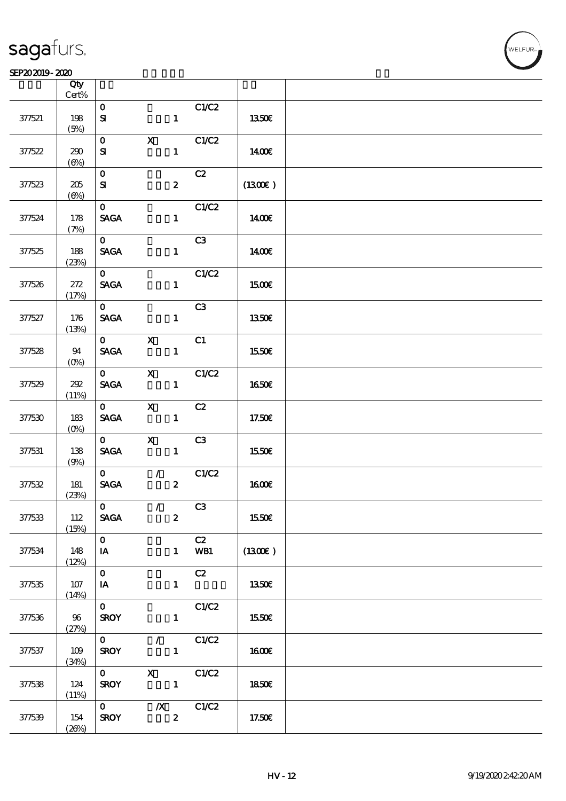#### SEP20 2019 - 2020 米黄 天鹅绒 公皮

|        | Qty<br>$Cert\%$   |                                                |                                      |                           |              |  |
|--------|-------------------|------------------------------------------------|--------------------------------------|---------------------------|--------------|--|
| 377521 | 198<br>(5%)       | $\mathbf 0$<br>${\bf s}$                       |                                      | C1/C2<br>$\mathbf{1}$     | 1350€        |  |
| 377522 | 290<br>$(\Theta)$ | $\mathbf{O}$<br>${\bf s}$                      | $\mathbf{X}$                         | C1/C2<br>$\mathbf{1}$     | 1400E        |  |
| 377523 | 205<br>$(\Theta)$ | $\mathbf{O}$<br>${\bf s}$                      | $\boldsymbol{z}$                     | C2                        | (1300)       |  |
| 377524 | 178<br>(7%)       | $\mathbf{o}$<br><b>SAGA</b>                    |                                      | C1/C2<br>$\mathbf{1}$     | 1400€        |  |
| 377525 | 188<br>(23%)      | $\mathbf{O}$<br><b>SAGA</b>                    |                                      | C3<br>$\mathbf{1}$        | 1400€        |  |
| 377526 | 272<br>(17%)      | $\mathbf{O}$<br><b>SAGA</b>                    |                                      | C1/C2<br>$\mathbf{1}$     | 1500€        |  |
| 377527 | 176<br>(13%)      | $\mathbf{O}$<br><b>SAGA</b>                    |                                      | C3<br>$\mathbf{1}$        | <b>1350€</b> |  |
| 377528 | 94<br>$(O\!/\!o)$ | $\mathbf{O}$<br>$\operatorname{\mathbf{SAGA}}$ | $\mathbf{x}$                         | C1<br>$\mathbf{1}$        | 1550€        |  |
| 377529 | 202<br>(11%)      | $\mathbf{O}$<br>$\operatorname{\mathsf{SAGA}}$ | $\mathbf X$                          | C1/C2<br>$\mathbf{1}$     | 1650€        |  |
| 377530 | 183<br>$(0\%)$    | $\mathbf{O}$<br><b>SAGA</b>                    | $\mathbf x$                          | C2<br>$\mathbf{1}$        | 17.50€       |  |
| 377531 | 138<br>(9%)       | $\mathbf{0}$<br><b>SAGA</b>                    | $\mathbf{x}$                         | C3<br>$\mathbf{1}$        | 1550€        |  |
| 377532 | 181<br>(23%)      | $\mathbf{O}$<br><b>SAGA</b>                    | $\overline{\phantom{a}}$             | C1/C2<br>$\boldsymbol{z}$ | <b>1600€</b> |  |
| 377533 | 112<br>(15%)      | $\mathbf{0}$<br><b>SAGA</b>                    | $\overline{1}$<br>$\boldsymbol{z}$   | C <sub>3</sub>            | 1550€        |  |
| 377534 | 148<br>(12%)      | $\mathbf{O}$<br>IA                             |                                      | C2<br>WB1<br>$1 -$        | (1300E)      |  |
| 377535 | 107<br>(14%)      | $\mathbf{O}$<br>IA                             |                                      | C2<br>$\mathbf{1}$        | 1350E        |  |
| 377536 | 96<br>(27%)       | $\mathbf{O}$<br><b>SROY</b>                    |                                      | C1/C2<br>$\mathbf{1}$     | 1550€        |  |
| 377537 | 109<br>(34%)      | $\mathbf{O}$<br><b>SROY</b>                    | $\mathcal{F}$ and $\mathcal{F}$      | C1/C2<br>$\mathbf{1}$     | 1600E        |  |
| 377538 | 124<br>(11%)      | $\mathbf{0}$<br><b>SROY</b>                    | $\mathbf{X}$                         | C1/C2<br>$\mathbf{1}$     | <b>1850€</b> |  |
| 377539 | 154<br>(20%)      | $\mathbf{O}$<br><b>SROY</b>                    | $\boldsymbol{X}$<br>$\boldsymbol{2}$ | C1/C2                     | 17.50€       |  |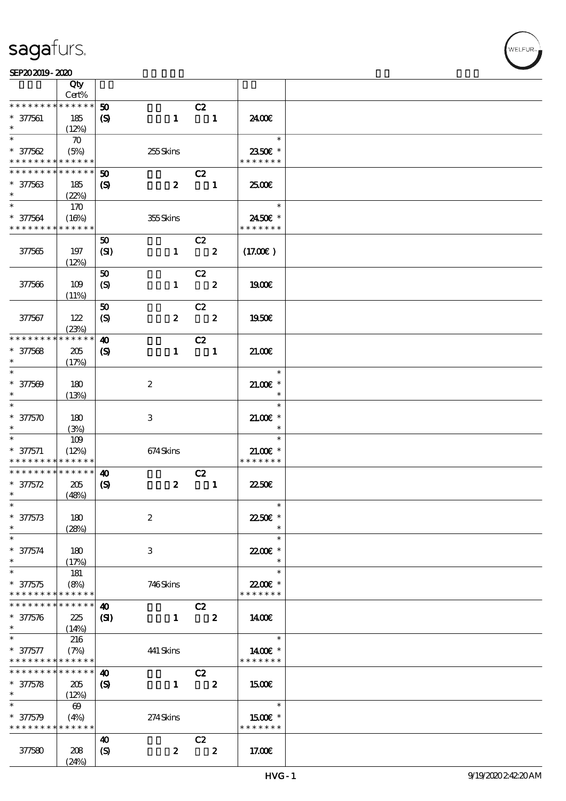|                               | Qty<br>Cert%          |                             |                  |                               |                  |               |  |
|-------------------------------|-----------------------|-----------------------------|------------------|-------------------------------|------------------|---------------|--|
| * * * * * * * *               | * * * * * *           | 50                          |                  |                               |                  |               |  |
|                               |                       |                             |                  | C2                            |                  |               |  |
| $* 377561$                    | 185                   | $\boldsymbol{\mathrm{(S)}}$ | $\mathbf{1}$     | $\blacksquare$                |                  | 2400€         |  |
| $\ast$                        | (12%)                 |                             |                  |                               |                  |               |  |
| $\ast$                        | $\boldsymbol{\pi}$    |                             |                  |                               |                  | $\ast$        |  |
| $* 377562$                    | (5%)                  |                             | 255Skins         |                               |                  | 2350€ *       |  |
| * * * * * * * *               | * * * * * *           |                             |                  |                               |                  | * * * * * * * |  |
| * * * * * * *                 | * * * * * *           | 50                          |                  | C2                            |                  |               |  |
| $* 377563$                    | 185                   | $\boldsymbol{\mathcal{S}}$  | $\boldsymbol{z}$ | $\blacksquare$                |                  | 2500€         |  |
| $\ast$                        | (22%)                 |                             |                  |                               |                  |               |  |
| $*$                           | 170                   |                             |                  |                               |                  | $\ast$        |  |
| $* 377564$                    | (16%)                 |                             | 355Skins         |                               |                  | 2450€ *       |  |
| * * * * * * * *               | * * * * * *           |                             |                  |                               |                  | * * * * * * * |  |
|                               |                       | 50                          |                  | C2                            |                  |               |  |
| 377565                        | 197                   | (SI)                        | $\mathbf{1}$     | $\overline{\mathbf{2}}$       |                  | (17.00)       |  |
|                               |                       |                             |                  |                               |                  |               |  |
|                               | (12%)                 |                             |                  |                               |                  |               |  |
|                               |                       | 50                          |                  | C2<br>$\overline{\mathbf{z}}$ |                  |               |  |
| 377566                        | 109                   | $\boldsymbol{S}$            | $\mathbf{1}$     |                               |                  | 1900E         |  |
|                               | (11%)                 |                             |                  |                               |                  |               |  |
|                               |                       | 50                          |                  | C2                            |                  |               |  |
| 377567                        | 122                   | (S)                         | $\boldsymbol{z}$ | $\overline{\phantom{a}}$      |                  | 1950€         |  |
|                               | (23%)                 |                             |                  |                               |                  |               |  |
| * * * * * * * *               | * * * * * *           | $\boldsymbol{\omega}$       |                  | C2                            |                  |               |  |
| $* 377568$                    | 205                   | $\boldsymbol{\mathcal{S}}$  | $\mathbf{1}$     | $\blacksquare$                |                  | 21.00E        |  |
| $\ast$                        | (17%)                 |                             |                  |                               |                  |               |  |
|                               |                       |                             |                  |                               |                  | $\ast$        |  |
| $* 377569$                    | 180                   |                             | $\boldsymbol{2}$ |                               |                  | $21.00$ $*$   |  |
| $\ast$                        | (13%)                 |                             |                  |                               |                  | $\ast$        |  |
| $\overline{\ast}$             |                       |                             |                  |                               |                  | $\ast$        |  |
| $* 3750$                      | 180                   |                             | 3                |                               |                  | $21.00E$ *    |  |
| $\ast$                        | (3%)                  |                             |                  |                               |                  | $\ast$        |  |
| $\ast$                        | 109                   |                             |                  |                               |                  | $\ast$        |  |
|                               |                       |                             |                  |                               |                  | $21.00E$ *    |  |
| $* 377571$<br>* * * * * * * * | (12%)<br>* * * * * *  |                             | 674Skins         |                               |                  | * * * * * * * |  |
| * * * * * * * *               | * * * * * *           |                             |                  |                               |                  |               |  |
|                               |                       | $\boldsymbol{\omega}$       |                  | C2                            |                  |               |  |
| $* 37572$                     | 205                   | $\boldsymbol{\mathcal{S}}$  | $\boldsymbol{z}$ |                               | $\blacksquare$   | 2250E         |  |
| $\ast$                        | (48%)                 |                             |                  |                               |                  |               |  |
| $\ast$                        |                       |                             |                  |                               |                  | $\ast$        |  |
| $* 37573$                     | 180                   |                             | $\boldsymbol{2}$ |                               |                  | 22.50€ *      |  |
| $\ast$                        | (28%)                 |                             |                  |                               |                  | $\ast$        |  |
| $\ast$                        |                       |                             |                  |                               |                  | $\ast$        |  |
| $* 377574$                    | 180                   |                             | 3                |                               |                  | 22.00 *       |  |
| $\ast$                        | (17%)                 |                             |                  |                               |                  | $\ast$        |  |
| $\ast$                        | 181                   |                             |                  |                               |                  | $\ast$        |  |
| $* 37575$                     | (8%)                  |                             | 746Skins         |                               |                  | 22.00E *      |  |
| * * * * * * * *               | * * * * * *           |                             |                  |                               |                  | * * * * * * * |  |
| * * * * * * *                 | * * * * * *           | $\boldsymbol{\omega}$       |                  | C2                            |                  |               |  |
| $* 37576$                     | 225                   | (S)                         | $\mathbf{1}$     |                               | $\boldsymbol{z}$ | 1400          |  |
| $\ast$                        | (14%)                 |                             |                  |                               |                  |               |  |
| $\ast$                        | 216                   |                             |                  |                               |                  | $\ast$        |  |
| $* 37577$                     | (7%)                  |                             | 441 Skins        |                               |                  | 1400€ *       |  |
| * * * * * * * *               | * * * * * *           |                             |                  |                               |                  | * * * * * * * |  |
| * * * * * * * *               | * * * * * *           |                             |                  |                               |                  |               |  |
|                               |                       | $\boldsymbol{\omega}$       |                  | C2                            |                  |               |  |
| $* 37578$                     | 205                   | $\boldsymbol{S}$            | $\mathbf{1}$     |                               | $\boldsymbol{z}$ | 1500E         |  |
| $\ast$                        | (12%)                 |                             |                  |                               |                  |               |  |
| $\ast$                        | $\boldsymbol{\omega}$ |                             |                  |                               |                  | $\ast$        |  |
| $* 37579$                     | (4%)                  |                             | 274Skins         |                               |                  | 1500€ *       |  |
| * * * * * * * *               | * * * * * *           |                             |                  |                               |                  | * * * * * * * |  |
|                               |                       | $\boldsymbol{\omega}$       |                  | C2                            |                  |               |  |
| 377580                        | 208                   | $\boldsymbol{S}$            | $\boldsymbol{z}$ |                               | $\boldsymbol{z}$ | 17.00E        |  |
|                               | (24%)                 |                             |                  |                               |                  |               |  |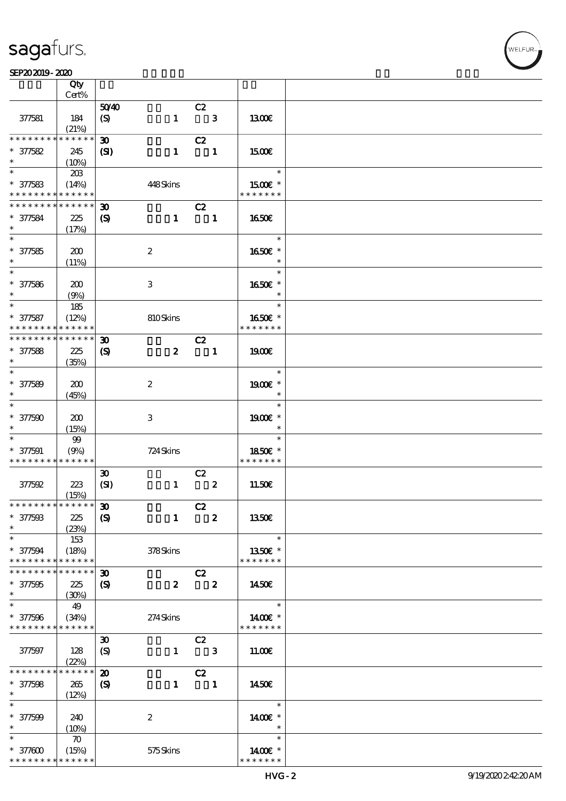$\top$ 

#### SEP20 2019 - 2020 米黄 天鹅绒 公皮 等外皮

|                               | Qty                  |                             |                  |                                |                         |                          |  |
|-------------------------------|----------------------|-----------------------------|------------------|--------------------------------|-------------------------|--------------------------|--|
|                               | Cert%                |                             |                  |                                |                         |                          |  |
|                               |                      | 5040                        |                  | C2                             |                         |                          |  |
| 377581                        | 184                  | $\boldsymbol{S}$            | $\mathbf{1}$     |                                | $\mathbf{3}$            | 1300€                    |  |
| * * * * * * * *               | (21%)<br>* * * * * * |                             |                  |                                |                         |                          |  |
| $* 377582$                    |                      | $\boldsymbol{\mathfrak{D}}$ | $\mathbf{1}$     | C2<br>$\overline{\phantom{a}}$ |                         |                          |  |
| $\ast$                        | 245<br>(10%)         | (S)                         |                  |                                |                         | 1500                     |  |
|                               | 20B                  |                             |                  |                                |                         | $\ast$                   |  |
| $* 377583$                    | (14%)                |                             | 448Skins         |                                |                         | 1500E *                  |  |
| * * * * * * * *               | * * * * * *          |                             |                  |                                |                         | * * * * * * *            |  |
| * * * * * * * *               | * * * * * *          | $\boldsymbol{\mathfrak{D}}$ |                  | C2                             |                         |                          |  |
| * 377584                      | 225                  | $\boldsymbol{\mathrm{(S)}}$ | $\mathbf{1}$     | $\blacksquare$                 |                         | 1650€                    |  |
| $\ast$                        | (17%)                |                             |                  |                                |                         |                          |  |
|                               |                      |                             |                  |                                |                         | $\ast$                   |  |
| $* 377585$                    | 200                  |                             | $\boldsymbol{2}$ |                                |                         | 1650€ *                  |  |
| $\ast$                        | (11%)                |                             |                  |                                |                         | $\ast$                   |  |
| $\overline{\phantom{0}}$      |                      |                             |                  |                                |                         | $\ast$                   |  |
| $* 377586$                    | 200                  |                             | 3                |                                |                         | 1650E *                  |  |
| $\ast$                        | (9%)                 |                             |                  |                                |                         | $\ast$                   |  |
| $\ast$                        | 185                  |                             |                  |                                |                         | $\ast$                   |  |
| $* 377587$                    | (12%)                |                             | 810Skins         |                                |                         | 1650€ *                  |  |
| * * * * * * * *               | * * * * * *          |                             |                  |                                |                         | * * * * * * *            |  |
| * * * * * * * *               | * * * * * *          | $\boldsymbol{\mathfrak{D}}$ |                  | C2                             |                         |                          |  |
| $* 377588$                    | 225                  | $\boldsymbol{\mathcal{S}}$  | $\boldsymbol{z}$ |                                | $\blacksquare$          | 1900E                    |  |
| $\ast$                        | (35%)                |                             |                  |                                |                         |                          |  |
| $\overline{\phantom{0}}$      |                      |                             |                  |                                |                         | $\ast$                   |  |
| $* 377589$                    | 200                  |                             | $\boldsymbol{2}$ |                                |                         | 1900E *                  |  |
| $\ast$                        | (45%)                |                             |                  |                                |                         | $\ast$                   |  |
| $\ast$                        |                      |                             |                  |                                |                         | $\ast$                   |  |
| $* 377500$                    | 200                  |                             | $\,3$            |                                |                         | 1900€ *<br>$\ast$        |  |
| $\ast$<br>$\ast$              | (15%)                |                             |                  |                                |                         | $\ast$                   |  |
|                               | $99\,$               |                             |                  |                                |                         |                          |  |
| $* 377591$<br>* * * * * * * * | (9%)<br>* * * * * *  |                             | 724 Skins        |                                |                         | 1850E *<br>* * * * * * * |  |
|                               |                      | $\boldsymbol{\mathfrak{D}}$ |                  | C2                             |                         |                          |  |
| 377592                        | 223                  | (SI)                        | $\mathbf{1}$     |                                | $\boldsymbol{z}$        | 11.50E                   |  |
|                               | (15%)                |                             |                  |                                |                         |                          |  |
| * * * * * * * * * * * * * * * |                      | $\boldsymbol{\mathfrak{D}}$ |                  | C2                             |                         |                          |  |
| $* 377508$                    | 225                  | $\boldsymbol{S}$            | $\mathbf{1}$     |                                | $\overline{\mathbf{2}}$ | 1350E                    |  |
| $\ast$                        | (23%)                |                             |                  |                                |                         |                          |  |
| $\ast$                        | 153                  |                             |                  |                                |                         | $\ast$                   |  |
| $* 377594$                    | (18%)                |                             | $378S\!$         |                                |                         | 1350E *                  |  |
| * * * * * * * *               | * * * * * *          |                             |                  |                                |                         | * * * * * * *            |  |
| * * * * * * *                 | * * * * * *          | $\boldsymbol{\mathfrak{D}}$ |                  | C2                             |                         |                          |  |
| $* 377595$                    | 225                  | $\boldsymbol{\mathrm{(S)}}$ | $\boldsymbol{z}$ | $\overline{\mathbf{2}}$        |                         | 1450€                    |  |
| $\ast$                        | (30%)                |                             |                  |                                |                         |                          |  |
| $\ast$                        | 49                   |                             |                  |                                |                         | $\ast$                   |  |
| $* 377596$                    | (34%)                |                             | $274$ Skins      |                                |                         | 1400€ *                  |  |
| * * * * * * * *               | * * * * * *          |                             |                  |                                |                         | * * * * * * *            |  |
|                               |                      | $\boldsymbol{\mathfrak{D}}$ |                  | C2                             |                         |                          |  |
| 377597                        | 128                  | $\boldsymbol{\mathcal{S}}$  | $\mathbf{1}$     |                                | $\mathbf{3}$            | 11.00E                   |  |
| * * * * * * *                 | (22%)<br>* * * * *   |                             |                  |                                |                         |                          |  |
|                               |                      | $\boldsymbol{\mathfrak{D}}$ |                  | C2                             |                         |                          |  |
| $* 377598$<br>$\ast$          | 265                  | $\boldsymbol{S}$            | $\mathbf{1}$     |                                | $\blacksquare$          | 1450E                    |  |
| $\ast$                        | (12%)                |                             |                  |                                |                         | $\ast$                   |  |
| $* 377509$                    | 240                  |                             | $\boldsymbol{2}$ |                                |                         | 1400€ *                  |  |
| $\ast$                        | (10%)                |                             |                  |                                |                         | $\ast$                   |  |
| $\ast$                        | $\boldsymbol{\pi}$   |                             |                  |                                |                         | $\ast$                   |  |
| $* 377000$                    | (15%)                |                             | 575Skins         |                                |                         | 1400€ *                  |  |
| * * * * * * * *               | * * * * * *          |                             |                  |                                |                         | * * * * * * *            |  |

 $\top$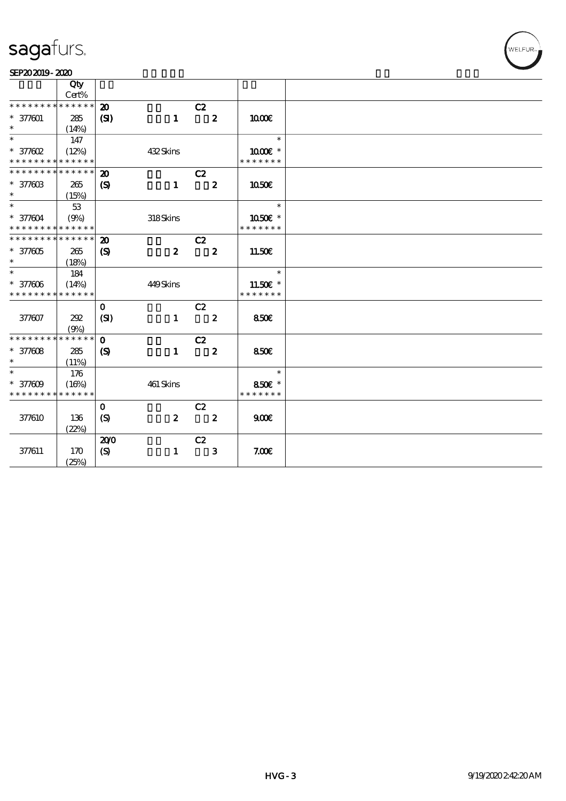| SEP202019-2020 |  |  |
|----------------|--|--|

|                                          | Qty                  |                                    |                  |                                  |               |  |
|------------------------------------------|----------------------|------------------------------------|------------------|----------------------------------|---------------|--|
| * * * * * * *                            | Cert%<br>* * * * * * |                                    |                  |                                  |               |  |
| $* 377001$                               |                      | $\boldsymbol{\mathfrak{D}}$<br>(S) | $\mathbf{1}$     | C2<br>$\overline{\phantom{a}}$ 2 | 1000E         |  |
| $\ast$                                   | 285<br>(14%)         |                                    |                  |                                  |               |  |
| $\ast$                                   | 147                  |                                    |                  |                                  | $\ast$        |  |
| $*$ 377602                               | (12%)                |                                    | 432Skins         |                                  | $1000E$ *     |  |
| * * * * * * * * * * * * * *              |                      |                                    |                  |                                  | * * * * * * * |  |
| * * * * * * * *                          | * * * * * *          | $\boldsymbol{\mathbf{z}}$          |                  | C2                               |               |  |
| * 377603                                 | 265                  | $\boldsymbol{\mathcal{S}}$         | $\mathbf{1}$     | $\boldsymbol{z}$                 | 1050E         |  |
| $\ast$                                   | (15%)                |                                    |                  |                                  |               |  |
| $\ast$                                   | 53                   |                                    |                  |                                  | $\ast$        |  |
| * 377604                                 | (9%)                 |                                    | 318Skins         |                                  | 1050E *       |  |
| * * * * * * * * <mark>* * * * * *</mark> |                      |                                    |                  |                                  | * * * * * * * |  |
| * * * * * * * * * * * * * *              |                      | $\boldsymbol{\mathbf{z}}$          |                  | C2                               |               |  |
| $* 377005$                               | 265                  | $\boldsymbol{\mathcal{S}}$         | $\boldsymbol{z}$ | $\boldsymbol{z}$                 | 11.50€        |  |
| $\ast$                                   | (18%)                |                                    |                  |                                  |               |  |
| $\ast$                                   | 184                  |                                    |                  |                                  | $\ast$        |  |
| $* 377606$                               | (14%)                |                                    | 449Skins         |                                  | 11.50€ *      |  |
| * * * * * * * *                          | * * * * * *          |                                    |                  |                                  | * * * * * * * |  |
|                                          |                      | $\mathbf{O}$                       |                  | C2                               |               |  |
| 377607                                   | 202                  | (SI)                               | $\mathbf{1}$     | $\overline{\mathbf{2}}$          | 850€          |  |
| * * * * * * * *                          | (9%)<br>* * * * * *  |                                    |                  |                                  |               |  |
|                                          |                      | $\mathbf{O}$                       | $\mathbf{1}$     | C2<br>$\boldsymbol{z}$           |               |  |
| $* 377008$<br>$\ast$                     | 285<br>(11%)         | $\boldsymbol{S}$                   |                  |                                  | 850E          |  |
| $\ast$                                   | 176                  |                                    |                  |                                  | $\ast$        |  |
| $* 377009$                               | (16%)                |                                    | $461\,$ Skins    |                                  | 850€ *        |  |
| * * * * * * * *                          | * * * * * *          |                                    |                  |                                  | * * * * * * * |  |
|                                          |                      | $\mathbf 0$                        |                  | C2                               |               |  |
| 377610                                   | 136                  | (S)                                | $\boldsymbol{z}$ | $\boldsymbol{z}$                 | 900E          |  |
|                                          | (22%)                |                                    |                  |                                  |               |  |
|                                          |                      | 200                                |                  | C2                               |               |  |
| 377611                                   | 170                  | $\boldsymbol{S}$                   | $\mathbf{1}$     | $\mathbf{3}$                     | 7.00E         |  |
|                                          | (25%)                |                                    |                  |                                  |               |  |

WELFUR<sub>m</sub>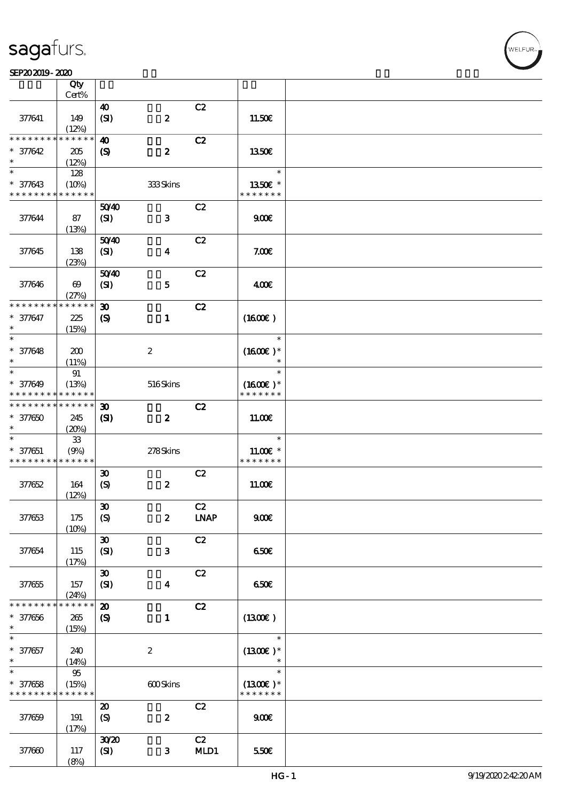|                               | Qty<br>$Cert\%$       |                             |                         |               |                             |  |
|-------------------------------|-----------------------|-----------------------------|-------------------------|---------------|-----------------------------|--|
|                               |                       |                             |                         |               |                             |  |
| 377641                        | 149<br>(12%)          | 40<br>(SI)                  | $\pmb{2}$               | C2            | 11.50E                      |  |
| * * * * * * * *               | * * * * * *           | $\boldsymbol{\omega}$       |                         | C2            |                             |  |
|                               |                       |                             |                         |               |                             |  |
| $* 37642$<br>$\ast$           | $205\,$<br>(12%)      | $\boldsymbol{S}$            | $\boldsymbol{z}$        |               | <b>1350€</b>                |  |
| $\ast$                        | 128                   |                             |                         |               | $\ast$                      |  |
|                               |                       |                             |                         |               |                             |  |
| $* 377643$                    | (10%)                 |                             | 333Skins                |               | 1350E *                     |  |
| * * * * * * * *               | * * * * * *           |                             |                         |               | * * * * * * *               |  |
|                               |                       | 5040                        |                         | C2            |                             |  |
| 377644                        | 87                    | (SI)                        | $\mathbf{3}$            |               | 900E                        |  |
|                               | (13%)                 |                             |                         |               |                             |  |
|                               |                       | 5040                        |                         | C2            |                             |  |
| 377645                        | 138                   | (SI)                        | $\boldsymbol{4}$        |               | 7.00E                       |  |
|                               | (23%)                 |                             |                         |               |                             |  |
|                               |                       | 5040                        |                         | C2            |                             |  |
|                               |                       |                             |                         |               |                             |  |
| 377646                        | $\boldsymbol{\omega}$ | (SI)                        | ${\bf 5}$               |               | 400                         |  |
|                               | (27%)                 |                             |                         |               |                             |  |
| * * * * * * *                 | * * * * * *           | $\boldsymbol{\mathfrak{D}}$ |                         | C2            |                             |  |
| * 377647                      | 225                   | $\boldsymbol{S}$            | $\mathbf{1}$            |               | (1600E)                     |  |
| $\ast$                        | (15%)                 |                             |                         |               |                             |  |
| $\ast$                        |                       |                             |                         |               | $\ast$                      |  |
|                               |                       |                             |                         |               |                             |  |
| $* 377648$                    | 200                   |                             | $\boldsymbol{2}$        |               | $(1600E)*$                  |  |
| $\ast$                        | (11%)                 |                             |                         |               |                             |  |
| $\ast$                        | 91                    |                             |                         |               | $\ast$                      |  |
| $* 377649$                    | (13%)                 |                             | 516Skins                |               | $(1600E)*$                  |  |
| * * * * * * * *               | * * * * * *           |                             |                         |               | * * * * * * *               |  |
|                               | * * * * * *           |                             |                         |               |                             |  |
| * * * * * * * *               |                       | $\boldsymbol{\mathfrak{D}}$ |                         | C2            |                             |  |
| $* 377650$                    | 245                   | (S)                         | $\boldsymbol{z}$        |               | 11.00E                      |  |
| $\ast$                        | (20%)                 |                             |                         |               |                             |  |
| $\ast$                        | ${\bf 33}$            |                             |                         |               | $\ast$                      |  |
| $* 377651$                    | (9%)                  |                             | 278Skins                |               | $11.00E$ *                  |  |
| * * * * * * * *               | * * * * * *           |                             |                         |               | * * * * * * *               |  |
|                               |                       |                             |                         |               |                             |  |
|                               |                       | $\boldsymbol{\mathfrak{D}}$ |                         | C2            |                             |  |
| 377652                        | 164                   | $\boldsymbol{S}$            | $\boldsymbol{z}$        |               | 11.00E                      |  |
|                               | (12%)                 |                             |                         |               |                             |  |
|                               |                       | $\boldsymbol{\mathfrak{D}}$ |                         | C2            |                             |  |
| 377653                        | 175                   | $\boldsymbol{S}$            | $\boldsymbol{z}$        | <b>LNAP</b>   | 900E                        |  |
|                               | (10%)                 |                             |                         |               |                             |  |
|                               |                       | $\boldsymbol{\mathfrak{D}}$ |                         | C2            |                             |  |
|                               |                       |                             |                         |               |                             |  |
| 377654                        | 115                   | (SI)                        | ${\bf 3}$               |               | 650€                        |  |
|                               | (17%)                 |                             |                         |               |                             |  |
|                               |                       | $\boldsymbol{\mathfrak{D}}$ |                         | C2            |                             |  |
| 377655                        | 157                   | (SI)                        | $\overline{\mathbf{4}}$ |               | 650E                        |  |
|                               | (24%)                 |                             |                         |               |                             |  |
| * * * * * * * *               | * * * * * *           | $\boldsymbol{\mathbf{z}}$   |                         | C2            |                             |  |
|                               |                       |                             |                         |               |                             |  |
| $\ast$<br>377656              | 265                   | $\boldsymbol{S}$            | $\mathbf{1}$            |               | (1300)                      |  |
| $\ast$                        | (15%)                 |                             |                         |               |                             |  |
| $\ast$                        |                       |                             |                         |               | $\ast$                      |  |
| $* 377657$                    | 240                   |                             | $\boldsymbol{2}$        |               | $(1300E)*$                  |  |
| $\ast$                        | (14%)                 |                             |                         |               |                             |  |
| $\ast$                        | $95\,$                |                             |                         |               | $\ast$                      |  |
|                               |                       |                             |                         |               |                             |  |
| $* 377658$<br>* * * * * * * * | (15%)<br>* * * * * *  |                             | 600Skins                |               | $(1300E)*$<br>* * * * * * * |  |
|                               |                       |                             |                         |               |                             |  |
|                               |                       | $\boldsymbol{\mathfrak{D}}$ |                         | C2            |                             |  |
| 377659                        | 191                   | $\boldsymbol{S}$            | $\pmb{2}$               |               | 900E                        |  |
|                               | (17%)                 |                             |                         |               |                             |  |
|                               |                       | 3020                        |                         | $\mathbf{C2}$ |                             |  |
| 377660                        | 117                   | (SI)                        | 3                       | MD1           | 550€                        |  |
|                               |                       |                             |                         |               |                             |  |
|                               | (8%)                  |                             |                         |               |                             |  |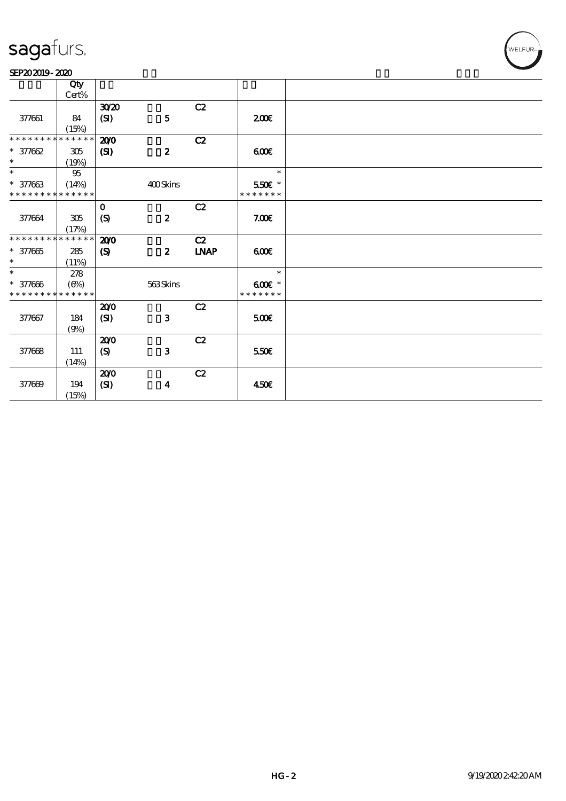#### SEP202019-2020

|                             | Qty          |                            |                  |             |               |  |
|-----------------------------|--------------|----------------------------|------------------|-------------|---------------|--|
|                             | Cert%        |                            |                  |             |               |  |
|                             |              | 3020                       |                  | C2          |               |  |
| 377661                      | 84           | $\mathbf{C}$               | ${\bf 5}$        |             | 200           |  |
|                             | (15%)        |                            |                  |             |               |  |
| * * * * * * * *             | * * * * * *  | 200                        |                  | C2          |               |  |
| $* 377662$                  | 305          | $\mathbf{C}$               | $\boldsymbol{z}$ |             | 600           |  |
| $\ast$                      | (19%)        |                            |                  |             |               |  |
| $\ast$                      | $95\,$       |                            |                  |             | $\ast$        |  |
| $* 377663$                  | (14%)        |                            | 400Skins         |             | 550€ *        |  |
| * * * * * * * * * * * * * * |              |                            |                  |             | * * * * * * * |  |
|                             |              | $\mathbf 0$                |                  | C2          |               |  |
| 377664                      | 305          | (S)                        | $\boldsymbol{z}$ |             | 7.00E         |  |
|                             | (17%)        |                            |                  |             |               |  |
| * * * * * * * *             | * * * * * *  | 200                        |                  | C2          |               |  |
| $* 377665$                  | 285          | $\boldsymbol{\mathcal{S}}$ | $\boldsymbol{z}$ | <b>LNAP</b> | 60E           |  |
| $\ast$                      | (11%)        |                            |                  |             |               |  |
| $\ast$                      | 278          |                            |                  |             | $\ast$        |  |
| $* 377000$                  | $(\Theta_0)$ |                            | 563Skins         |             | $600$ $*$     |  |
| * * * * * * * *             | * * * * * *  |                            |                  |             | * * * * * * * |  |
|                             |              | 200                        |                  | C2          |               |  |
| 377667                      | 184          | (S)                        | ${\bf 3}$        |             | 500           |  |
|                             | (9%)         |                            |                  |             |               |  |
|                             |              | 200                        |                  | C2          |               |  |
| 377668                      | 111          | (S)                        | $\mathbf{3}$     |             | 550E          |  |
|                             | (14%)        |                            |                  |             |               |  |
|                             |              | 200                        |                  | C2          |               |  |
| 377669                      | 194          | (SI)                       | $\boldsymbol{4}$ |             | 450€          |  |
|                             | (15%)        |                            |                  |             |               |  |

WELFUR<sub>™</sub>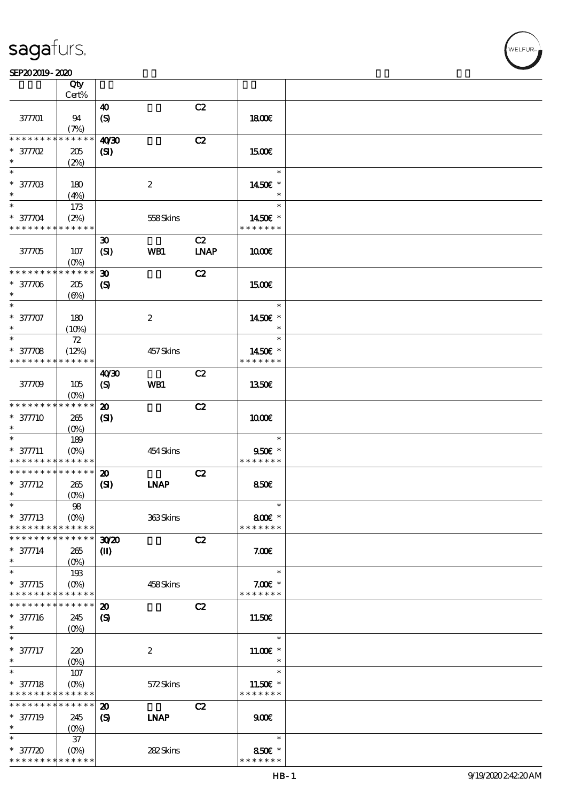|                             | Qty                        |                             |                  |             |                      |  |
|-----------------------------|----------------------------|-----------------------------|------------------|-------------|----------------------|--|
|                             | Cert%                      |                             |                  |             |                      |  |
|                             |                            | $\boldsymbol{\omega}$       |                  | C2          |                      |  |
| 377701                      | 94                         | $\boldsymbol{S}$            |                  |             | 1800E                |  |
| * * * * * * * *             | (7%)<br>* * * * * *        |                             |                  |             |                      |  |
|                             |                            | 40 <sup>20</sup>            |                  | C2          |                      |  |
| * 377702<br>$\ast$          | $205\,$                    | (S)                         |                  |             | 1500€                |  |
| $\ast$                      | (2%)                       |                             |                  |             | $\ast$               |  |
| $* 3770B$                   | 180                        |                             | $\boldsymbol{2}$ |             | 1450€ *              |  |
| $\ast$                      | (4%)                       |                             |                  |             | $\ast$               |  |
| $\ast$                      | 173                        |                             |                  |             | $\ast$               |  |
| * 37704                     | (2%)                       |                             | 558Skins         |             | 1450€ *              |  |
| * * * * * * * * * * * * * * |                            |                             |                  |             | * * * * * * *        |  |
|                             |                            | $\boldsymbol{\mathfrak{D}}$ |                  | C2          |                      |  |
| 377705                      | 107                        | (SI)                        | WB1              | <b>LNAP</b> | 1000E                |  |
|                             | $(O\%)$                    |                             |                  |             |                      |  |
| * * * * * * * *             | * * * * * *                | $\boldsymbol{\mathfrak{D}}$ |                  | C2          |                      |  |
| $* 37706$                   | 205                        | $\boldsymbol{\mathcal{S}}$  |                  |             | <b>1500€</b>         |  |
| $\ast$                      | $(\Theta)$                 |                             |                  |             |                      |  |
| $\ast$                      |                            |                             |                  |             | $\ast$               |  |
| $* 37707$                   | 180                        |                             | $\boldsymbol{2}$ |             | 1450€ *              |  |
| $\ast$                      | (10%)                      |                             |                  |             | $\ast$               |  |
| $\overline{\ast}$           | 72                         |                             |                  |             | $\ast$               |  |
| $* 37708$                   | (12%)                      |                             | 457Skins         |             | 1450€ *              |  |
| * * * * * * * *             | * * * * * *                |                             |                  |             | * * * * * * *        |  |
|                             |                            | 40'30                       |                  | C2          |                      |  |
| 377709                      | 105                        | $\boldsymbol{S}$            | WB1              |             | 1350E                |  |
|                             | $(O\%)$                    |                             |                  |             |                      |  |
| * * * * * * * *             | * * * * * *                | $\boldsymbol{\mathfrak{D}}$ |                  | C2          |                      |  |
| $* 377710$                  | 265                        | (S)                         |                  |             | 1000E                |  |
| $\ast$                      | $(O\%)$                    |                             |                  |             |                      |  |
| $\ast$                      | 189                        |                             |                  |             | $\ast$               |  |
| $* 377711$                  | $(0\%)$                    |                             | 454 Skins        |             | 950€ *               |  |
| * * * * * * * *             | * * * * * *                |                             |                  |             | * * * * * * *        |  |
| * * * * * * * *             | * * * * * *                | $\boldsymbol{\mathfrak{D}}$ |                  | C2          |                      |  |
| $* 377712$                  | 265                        | (S)                         | <b>INAP</b>      |             | 850E                 |  |
| $\ast$                      | $(0\%)$                    |                             |                  |             |                      |  |
| $\ast$                      | 98                         |                             |                  |             |                      |  |
| $* 377713$                  | $(O\%)$                    |                             | 363Skins         |             | 800€ *               |  |
| * * * * * * * * * * * * * * |                            |                             |                  |             | * * * * * * *        |  |
| * * * * * * * * * * * * * * |                            | 3020                        |                  | C2          |                      |  |
| $* 377714$                  | 265                        | $\mathbf{I}$                |                  |             | 7.00E                |  |
| $\ast$                      | $(O\%)$                    |                             |                  |             |                      |  |
| $\ast$                      | 193                        |                             |                  |             | $\ast$               |  |
| $* 377715$                  | $(O\!/\!\!\delta)$         |                             | 458Skins         |             | $7.00E$ *            |  |
| * * * * * * * *             | * * * * * *<br>* * * * * * |                             |                  |             | * * * * * * *        |  |
| * * * * * * * *             |                            | $\boldsymbol{\mathbf{z}}$   |                  | C2          |                      |  |
| $* 377716$<br>$\ast$        | 245                        | $\boldsymbol{S}$            |                  |             | 11.50€               |  |
| $\ast$                      | $(O\%)$                    |                             |                  |             | $\ast$               |  |
|                             |                            |                             |                  |             |                      |  |
| $* 377717$<br>$\ast$        | 220                        |                             | $\boldsymbol{2}$ |             | $11.00E$ *<br>$\ast$ |  |
| $\ast$                      | $(O\!/\!\!\delta)$<br>107  |                             |                  |             | $\ast$               |  |
| $* 377718$                  | $(O\%)$                    |                             | 572Skins         |             | $11.50E$ *           |  |
| * * * * * * * *             | * * * * * *                |                             |                  |             | * * * * * * *        |  |
| * * * * * * * *             | * * * * * *                | $\boldsymbol{\mathbf{z}}$   |                  | C2          |                      |  |
| * 377719                    | 245                        | $\boldsymbol{S}$            | <b>LNAP</b>      |             | 900E                 |  |
| $\ast$                      | (O <sub>0</sub> )          |                             |                  |             |                      |  |
| $\ast$                      | 37                         |                             |                  |             | $\ast$               |  |
| $* 377720$                  | $(O\%)$                    |                             | 282Skins         |             | 850€ *               |  |
| * * * * * * * * * * * * * * |                            |                             |                  |             | * * * * * * *        |  |
|                             |                            |                             |                  |             |                      |  |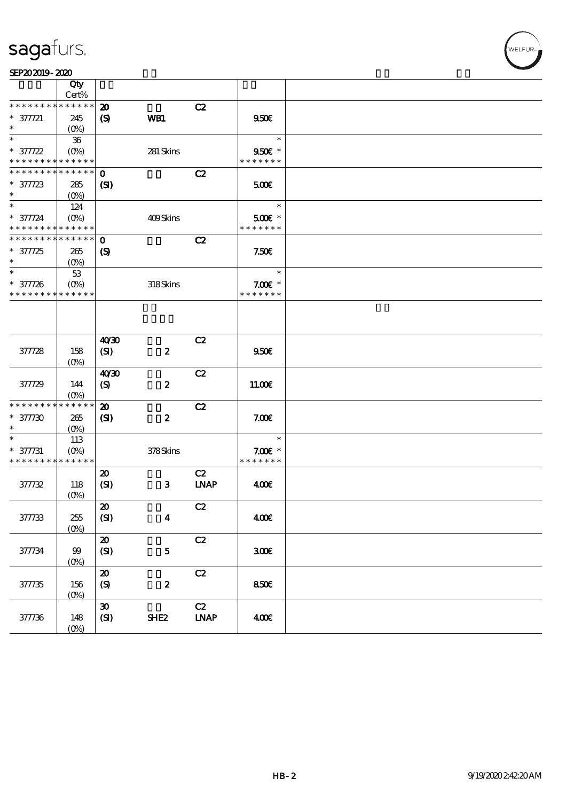WELFUR

|                                            | Qty                |                             |                  |                              |               |  |
|--------------------------------------------|--------------------|-----------------------------|------------------|------------------------------|---------------|--|
|                                            | Cert%              |                             |                  |                              |               |  |
| * * * * * * * *                            | * * * * * *        | $\boldsymbol{\mathfrak{D}}$ |                  | C2                           |               |  |
| $* 377721$                                 | 245                | $\boldsymbol{S}$            | WB1              |                              | 950E          |  |
| $\ast$                                     | $(O\!/\!\!\delta)$ |                             |                  |                              |               |  |
| $\ast$                                     | ${\bf 36}$         |                             |                  |                              | $\ast$        |  |
| $* 377722$                                 | $(O\%)$            |                             | 281 Skins        |                              | 950€ *        |  |
| * * * * * * * * <mark>* * * * * *</mark> * |                    |                             |                  |                              | * * * * * * * |  |
| * * * * * * * *                            | * * * * * *        | $\mathbf 0$                 |                  | C2                           |               |  |
| $* 377723$                                 | 285                | $\mathbf{C}$                |                  |                              | 500€          |  |
| $\ast$                                     | $(0\%)$            |                             |                  |                              |               |  |
| $\ast$                                     | 124                |                             |                  |                              | $\ast$        |  |
| $* 377724$                                 | $(O\%)$            |                             | 409Skins         |                              | 500€ *        |  |
| * * * * * * * * * * * * * *                |                    |                             |                  |                              | * * * * * * * |  |
| * * * * * * * * * * * * * *                |                    | $\mathbf 0$                 |                  | C2                           |               |  |
|                                            |                    |                             |                  |                              |               |  |
| $* 377725$                                 | 265                | $\boldsymbol{\mathcal{S}}$  |                  |                              | 7.50E         |  |
| $\ast$                                     | (O <sub>0</sub> )  |                             |                  |                              |               |  |
| $\ast$                                     | $5\!3$             |                             |                  |                              | $\ast$        |  |
| $* 377726$                                 | $(O\%)$            |                             | 318Skins         |                              | $7.00E$ *     |  |
| * * * * * * * *                            | * * * * * *        |                             |                  |                              | * * * * * * * |  |
|                                            |                    |                             |                  |                              |               |  |
|                                            |                    | 40'30                       |                  | C2                           |               |  |
| 377728                                     | 158                | (SI)                        | $\pmb{2}$        |                              | 950E          |  |
|                                            | (O <sub>0</sub> )  |                             |                  |                              |               |  |
|                                            |                    | 40'30                       |                  | C2                           |               |  |
| 377729                                     | 144                | $\boldsymbol{\mathrm{(S)}}$ | $\pmb{2}$        |                              | 11.00E        |  |
|                                            | $(O\%)$            |                             |                  |                              |               |  |
| * * * * * * * *                            | * * * * * *        | $\boldsymbol{\mathfrak{D}}$ |                  | C2                           |               |  |
| $* 377730$                                 | 265                | (S)                         | $\boldsymbol{z}$ |                              | 7.00E         |  |
| $\ast$                                     | $(O\%)$            |                             |                  |                              |               |  |
| $\ast$                                     | 113                |                             |                  |                              | $\ast$        |  |
| $* 377731$                                 | $(O\%)$            |                             | 378Skins         |                              | $7.00E$ *     |  |
| * * * * * * * * <mark>* * * * * *</mark>   |                    |                             |                  |                              | * * * * * * * |  |
|                                            |                    | $\boldsymbol{\mathbf{z}}$   |                  | C2                           |               |  |
|                                            |                    |                             |                  |                              |               |  |
| 377732                                     | 118                | (SI)                        | $\mathbf{3}$     | $\ensuremath{\mathbf{INAP}}$ | 400           |  |
|                                            | $(O\!/\!o)$        |                             |                  |                              |               |  |
|                                            |                    | $\boldsymbol{\mathfrak{D}}$ |                  | C2                           |               |  |
| 377733                                     | $255\,$            | (SI)                        | $\boldsymbol{4}$ |                              | 400E          |  |
|                                            | $(0\%)$            |                             |                  |                              |               |  |
|                                            |                    | ${\bf 20}$                  |                  | C2                           |               |  |
| 377734                                     | 99                 | (SI)                        | ${\bf 5}$        |                              | 300E          |  |
|                                            | $(0\%)$            |                             |                  |                              |               |  |
|                                            |                    | $\pmb{\mathcal{Z}}$         |                  | $\mathbf{C2}$                |               |  |
| 37735                                      | 156                | (S)                         | $\boldsymbol{2}$ |                              | 850E          |  |
|                                            | $(0\%)$            |                             |                  |                              |               |  |
|                                            |                    | $\pmb{\mathfrak{D}}$        |                  | C2                           |               |  |
| 377736                                     | 148                | (SI)                        | SHE <sub>2</sub> | $\ensuremath{\mathbf{INAP}}$ | 400E          |  |
|                                            | $(O\%)$            |                             |                  |                              |               |  |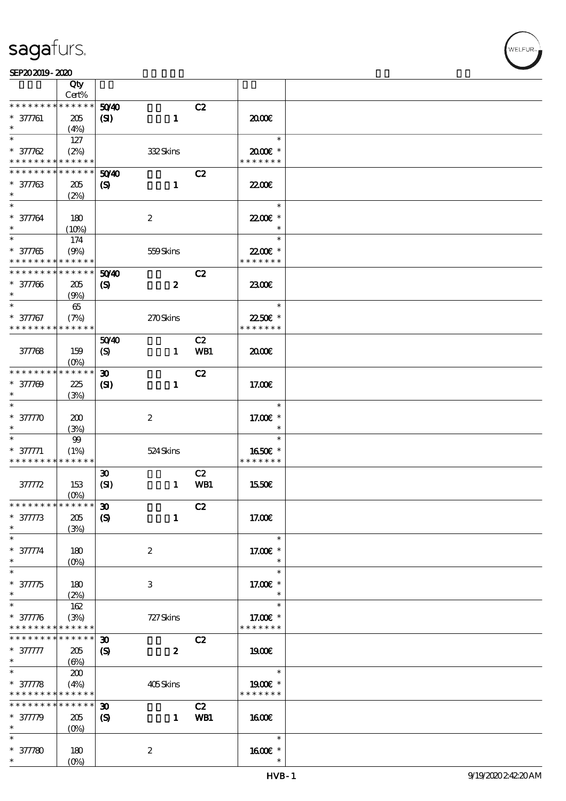|                                          | Qty             |                             |                           |     |                    |  |
|------------------------------------------|-----------------|-----------------------------|---------------------------|-----|--------------------|--|
|                                          | Cert%           |                             |                           |     |                    |  |
| * * * * * * *                            | * * * * * *     | 5040                        |                           | C2  |                    |  |
| $* 377761$                               | 205             | (S)                         | $\mathbf{1}$              |     | 2000€              |  |
| $\ast$                                   | (4%)            |                             |                           |     |                    |  |
| $\ast$                                   | 127             |                             |                           |     | $\ast$             |  |
| $* 377762$                               | (2%)            |                             | 332Skins                  |     | $2000$ $*$         |  |
| * * * * * * * * <mark>* * * * * *</mark> |                 |                             |                           |     | * * * * * * *      |  |
| * * * * * * * *                          | $* * * * * * *$ | 5040                        |                           | C2  |                    |  |
| $* 377763$                               | 205             | $\boldsymbol{\mathcal{S}}$  | $\mathbf{1}$              |     | 22.00E             |  |
| $\ast$                                   | (2%)            |                             |                           |     |                    |  |
| $\ast$                                   |                 |                             |                           |     | $\ast$             |  |
| $* 377764$                               | 180             |                             | $\boldsymbol{2}$          |     | 2200E *            |  |
|                                          | (10%)           |                             |                           |     | $\ast$             |  |
| $\overline{\ast}$                        | 174             |                             |                           |     | $\ast$             |  |
| $* 377765$                               | (9%)            |                             | 559Skins                  |     | 22.00€ *           |  |
| * * * * * * * *                          | * * * * * *     |                             |                           |     | * * * * * * *      |  |
| * * * * * * * *                          | * * * * * *     | 5040                        |                           | C2  |                    |  |
| $* 377766$                               | 205             | $\boldsymbol{\mathcal{S}}$  | $\boldsymbol{z}$          |     | 2300E              |  |
| $\ast$                                   | (9%)            |                             |                           |     |                    |  |
| $\ast$                                   | 65              |                             |                           |     | $\ast$             |  |
| $* 377767$                               | (7%)            |                             | 270Skins                  |     | 22.50€ *           |  |
| * * * * * * * *                          | * * * * * *     |                             |                           |     | * * * * * * *      |  |
|                                          |                 | 5040                        |                           | C2  |                    |  |
| 377768                                   | 159             | $\boldsymbol{S}$            | $\mathbf{1}$              | WB1 | 2000               |  |
|                                          | $(O\%)$         |                             |                           |     |                    |  |
| * * * * * * * * * * * * * *              |                 | $\boldsymbol{\mathfrak{D}}$ |                           | C2  |                    |  |
| $* 377709$                               | 225             | $\mathbf{C}$                | $\mathbf{1}$              |     | 17.00E             |  |
| $\ast$                                   | (3%)            |                             |                           |     |                    |  |
| $\ast$                                   |                 |                             |                           |     | $\ast$             |  |
| $* 37770$                                | 200             |                             | $\boldsymbol{2}$          |     | 17.00 £*           |  |
|                                          | (3%)            |                             |                           |     | $\ast$             |  |
|                                          | $99$            |                             |                           |     | $\ast$             |  |
| $* 377771$                               | (1%)            |                             | 524Skins                  |     | 1650E *            |  |
| * * * * * * * * * * * * * *              |                 |                             |                           |     | * * * * * * *      |  |
|                                          |                 | $\boldsymbol{\mathfrak{D}}$ |                           | C2  |                    |  |
| 37772                                    | 153             | (SI)                        | $\mathbf{1}$              | WB1 | 1550€              |  |
|                                          | $(0\%)$         |                             |                           |     |                    |  |
| ******** <mark>******</mark>             |                 | $\boldsymbol{\mathfrak{D}}$ |                           | C2  |                    |  |
| $^*$ 377773                              | 205             | $\boldsymbol{S}$            | $\mathbf{1}$              |     | 17.00E             |  |
| $\ast$                                   |                 |                             |                           |     |                    |  |
| $\ast$                                   | (3%)            |                             |                           |     | $\ast$             |  |
|                                          |                 |                             |                           |     |                    |  |
| $* 377774$<br>$\ast$                     | 180             |                             | $\boldsymbol{2}$          |     | 17.00 £*<br>$\ast$ |  |
| $\ast$                                   | $(O\%)$         |                             |                           |     | $\ast$             |  |
|                                          |                 |                             |                           |     |                    |  |
| $* 37775$<br>$\ast$                      | 180             |                             | $\ensuremath{\mathbf{3}}$ |     | 17.00 £*<br>$\ast$ |  |
|                                          | (2%)            |                             |                           |     |                    |  |
| $\ast$                                   | 162             |                             |                           |     | $\ast$             |  |
| $* 377776$                               | (3%)            |                             | 727 Skins                 |     | 17.00€ *           |  |
| * * * * * * * * * * * * * *              |                 |                             |                           |     | * * * * * * *      |  |
| * * * * * * * *                          | * * * * * *     | $\boldsymbol{\mathfrak{D}}$ |                           | C2  |                    |  |
| $* 377777$                               | 205             | $\boldsymbol{\mathcal{S}}$  | $\boldsymbol{z}$          |     | 1900E              |  |
| $\ast$                                   | (6%)            |                             |                           |     |                    |  |
| $\ast$                                   | 200             |                             |                           |     | $\ast$             |  |
| $* 37778$                                | (4%)            |                             | 405Skins                  |     | 1900€ *            |  |
| * * * * * * * * <mark>* * * * * *</mark> |                 |                             |                           |     | * * * * * * *      |  |
| * * * * * * * *                          | * * * * * *     | $\boldsymbol{\mathfrak{D}}$ |                           | C2  |                    |  |
| $* 37779$                                | 205             | $\boldsymbol{\mathrm{(S)}}$ | $\mathbf{1}$              | WB1 | 1600E              |  |
| $\ast$                                   | $(0\%)$         |                             |                           |     |                    |  |
| $\ast$                                   |                 |                             |                           |     | $\ast$             |  |
| $* 37780$                                | 180             |                             | $\boldsymbol{2}$          |     | 1600 *             |  |
| $\ast$                                   | $(O\%)$         |                             |                           |     | $\ast$             |  |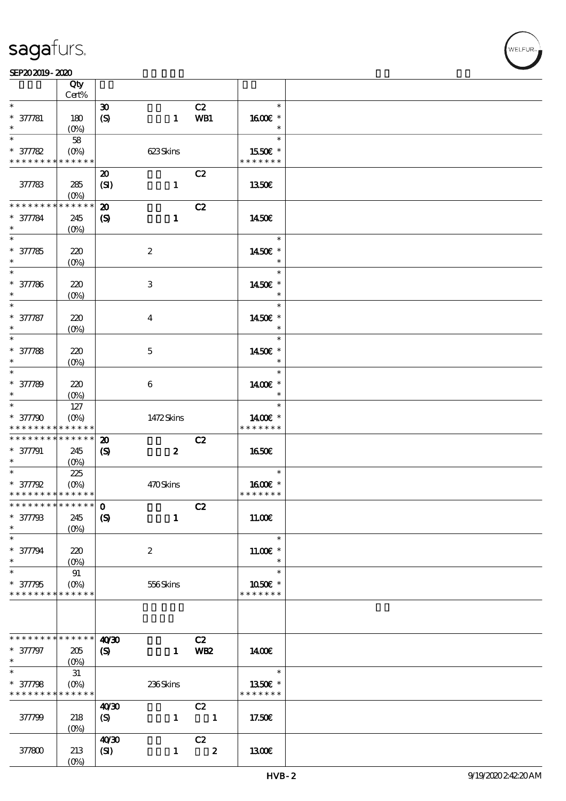|                                                                | Qty<br>Cert%       |                                                          |                  |                        |                                    |  |
|----------------------------------------------------------------|--------------------|----------------------------------------------------------|------------------|------------------------|------------------------------------|--|
| $\ast$                                                         |                    | $\boldsymbol{\mathfrak{D}}$                              |                  | C2                     | $\ast$                             |  |
| $* 377781$<br>$\ast$                                           | 180<br>$(0\%)$     | (S)                                                      | $\mathbf{1}$     | WB1                    | 1600€ *<br>$\ast$                  |  |
| $\ast$                                                         | 58                 |                                                          |                  |                        | $\ast$                             |  |
| $* 37782$                                                      | $(0\%)$            |                                                          | 623Skins         |                        | 1550€ *                            |  |
| * * * * * * * * * * * * * *                                    |                    |                                                          |                  |                        | * * * * * * *                      |  |
| 377783                                                         | 285<br>$(O\%)$     | $\boldsymbol{\mathbf{z}}$<br>(SI)                        | $\mathbf{1}$     | C2                     | 1350E                              |  |
| * * * * * * * * * * * * * *<br>$* 377784$<br>$\ast$            | 245<br>$(O\%)$     | $\boldsymbol{\mathfrak{D}}$<br>$\boldsymbol{S}$          | $\mathbf{1}$     | C2                     | 1450E                              |  |
| $\overline{\ast}$<br>$* 377785$<br>$\ast$                      | 220<br>$(0\%)$     |                                                          | $\boldsymbol{2}$ |                        | $\ast$<br>1450€ *<br>$\ast$        |  |
| $\ast$<br>$* 377786$<br>$\ast$                                 | 220<br>$(O\!/\!o)$ |                                                          | $\,3$            |                        | $\ast$<br>1450E *<br>$\ast$        |  |
| $\ast$<br>$* 377787$<br>$\ast$                                 | 220<br>$(O\!/\!o)$ |                                                          | $\boldsymbol{4}$ |                        | $\ast$<br>1450€ *<br>$\ast$        |  |
| $\ast$<br>$* 377788$<br>$\ast$                                 | 220<br>$(0\%)$     |                                                          | $\mathbf 5$      |                        | $\ast$<br>1450€ *<br>$\ast$        |  |
| $\ast$<br>$* 377789$<br>$\ast$                                 | 220<br>$(O\%)$     |                                                          | $\boldsymbol{6}$ |                        | $\ast$<br>1400€ *<br>$\ast$        |  |
| $\ast$<br>$* 377790$<br>* * * * * * * * * * * * * *            | 127<br>$(O\%)$     |                                                          | 1472Skins        |                        | $\ast$<br>1400€ *<br>* * * * * * * |  |
| * * * * * * * * * * * * * *<br>$* 377791$<br>$*$               | 245<br>(0%)        | $\boldsymbol{\mathbf{z}}$<br>$\boldsymbol{\mathrm{(S)}}$ | $\boldsymbol{z}$ | C2                     | <b>1650€</b>                       |  |
| $\ast$<br>$* 377792$<br>* * * * * * * * * * * * * *            | 225<br>$(O\%)$     |                                                          | 470Skins         |                        | $\ast$<br>1600E *<br>* * * * * * * |  |
| *************** 0<br>$* 377798$<br>$\ast$                      | 245<br>$(0\%)$     | $\boldsymbol{\mathrm{(S)}}$                              | $\mathbf{1}$     | C2                     | 11.00E                             |  |
| $\ast$<br>$* 377794$<br>$\ast$                                 | 220<br>$(O\%)$     |                                                          | $\boldsymbol{2}$ |                        | $\ast$<br>$11.00E$ *<br>$\ast$     |  |
| $\ast$<br>$* 377795$<br>* * * * * * * * * * * * * *            | 91<br>$(O\!/\!o)$  |                                                          | 556Skins         |                        | $\ast$<br>1050E *<br>* * * * * * * |  |
|                                                                |                    |                                                          |                  |                        |                                    |  |
| * * * * * * * * * * * * * *<br>$* 377797$<br>$*$               | 205<br>$(0\%)$     | 40'30<br>$\boldsymbol{\mathrm{(S)}}$                     | $\mathbf{1}$     | C2<br>WB <sub>2</sub>  | 1400E                              |  |
| $\overline{\ast}$<br>$* 377798$<br>* * * * * * * * * * * * * * | $31\,$<br>$(O\%)$  |                                                          | 236Skins         |                        | $\ast$<br>1350€ *<br>* * * * * * * |  |
| 377799                                                         | 218<br>$(0\%)$     | 40'30<br>(S)                                             | $\mathbf{1}$     | C2<br>$\blacksquare$   | 17.50€                             |  |
| 377800                                                         | 213<br>$(O\%)$     | 40'30<br>(SI)                                            | $\mathbf{1}$     | C2<br>$\boldsymbol{z}$ | 1300E                              |  |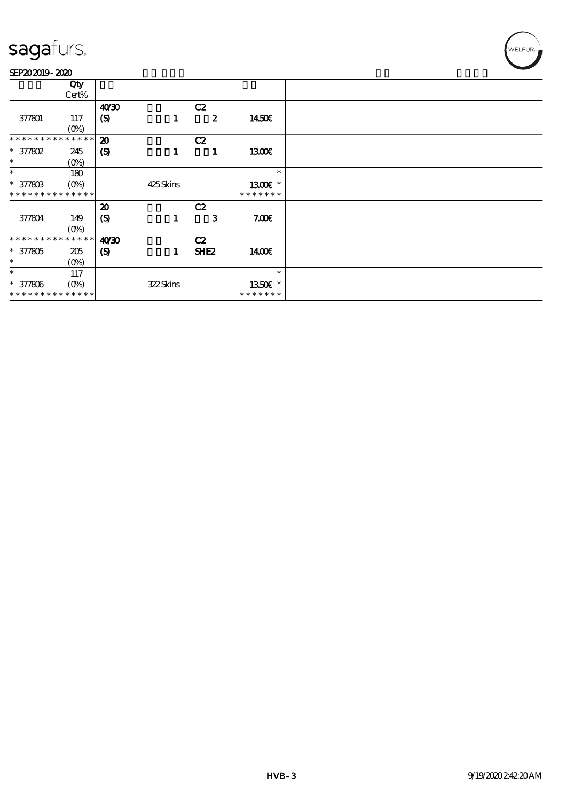#### SEP202019-2020

|                             | Qty                        |                             |          |                  |               |
|-----------------------------|----------------------------|-----------------------------|----------|------------------|---------------|
|                             | Cert%                      |                             |          |                  |               |
|                             |                            | 40'30                       |          | C2               |               |
| 377801                      | 117                        | (S)                         | 1        | $\boldsymbol{z}$ | 1450E         |
|                             | $(0\%)$                    |                             |          |                  |               |
| * * * * * * *               | * * * * * *                |                             |          |                  |               |
|                             |                            | $\boldsymbol{\mathfrak{D}}$ |          | C2               |               |
| * 377802                    | 245                        | $\boldsymbol{S}$            | 1        | 1                | 1300          |
| $\ast$                      | $(0\%)$                    |                             |          |                  |               |
| $\ast$                      | 180                        |                             |          |                  | $\ast$        |
| $* 37780B$                  |                            |                             | 425Skins |                  | 1300E *       |
| * * * * * * * * * * * * * * |                            |                             |          |                  | * * * * * * * |
|                             |                            |                             |          |                  |               |
|                             |                            | $\boldsymbol{\mathfrak{D}}$ |          | C2               |               |
| 377804                      | 149                        | (S)                         | 1        | 3                | 7.00E         |
|                             | $(0\%)$                    |                             |          |                  |               |
| * * * * * * * *             | $\ast\ast\ast\ast\ast\ast$ | 40'30                       |          | C2               |               |
| $* 377805$                  | 205                        | $\boldsymbol{\mathcal{S}}$  | 1        | SHE <sub>2</sub> | 1400€         |
| $\ast$                      |                            |                             |          |                  |               |
|                             | $(0\%)$                    |                             |          |                  |               |
| $\ast$                      | 117                        |                             |          |                  | $\ast$        |
| $* 377806$                  |                            |                             | 322Skins |                  | 1350E *       |
| * * * * * * * * * * * * * * |                            |                             |          |                  | * * * * * * * |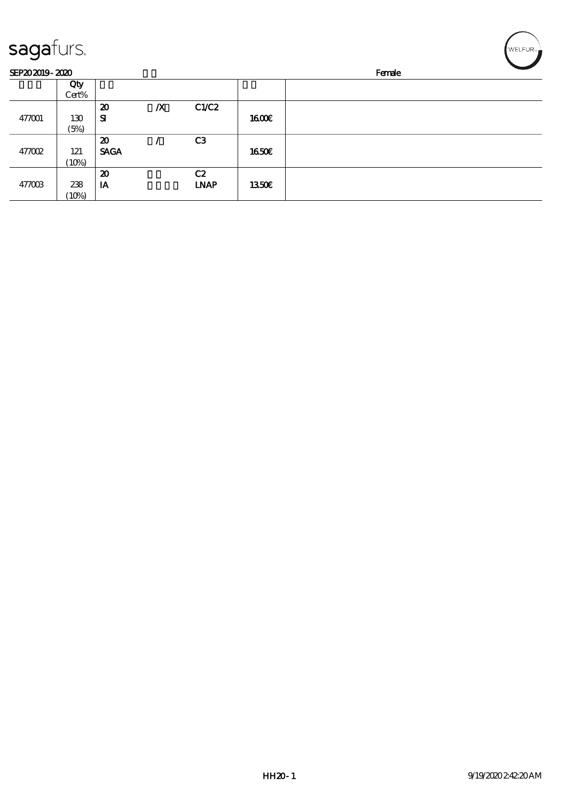| sagafurs.      |              |                             |                  |                |              | WELFUR <sub>™</sub> |
|----------------|--------------|-----------------------------|------------------|----------------|--------------|---------------------|
| SEP202019-2020 |              |                             |                  |                |              | Female              |
|                | Qty<br>Cert% |                             |                  |                |              |                     |
|                |              | $\boldsymbol{\mathfrak{D}}$ | $\boldsymbol{X}$ | C1/C2          |              |                     |
| 477001         | 130          | ${\bf s}$                   |                  |                | 1600E        |                     |
|                | (5%)         |                             |                  |                |              |                     |
|                |              | $\boldsymbol{\mathfrak{D}}$ |                  | C <sub>3</sub> |              |                     |
| 477002         | 121          | <b>SAGA</b>                 |                  |                | 1650E        |                     |
|                | (10%)        |                             |                  |                |              |                     |
|                |              | $\boldsymbol{\mathbf{z}}$   |                  | C2             |              |                     |
| 477003         | 238          | IA                          |                  | <b>LNAP</b>    | <b>1350€</b> |                     |
|                | (10%)        |                             |                  |                |              |                     |

╭  $\overline{\phantom{0}}$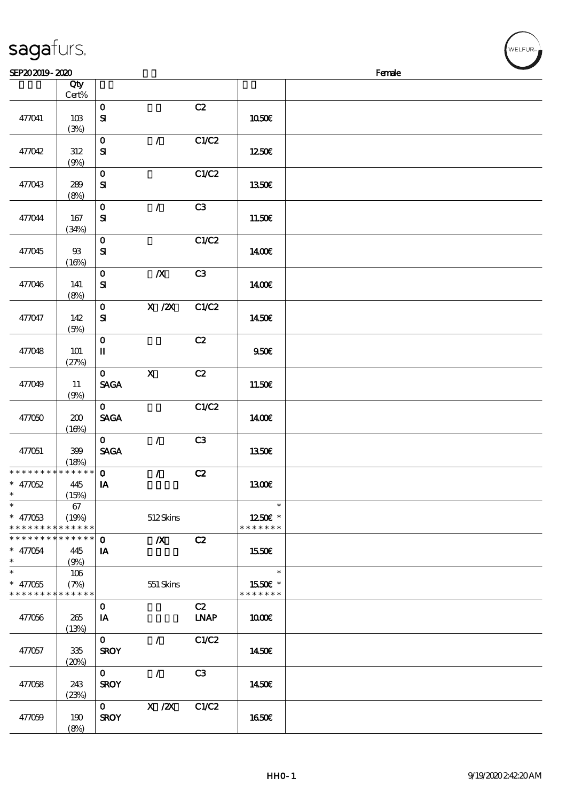|                              | Qty          |                                       |                  |             |               |  |
|------------------------------|--------------|---------------------------------------|------------------|-------------|---------------|--|
|                              | Cert%        |                                       |                  |             |               |  |
| 477041                       | 10B          | $\mathbf O$<br>${\bf S}$              |                  | C2          | 1050€         |  |
|                              | (3%)         |                                       |                  |             |               |  |
|                              |              | $\mathbf 0$                           | $\mathcal{L}$    | C1/C2       |               |  |
| 477042                       | $312\,$      | ${\bf S}$                             |                  |             | 1250€         |  |
|                              | (9%)         |                                       |                  |             |               |  |
|                              |              | $\mathbf O$                           |                  | C1/C2       |               |  |
| 477043                       | 289          | ${\bf s}$                             |                  |             | 1350€         |  |
|                              | (8%)         |                                       |                  |             |               |  |
| 477044                       | 167          | $\mathbf{o}$<br>${\bf s}$             | $\mathcal{T}$    | C3          | 11.50E        |  |
|                              | (34%)        |                                       |                  |             |               |  |
|                              |              | $\mathbf 0$                           |                  | C1/C2       |               |  |
| 477045                       | $93\,$       | ${\bf s}$                             |                  |             | 1400€         |  |
|                              | (16%)        |                                       |                  |             |               |  |
|                              |              | $\mathbf O$                           | $\boldsymbol{X}$ | C3          |               |  |
| 477046                       | 141          | ${\bf s}$                             |                  |             | 1400€         |  |
|                              | (8%)         |                                       | X / ZX           | C1/C2       |               |  |
| 477047                       | 142          | $\mathbf{o}$<br>${\bf s}$             |                  |             | 1450€         |  |
|                              | (5%)         |                                       |                  |             |               |  |
|                              |              | $\mathbf 0$                           |                  | C2          |               |  |
| 477048                       | 101          | $\rm I\hspace{-.1em}I\hspace{-.1em}I$ |                  |             | 950E          |  |
|                              | (27%)        |                                       |                  |             |               |  |
|                              |              | $\mathbf{O}$                          | $\mathbf x$      | C2          |               |  |
| 477049                       | 11           | <b>SAGA</b>                           |                  |             | 11.50€        |  |
|                              | (9%)         | $\mathbf{O}$                          |                  | C1/C2       |               |  |
| 477050                       | 200          | <b>SAGA</b>                           |                  |             | <b>140€</b>   |  |
|                              | (16%)        |                                       |                  |             |               |  |
|                              |              | $\mathbf{O}$                          | $\mathcal{F}$    | C3          |               |  |
| 477051                       | 399          | <b>SAGA</b>                           |                  |             | 1350€         |  |
|                              | (18%)        |                                       |                  |             |               |  |
| * * * * * * * *<br>$* 47052$ | * * * * * *  | $\mathbf{o}$                          | $\mathcal{L}$    | C2          |               |  |
| $\ast$                       | 445<br>(15%) | $\mathbf{I} \mathbf{A}$               |                  |             | 1300E         |  |
| $*$ $*$                      | 67           |                                       |                  |             | $\ast$        |  |
| $* 47063$                    | (19%)        |                                       | 512Skins         |             | 1250E *       |  |
| * * * * * * * *              | * * * * * *  |                                       |                  |             | * * * * * * * |  |
| * * * * * * * *              | ******       | $\mathbf 0$                           | $\boldsymbol{X}$ | C2          |               |  |
| $* 47054$<br>$\ast$          | 445          | IA                                    |                  |             | 1550€         |  |
| $\ast$                       | (9%)<br>106  |                                       |                  |             | $\ast$        |  |
| $* 47055$                    | (7%)         |                                       | 551 Skins        |             | 1550E *       |  |
| * * * * * * * *              | * * * * * *  |                                       |                  |             | * * * * * * * |  |
|                              |              | $\mathbf 0$                           |                  | C2          |               |  |
| 477056                       | 265          | IA                                    |                  | <b>LNAP</b> | 1000E         |  |
|                              | (13%)        |                                       |                  |             |               |  |
|                              |              | $\mathbf{O}$                          | $\mathcal{L}$    | C1/C2       |               |  |
| 477057                       | 335          | <b>SROY</b>                           |                  |             | 1450€         |  |
|                              | (20%)        | $\mathbf{O}$                          | $\mathcal{L}$    | C3          |               |  |
| 477058                       | 243          | <b>SROY</b>                           |                  |             | 1450€         |  |
|                              | (23%)        |                                       |                  |             |               |  |
|                              |              | $\mathbf{0}$                          | $X$ / $ZX$       | C1/C2       |               |  |
| 477059                       | 190          | <b>SROY</b>                           |                  |             | 1650€         |  |
|                              | (8%)         |                                       |                  |             |               |  |

 $SEP202019 - 2020$ 

sagafurs.

VELFUR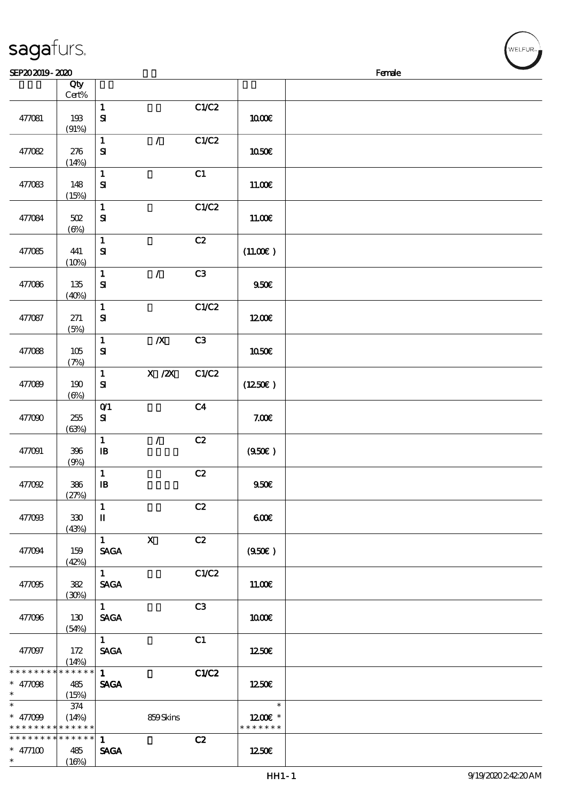| SEP202019-2020                                        |                   |                              |                  |                |                                    | Female |
|-------------------------------------------------------|-------------------|------------------------------|------------------|----------------|------------------------------------|--------|
|                                                       | Qty<br>$Cert\%$   |                              |                  |                |                                    |        |
| 477081                                                | 193<br>(91%)      | $\mathbf{1}$<br>${\bf s}$    |                  | C1/C2          | <b>1000€</b>                       |        |
| 477082                                                | 276<br>(14%)      | $\mathbf{1}$<br>${\bf s}$    | $\mathcal{L}$    | C1/C2          | 1050€                              |        |
| 477083                                                | 148<br>(15%)      | $\mathbf 1$<br>${\bf s}$     |                  | C1             | 11.00E                             |        |
| 477084                                                | 502<br>(6%)       | $\mathbf 1$<br>${\bf s}$     |                  | C1/C2          | 11.00E                             |        |
| 477085                                                | 441<br>(10%)      | $\mathbf{1}$<br>${\bf s}$    |                  | C2             | (11.00)                            |        |
| 477086                                                | 135<br>(40%)      | $\mathbf{1}$<br>${\bf S}$    | $\mathcal{L}$    | C3             | 950E                               |        |
| 477087                                                | 271<br>(5%)       | $\mathbf{1}$<br>${\bf s}$    |                  | C1/C2          | 1200E                              |        |
| 477088                                                | 105<br>(7%)       | $\mathbf{1}$<br>${\bf s}$    | $\boldsymbol{X}$ | C3             | 1050€                              |        |
| 477089                                                | 190<br>$(\Theta)$ | $\mathbf{1}$<br>$\bf S\!I$   | X / ZX           | C1/C2          | (1250E)                            |        |
| 477090                                                | 255<br>(63%)      | $O$ $1$<br>$\mathbf{S}$      |                  | C <sub>4</sub> | 7.00E                              |        |
| 477091                                                | 396<br>(9%)       | $\mathbf{1}$<br>$\mathbf{B}$ | $\mathcal{L}$    | C2             | (950)                              |        |
| 477092                                                | 386<br>(27%)      | $\mathbf{1}$<br>$\mathbf{B}$ |                  | $\mathbf{C2}$  | 950E                               |        |
| 477093                                                | 330<br>(43%)      | $\mathbf{1}$<br>П            |                  | C2             | 60E                                |        |
| 477094                                                | 159<br>(42%)      | $\mathbf{1}$<br><b>SAGA</b>  | $\mathbf{x}$     | C2             | (950)                              |        |
| 477095                                                | 382<br>(30%)      | 1<br><b>SAGA</b>             |                  | C1/C2          | 11.00E                             |        |
| 477096                                                | 130<br>(54%)      | 1<br><b>SAGA</b>             |                  | C3             | 1000E                              |        |
| 477097                                                | 172<br>(14%)      | 1<br><b>SAGA</b>             |                  | C1             | 1250E                              |        |
| * * * * * * * * * * * * * * *<br>$* 47008$<br>$\ast$  | 485<br>(15%)      | 1<br><b>SAGA</b>             |                  | C1/C2          | 1250E                              |        |
| $\ast$<br>* $47099$<br>* * * * * * * * * * * * * *    | 374<br>(14%)      |                              | 859Skins         |                | $\ast$<br>1200E *<br>* * * * * * * |        |
| * * * * * * * * * * * * * * *<br>$* 477100$<br>$\ast$ | 485<br>(16%)      | $\mathbf{1}$<br><b>SAGA</b>  |                  | C2             | 1250E                              |        |

,<br>WELFUR-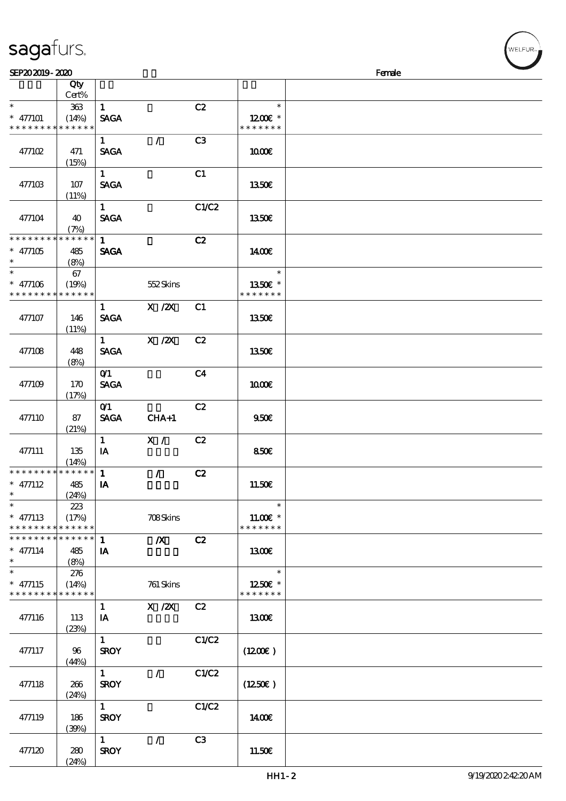| sagafurs. |  |
|-----------|--|
|-----------|--|

| SEP202019-2020                                                     |                                 |                             |                  |                |                                       | Female |
|--------------------------------------------------------------------|---------------------------------|-----------------------------|------------------|----------------|---------------------------------------|--------|
|                                                                    | Qty<br>Cert%                    |                             |                  |                |                                       |        |
| $\ast$<br>$* 477101$<br>* * * * * * * *                            | $363\,$<br>(14%)<br>* * * * * * | $\mathbf{1}$<br><b>SAGA</b> |                  | C2             | $\ast$<br>1200E *<br>* * * * * * *    |        |
| 477102                                                             | 471<br>(15%)                    | $\mathbf{1}$<br><b>SAGA</b> | $\mathcal{L}$    | C3             | 1000E                                 |        |
| 477103                                                             | 107<br>(11%)                    | $\mathbf{1}$<br><b>SAGA</b> |                  | C1             | 1350€                                 |        |
| 477104                                                             | 40<br>(7%)                      | $\mathbf{1}$<br><b>SAGA</b> |                  | C1/C2          | 1350€                                 |        |
| * * * * * * * * * * * * * *<br>$*$ 477105<br>$\ast$                | 485<br>(8%)                     | $\mathbf{1}$<br><b>SAGA</b> |                  | C2             | 1400€                                 |        |
| $\ast$<br>$* 477106$<br>* * * * * * * * * * * * * *                | 67<br>(19%)                     |                             | 552Skins         |                | $\ast$<br>1350E *<br>* * * * * * *    |        |
| 477107                                                             | 146<br>(11%)                    | $\mathbf{1}$<br><b>SAGA</b> | X / ZX           | C1             | 1350€                                 |        |
| 477108                                                             | 448<br>(8%)                     | $1 \quad$<br><b>SAGA</b>    | $X$ / $ZX$       | C2             | 1350E                                 |        |
| 477109                                                             | 170<br>(17%)                    | O(1)<br><b>SAGA</b>         |                  | C <sub>4</sub> | 1000E                                 |        |
| 477110                                                             | 87<br>(21%)                     | O(1)<br><b>SAGA</b>         | $CHA+1$          | C2             | 950E                                  |        |
| 477111                                                             | 135<br>(14%)                    | $\mathbf{1}$<br>IA          | X /              | C2             | 850E                                  |        |
| * * * * * * * * * * * * * *<br>$*$ 477112<br>$*$ $*$               | 485<br>(24%)                    | $\mathbf{1}$<br>IA          | $\mathcal{L}$    | C2             | 11.50€                                |        |
| $\ast$<br>$*$ 477113<br>* * * * * * * * <mark>* * * * * *</mark> * | 223<br>(17%)                    |                             | 708Skins         |                | $\ast$<br>$11.00E$ *<br>* * * * * * * |        |
| * * * * * * * * * * * * * * *<br>$*$ 477114<br>$\ast$              | 485<br>(8%)                     | $\mathbf{1}$<br>IA          | $\boldsymbol{X}$ | C2             | 1300E                                 |        |
| $\ast$<br>$*$ 477115<br>* * * * * * * * * * * * * *                | 276<br>(14%)                    |                             | 761 Skins        |                | $\ast$<br>1250E *<br>* * * * * * *    |        |
| 477116                                                             | 113<br>(23%)                    | $\mathbf{1}$<br>IA          | $X \, /ZX$       | C2             | 1300E                                 |        |
| 477117                                                             | 96<br>(44%)                     | $\mathbf{1}$<br><b>SROY</b> |                  | C1/C2          | (1200E)                               |        |
| 477118                                                             | 266<br>(24%)                    | 1<br><b>SROY</b>            | $\mathcal{L}$    | C1/C2          | (1250E)                               |        |
| 477119                                                             | 186<br>(30%)                    | $\mathbf{1}$<br><b>SROY</b> |                  | C1/C2          | 1400€                                 |        |
| 477120                                                             | 280<br>(24%)                    | $\mathbf{1}$<br><b>SROY</b> | $\mathcal{L}$    | C3             | 11.50E                                |        |

LFUR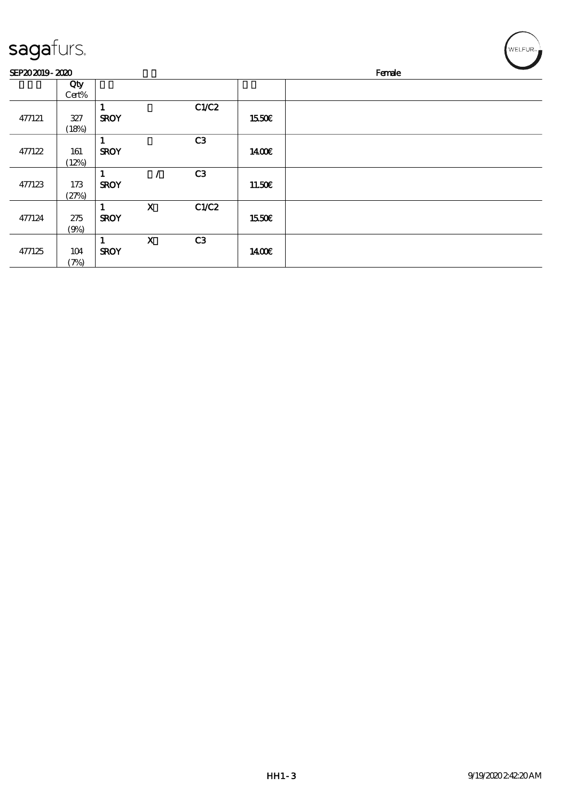| sagafurs.      |              |                  |                           |                |              | WELFUR <sub>™</sub> |
|----------------|--------------|------------------|---------------------------|----------------|--------------|---------------------|
| SEP202019-2020 |              |                  |                           |                |              | Female              |
|                | Qty<br>Cert% |                  |                           |                |              |                     |
| 477121         | 327<br>(18%) | 1<br><b>SROY</b> |                           | C1/C2          | <b>1550€</b> |                     |
| 477122         | 161<br>(12%) | 1<br><b>SROY</b> |                           | C <sub>3</sub> | 1400€        |                     |
| 477123         | 173<br>(27%) | 1<br><b>SROY</b> | Z                         | C3             | 11.50€       |                     |
| 477124         | 275<br>(9%)  | 1<br><b>SROY</b> | $\mathbf X$               | C1/C2          | 1550€        |                     |
| 477125         | 104<br>(7%)  | 1<br><b>SROY</b> | $\boldsymbol{\mathrm{X}}$ | C <sub>3</sub> | 1400€        |                     |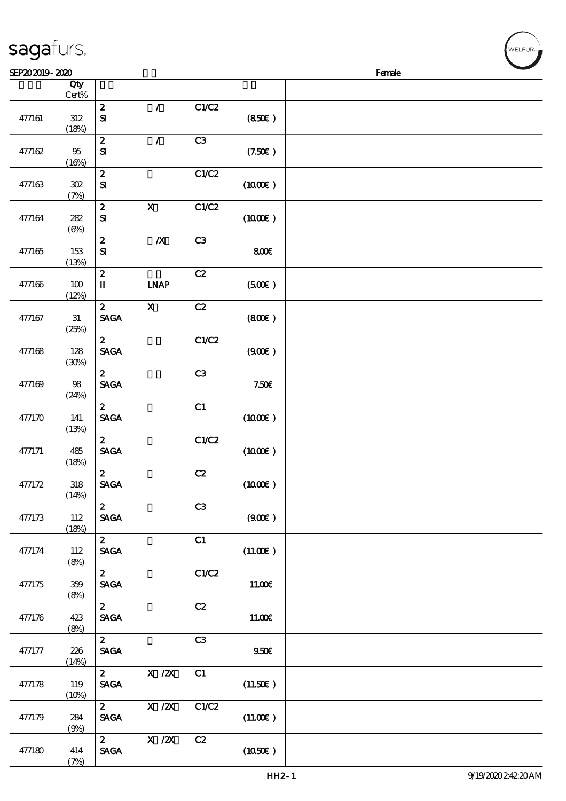|        | Qty<br>$Cert\%$     |                                                |                  |       |                     |  |
|--------|---------------------|------------------------------------------------|------------------|-------|---------------------|--|
|        |                     | $\boldsymbol{2}$                               | $\mathcal{L}$    | C1/C2 |                     |  |
| 477161 | $312\,$<br>(18%)    | ${\bf S}$                                      |                  |       | (850)               |  |
|        |                     | $\boldsymbol{2}$                               | $\mathcal{L}$    | C3    |                     |  |
| 477162 | $95\,$<br>(16%)     | ${\bf S}$                                      |                  |       | (7.50)              |  |
|        |                     | $\boldsymbol{2}$                               |                  | C1/C2 |                     |  |
| 477163 | ${\bf 3\!}$<br>(7%) | ${\bf S\hspace{-.075ex}I}$                     |                  |       | (1000E)             |  |
|        |                     | $\pmb{2}$                                      | $\mathbf X$      | C1/C2 |                     |  |
| 477164 | 282<br>$(\Theta)$   | $\mathbf{S}$                                   |                  |       | $(1000\varepsilon)$ |  |
|        |                     | $\pmb{2}$                                      | $\boldsymbol{X}$ | C3    |                     |  |
| 477165 | 153<br>(13%)        | ${\bf S}$                                      |                  |       | 800                 |  |
|        |                     | $\mathbf{z}$                                   |                  | C2    |                     |  |
| 477166 | 100<br>(12%)        | $\mathbf I$                                    | <b>INAP</b>      |       | (500)               |  |
|        |                     | $\mathbf{z}$                                   | $\mathbf X$      | C2    |                     |  |
| 477167 | 31<br>(25%)         | <b>SAGA</b>                                    |                  |       | (800)               |  |
|        |                     | $\mathbf{z}$                                   |                  | C1/C2 |                     |  |
| 477168 | 128                 | <b>SAGA</b>                                    |                  |       | (900)               |  |
|        | (30%)               |                                                |                  |       |                     |  |
|        |                     | $\mathbf{z}$                                   |                  | C3    |                     |  |
| 477169 | $98\,$              | <b>SAGA</b>                                    |                  |       | 7.50E               |  |
|        | (24%)               |                                                |                  |       |                     |  |
|        | 141                 | $\boldsymbol{z}$<br><b>SAGA</b>                |                  | C1    |                     |  |
| 477170 | (13%)               |                                                |                  |       | $(1000\varepsilon)$ |  |
|        |                     | $\mathbf{z}$                                   |                  | C1/C2 |                     |  |
| 477171 | 485                 | <b>SAGA</b>                                    |                  |       | $(1000\varepsilon)$ |  |
|        | (18%)               |                                                |                  |       |                     |  |
|        |                     | $\mathbf{2}$                                   |                  | C2    |                     |  |
| 477172 | $318\,$<br>(14%)    | $\operatorname{\mathbf{SAGA}}$                 |                  |       | $(1000\varepsilon)$ |  |
|        |                     | $\mathbf{z}$                                   |                  | C3    |                     |  |
| 477173 | 112                 | <b>SAGA</b>                                    |                  |       | (900)               |  |
|        | (18%)               |                                                |                  |       |                     |  |
|        |                     | $\mathbf{z}$                                   |                  | C1    |                     |  |
| 477174 | 112<br>(8%)         | $\operatorname{\mathsf{SAGA}}$                 |                  |       | (11.00)             |  |
|        |                     | $\mathbf{z}$                                   |                  | C1/C2 |                     |  |
| 477175 | 359                 | <b>SAGA</b>                                    |                  |       | 11.00E              |  |
|        | (8%)                |                                                |                  |       |                     |  |
| 477176 | 423                 | $\boldsymbol{2}$<br><b>SAGA</b>                |                  | C2    | 11.00E              |  |
|        | (8%)                |                                                |                  |       |                     |  |
|        |                     | $\mathbf{z}$                                   |                  | C3    |                     |  |
| 477177 | 226                 | $\operatorname{\mathsf{SAGA}}$                 |                  |       | 950E                |  |
|        | (14%)               |                                                |                  |       |                     |  |
| 477178 | 119                 | $\mathbf{z}$<br><b>SAGA</b>                    | X / ZX           | C1    | (11.50)             |  |
|        | (10%)               |                                                |                  |       |                     |  |
|        |                     | $\mathbf{2}$                                   | $X$ / $ZX$       | C1/C2 |                     |  |
| 477179 | 284                 | $\pmb{\text{SAGA}}$                            |                  |       | (11.00)             |  |
|        | (9%)                |                                                |                  |       |                     |  |
|        |                     | $\mathbf{2}$<br>$\operatorname{\mathsf{SAGA}}$ | $X$ / $ZX$       | C2    |                     |  |
| 477180 | 414<br>(7%)         |                                                |                  |       | (1050)              |  |
|        |                     |                                                |                  |       |                     |  |

 $SEP202019 - 2020$ 

#### sagafurs.

.<br>FUR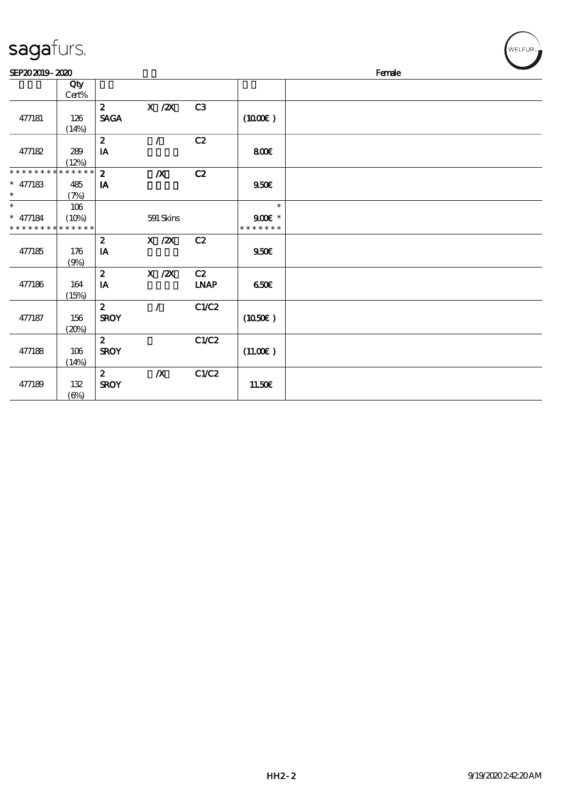| sagafurs.                                                      |              |                                 |                  |                   |                                     |        | WELFUR <sub>™</sub> |
|----------------------------------------------------------------|--------------|---------------------------------|------------------|-------------------|-------------------------------------|--------|---------------------|
| SEP202019-2020                                                 |              |                                 |                  |                   |                                     | Female |                     |
|                                                                | Qty<br>Cert% |                                 |                  |                   |                                     |        |                     |
| 477181                                                         | 126<br>(14%) | $\mathbf{z}$<br><b>SAGA</b>     | $X$ / $ZX$       | C <sub>3</sub>    | $(1000\varepsilon)$                 |        |                     |
| 477182                                                         | 289<br>(12%) | $\boldsymbol{z}$<br>IA          | $\mathcal{L}$    | C2                | 800€                                |        |                     |
| * * * * * * * * * * * * * * *<br>$* 477183$<br>$\ast$          | 485<br>(7%)  | $\mathbf{z}$<br>IA              | $\boldsymbol{X}$ | C2                | 950E                                |        |                     |
| $\overline{\ast}$<br>$* 477184$<br>* * * * * * * * * * * * * * | 106<br>(10%) |                                 | 591 Skins        |                   | $\ast$<br>$900E$ *<br>* * * * * * * |        |                     |
| 477185                                                         | 176<br>(9%)  | $\boldsymbol{z}$<br>IA          | X / ZX           | C2                | 950E                                |        |                     |
| 477186                                                         | 164<br>(15%) | $\boldsymbol{z}$<br>IA          | $X$ / $ZX$       | C2<br><b>LNAP</b> | 650                                 |        |                     |
| 477187                                                         | 156<br>(20%) | $\mathbf{z}$<br><b>SROY</b>     | $\mathcal{L}$    | C1/C2             | (1050)                              |        |                     |
| 477188                                                         | 106<br>(14%) | $\mathbf{z}$<br><b>SROY</b>     |                  | C1/C2             | (11.00)                             |        |                     |
| 477189                                                         | 132          | $\boldsymbol{z}$<br><b>SROY</b> | $\boldsymbol{X}$ | C1/C2             | 11.50E                              |        |                     |

 $\frac{132}{(6%)}$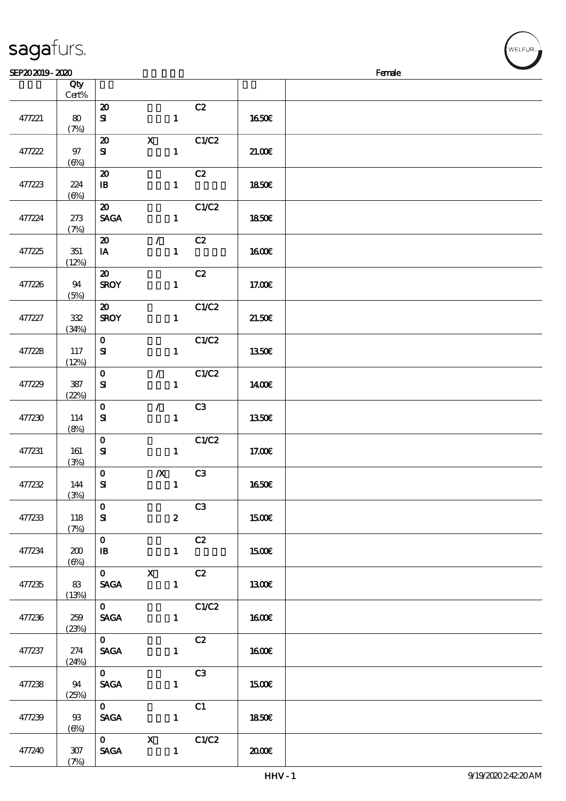|  |  | sagafurs. |  |
|--|--|-----------|--|
|--|--|-----------|--|

(7%)

| SEP202019-2020 |                   |                                            |                  |              |                |              | Female |
|----------------|-------------------|--------------------------------------------|------------------|--------------|----------------|--------------|--------|
|                | Qty<br>Cert%      |                                            |                  |              |                |              |        |
| 477221         | 80<br>(7%)        | $\boldsymbol{\mathbf{z}}$<br>${\bf s}$     |                  | $\mathbf{1}$ | C2             | <b>1650€</b> |        |
| 477222         | 97<br>$(\Theta)$  | $\boldsymbol{\mathfrak{D}}$<br>${\bf s}$   | $\mathbf X$      | $\mathbf{1}$ | C1/C2          | 21.006       |        |
| 477223         | 224<br>$(\Theta)$ | $\boldsymbol{\mathbf{z}}$<br>$\mathbf{B}$  |                  | $\mathbf{1}$ | C2             | 1850E        |        |
| 477224         | 273<br>(7%)       | $\boldsymbol{\mathfrak{D}}$<br><b>SAGA</b> |                  | $\mathbf{1}$ | C1/C2          | 1850E        |        |
| 477225         | 351<br>(12%)      | $\boldsymbol{\mathsf{20}}$<br>IA           | $\mathcal{L}$    | $\mathbf{1}$ | C2             | 1600E        |        |
| 477226         | 94<br>(5%)        | $\boldsymbol{\mathfrak{D}}$<br><b>SROY</b> |                  | $\mathbf{1}$ | C2             | 17.00E       |        |
| 477227         | 322<br>(34%)      | $\boldsymbol{\mathfrak{D}}$<br><b>SROY</b> |                  | $\mathbf{1}$ | C1/C2          | 21.50E       |        |
| 477228         | 117<br>(12%)      | $\mathbf 0$<br>${\bf s}$                   |                  | $\mathbf{1}$ | C1/C2          | <b>1350€</b> |        |
| 477229         | 387<br>(22%)      | $\mathbf 0$<br>${\bf s}$                   | $\mathcal{F}$    | $\mathbf{1}$ | C1/C2          | 1400E        |        |
| 477230         | 114<br>(8%)       | $\mathbf 0$<br>${\bf s}$                   | $\mathcal{L}$    | $\mathbf{1}$ | C3             | <b>1350€</b> |        |
| 477231         | 161<br>(3%)       | $\mathbf 0$<br>${\bf s}$                   |                  | $\mathbf{1}$ | C1/C2          | 17.00E       |        |
| 477232         | 144<br>(3%)       | $\mathbf 0$<br>${\bf S}$                   | $\boldsymbol{X}$ | $\mathbf{1}$ | C <sub>3</sub> | 1650E        |        |
| 477233         | 118<br>(7%)       | $\mathbf{0}$<br>${\bf s}$                  |                  | $\mathbf{z}$ | C3             | 1500€        |        |
| 477234         | 200<br>(6%)       | $\mathbf{0}$<br>$\mathbf{B}$               |                  | $\mathbf{1}$ | C2             | 1500€        |        |
| 477235         | 83<br>(13%)       | $0$ X<br><b>SAGA</b>                       |                  | $\mathbf{1}$ | C2             | 1300E        |        |
| 477236         | 259<br>(23%)      | $\mathbf{O}$<br><b>SAGA</b>                |                  | $\mathbf{1}$ | C1/C2          | 1600€        |        |
| 477237         | 274<br>(24%)      | $\mathbf{0}$<br><b>SAGA</b>                |                  | $\mathbf{1}$ | C2             | 1600E        |        |
| 477238         | 94<br>(25%)       | $\mathbf{O}$<br><b>SAGA</b>                |                  | $\mathbf{1}$ | C3             | 1500€        |        |
| 477239         | 93<br>(6%)        | $\mathbf{O}$<br><b>SAGA</b>                |                  | $\mathbf{1}$ | C1             | 1850E        |        |
| 477240         | $307$             | $0$ X                                      | SAGA 1           |              | C1/C2          | 2000         |        |

**NELFUR**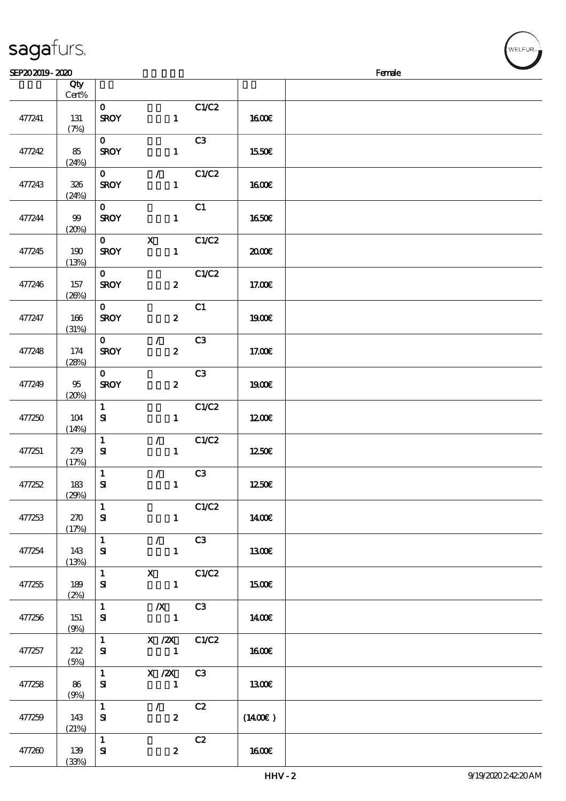| 477241 | 131<br>(7%)  | $\mathbf{o}$<br><b>SROY</b>         | $\mathbf{1}$                       | C1/C2          | <b>1600€</b>        |  |
|--------|--------------|-------------------------------------|------------------------------------|----------------|---------------------|--|
| 477242 | 85<br>(24%)  | $\mathbf 0$<br><b>SROY</b>          | $\mathbf{1}$                       | C3             | 1550€               |  |
| 477243 | 326<br>(24%) | $\mathbf{O}$<br><b>SROY</b>         | $\mathcal{L}$<br>$\mathbf{1}$      | C1/C2          | 1600E               |  |
| 477244 | 99<br>(20%)  | $\mathbf{O}$<br><b>SROY</b>         | $\mathbf{1}$                       | C1             | <b>1650€</b>        |  |
| 477245 | 190<br>(13%) | $\mathbf{O}$<br><b>SROY</b>         | $\mathbf X$<br>$\mathbf{1}$        | C1/C2          | 2000€               |  |
| 477246 | 157<br>(20%) | $\mathbf{O}$<br><b>SROY</b>         | $\boldsymbol{z}$                   | C1/C2          | 17.00E              |  |
| 477247 | 166<br>(31%) | $\mathbf{O}$<br><b>SROY</b>         | $\boldsymbol{z}$                   | C1             | <b>1900€</b>        |  |
| 477248 | 174<br>(28%) | $\mathbf{O}$<br><b>SROY</b>         | $\mathcal{L}$<br>$\boldsymbol{z}$  | C <sub>3</sub> | 17.00E              |  |
| 477249 | 95<br>(20%)  | $\mathbf{O}$<br><b>SROY</b>         | $\pmb{2}$                          | C3             | 1900E               |  |
| 477250 | 104<br>(14%) | $\mathbf{1}$<br>$\mathbf{S}$        | $\mathbf{1}$                       | C1/C2          | 1200                |  |
| 477251 | 279<br>(17%) | $\mathbf{1}$<br>${\bf S}$           | $\mathcal{F}$<br>$\mathbf{1}$      | C1/C2          | 1250E               |  |
| 477252 | 183<br>(29%) | $\mathbf{1}$<br>$\mathbf{S}$        | $\mathcal{L}$<br>$\mathbf{1}$      | C3             | 1250E               |  |
| 477253 | 270<br>(17%) | $\mathbf{1}$<br>${\bf S}$           | $\mathbf{1}$                       | C1/C2          | 1400€               |  |
| 477254 | 143<br>(13%) | $\mathbf{1}$<br>${\bf s}$           | $\mathcal{F}$<br>$\mathbf{1}$      | C3             | 1300€               |  |
| 477255 | 189<br>(2%)  | $\mathbf{1}$<br>${\bf s}$           | $X$ $C1/C2$<br>$\mathbf{1}$        |                | 1500E               |  |
| 477256 | 151<br>(9%)  | $\mathbf{1}$<br>${\bf s}$           | $X$ C3<br>$\blacksquare$           |                | 1400€               |  |
| 477257 | 212<br>(5%)  | $1 \quad \blacksquare$<br>${\bf s}$ | $X / ZX$ $C1/C2$<br>$\blacksquare$ |                | 1600E               |  |
| 477258 | 86<br>(9%)   | $\mathbf{1}$<br>${\bf s}$           | $X / ZX$ C3<br>$\mathbf{1}$        |                | 1300                |  |
| 477259 | 143<br>(21%) | $\mathbf{1}$<br>${\bf s}$           | $\mathcal{L}$<br>$\boldsymbol{z}$  | C2             | $(1400\varepsilon)$ |  |
| 477260 | 139<br>(33%) | $\mathbf{1}$<br>${\bf s}$           | $\boldsymbol{z}$                   | C2             | 1600E               |  |

 $SFP202019 - 2020$ 

说明 价格

顺序号 Qty

sagafurs.

Cert%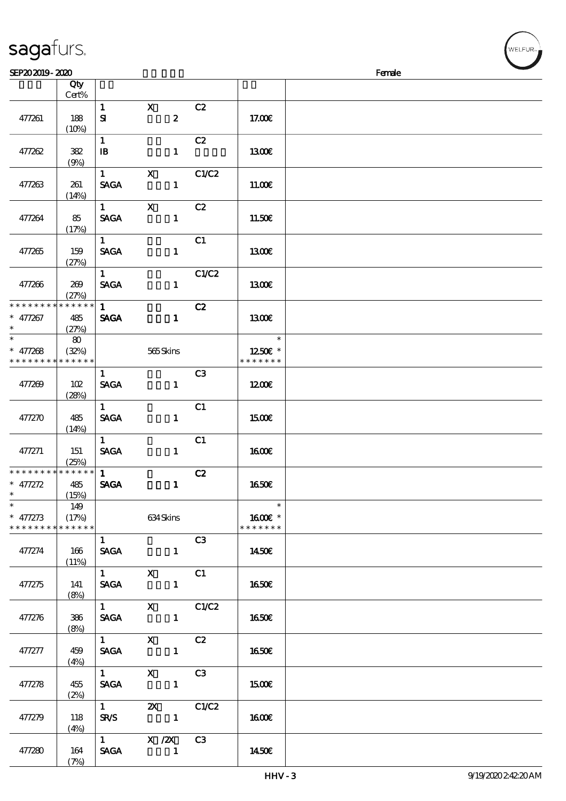| sagaturs. |  |
|-----------|--|
|           |  |

| SEP202019-2020                |             |                        |                                    |                |                      | Female |
|-------------------------------|-------------|------------------------|------------------------------------|----------------|----------------------|--------|
|                               | Qty         |                        |                                    |                |                      |        |
|                               | Cert%       |                        |                                    |                |                      |        |
|                               |             | $\mathbf{1}$           | $\mathbf{x}$                       | C2             |                      |        |
| 477261                        | 188         | ${\bf s}$              | $\boldsymbol{z}$                   |                | 17.00E               |        |
|                               | (10%)       |                        |                                    |                |                      |        |
|                               |             | $\mathbf{1}$           |                                    | C2             |                      |        |
| 477262                        | 382         | $\mathbf{B}$           | $\mathbf{1}$                       |                | 1300                 |        |
|                               | (9%)        |                        |                                    |                |                      |        |
|                               |             | $\mathbf{1}$           | $\boldsymbol{\mathrm{X}}$          | C1/C2          |                      |        |
| 477263                        | 261         | <b>SAGA</b>            | $\mathbf{1}$                       |                | 11.00E               |        |
|                               | (14%)       |                        |                                    |                |                      |        |
|                               |             | $\mathbf{1}$           | $\mathbf X$                        | C2             |                      |        |
| 477264                        | 85          | <b>SAGA</b>            | $\mathbf{1}$                       |                | 11.50E               |        |
|                               | (17%)       |                        |                                    |                |                      |        |
|                               |             | 1                      |                                    | C1             |                      |        |
| 477265                        | 159         | <b>SAGA</b>            | $\mathbf{1}$                       |                | 1300E                |        |
|                               | (27%)       |                        |                                    |                |                      |        |
|                               |             | $1 -$                  |                                    | C1/C2          |                      |        |
| 477266                        | 269         | <b>SAGA</b>            | $\mathbf{1}$                       |                | 1300E                |        |
|                               | (27%)       |                        |                                    |                |                      |        |
| * * * * * * * *               | * * * * * * | 1                      |                                    | C2             |                      |        |
| $* 477267$                    | 485         | <b>SAGA</b>            | $\mathbf{1}$                       |                | 1300E                |        |
| $\ast$                        | (27%)       |                        |                                    |                |                      |        |
| $_{*}^{-}$                    | $\bf{8}$    |                        |                                    |                | $\ast$               |        |
| $* 477268$                    | (32%)       |                        | 565Skins                           |                | 1250E *              |        |
| * * * * * * * * * * * * * *   |             |                        |                                    |                | * * * * * * *        |        |
|                               |             | $\mathbf{1}$           |                                    | C <sub>3</sub> |                      |        |
| 477269                        | 102         | <b>SAGA</b>            | $\mathbf{1}$                       |                | 1200                 |        |
|                               | (28%)       |                        |                                    |                |                      |        |
|                               |             | $\mathbf{1}$           |                                    | C1             |                      |        |
| 477270                        | 485         | <b>SAGA</b>            | $\mathbf{1}$                       |                | 1500                 |        |
|                               | (14%)       |                        |                                    |                |                      |        |
|                               |             | $\mathbf{1}$           |                                    | C1             |                      |        |
| 477271                        | 151         | <b>SAGA</b>            | $\mathbf{1}$                       |                | 1600                 |        |
|                               | (25%)       |                        |                                    |                |                      |        |
| * * * * * * * * * * * * * *   |             | 1                      |                                    | C2             |                      |        |
| $* 477272$                    | 485         | <b>SAGA</b>            | $\mathbf{1}$                       |                | <b>1650€</b>         |        |
| $*$                           | (15%)       |                        |                                    |                |                      |        |
| $\ast$                        | 149         |                        |                                    |                | $\ast$               |        |
| $* 477273$                    | (17%)       |                        | 634 Skins                          |                | 1600 $\varepsilon$ * |        |
| * * * * * * * * * * * * * * * |             |                        |                                    |                | * * * * * * *        |        |
|                               |             | 1                      |                                    | C3             |                      |        |
| 477274                        | 166         | <b>SAGA</b>            | $\mathbf{1}$                       |                | 1450€                |        |
|                               | (11%)       |                        | 1 X C1                             |                |                      |        |
|                               |             | <b>SAGA</b>            |                                    |                |                      |        |
| 477275                        | 141         |                        | $\blacksquare$                     |                | 1650E                |        |
|                               | (8%)        | $1$ and $1$ and $1$    | $X$ $C1/C2$                        |                |                      |        |
| 477276                        | 386         |                        | SAGA 1                             |                | <b>1650€</b>         |        |
|                               | (8%)        |                        |                                    |                |                      |        |
|                               |             | $1 \qquad \qquad$      | $X$ $C2$                           |                |                      |        |
| 477277                        | 459         |                        | SAGA 1                             |                | 1650E                |        |
|                               | (4%)        |                        |                                    |                |                      |        |
|                               |             | $1 \quad \blacksquare$ | $\overline{\mathbf{x}}$            | C3             |                      |        |
| 477278                        | 455         | <b>SAGA</b>            |                                    |                | 1500E                |        |
|                               | (2%)        |                        |                                    |                |                      |        |
|                               |             | $\overline{1}$         | <b>2X</b> C1/C2                    |                |                      |        |
| 477279                        | 118         |                        | $SRS$ 1                            |                | 1600E                |        |
|                               | (4%)        |                        |                                    |                |                      |        |
|                               |             |                        | $\overline{1}$ X $\overline{2}$ C3 |                |                      |        |
| 477280                        | 164         | <b>SAGA</b>            |                                    |                | 1450E                |        |
|                               | (7%)        |                        |                                    |                |                      |        |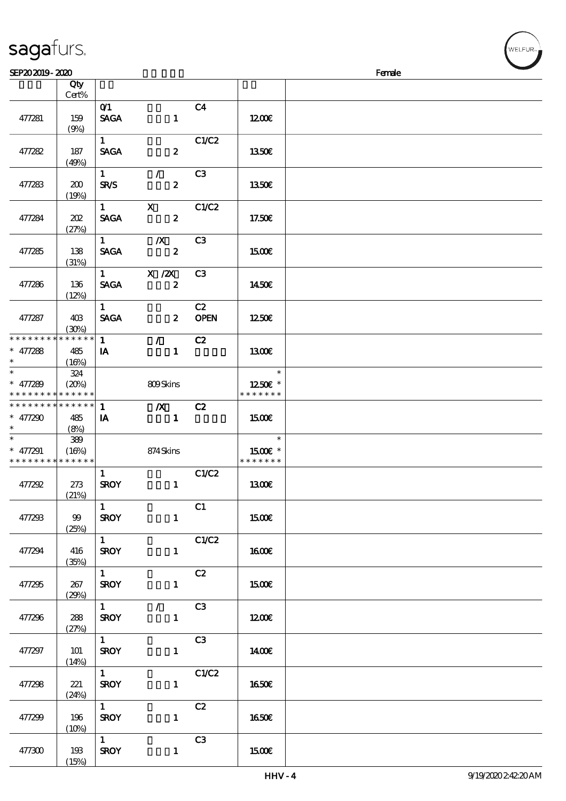|                                                                       | Qty<br>Cert%        |                                       |                                            |                   |                                    |  |
|-----------------------------------------------------------------------|---------------------|---------------------------------------|--------------------------------------------|-------------------|------------------------------------|--|
| 477281                                                                | 159<br>(9%)         | O(1)<br><b>SAGA</b>                   | $\mathbf{1}$                               | C <sub>4</sub>    | 1200                               |  |
| 477282                                                                | 187<br>(49%)        | $1 \quad$<br><b>SAGA</b>              | $\boldsymbol{z}$                           | C1/C2             | 1350€                              |  |
| 477283                                                                | 200<br>(19%)        | $1 -$<br><b>SR/S</b>                  | $\mathcal{F}$<br>$\boldsymbol{z}$          | C <sub>3</sub>    | 1350E                              |  |
| 477284                                                                | 202<br>(27%)        | $\mathbf{1}$<br><b>SAGA</b>           | $\mathbf x$<br>$\boldsymbol{z}$            | C1/C2             | 17.50E                             |  |
| 477285                                                                | 138<br>(31%)        | $1 \quad \blacksquare$<br><b>SAGA</b> | $\mathbf{X}$<br>$\overline{\mathbf{2}}$    | C <sub>3</sub>    | 1500€                              |  |
| 477286                                                                | 136<br>(12%)        | <b>SAGA</b>                           | 1 $X / ZX$<br>$\overline{\mathbf{2}}$      | C <sub>3</sub>    | 1450E                              |  |
| 477287                                                                | 403<br>(30%)        | 1<br><b>SACA</b>                      | $\boldsymbol{z}$                           | C2<br><b>OPEN</b> | 1250E                              |  |
| * * * * * * * * * * * * * *<br>$* 477288$<br>$\ast$                   | 485<br>(16%)        | 1<br>IA                               | $\mathcal{F}$<br>$\mathbf{1}$              | C2                | 1300E                              |  |
| $\overline{\ast}$<br>$* 477289$<br>* * * * * * * * * * * * * *        | 324<br>(20%)        |                                       | 809Skins                                   |                   | $\ast$<br>1250E *<br>* * * * * * * |  |
| * * * * * * * * * * * * * *<br>$* 477290$<br>$\ast$                   | 485<br>(8%)         | $\mathbf{1}$<br>IA                    | $\mathbf{X}$<br>$\sim$ 1                   | C2                | 1500                               |  |
| $\overline{\phantom{0}}$<br>$* 477291$<br>* * * * * * * * * * * * * * | 389<br>(16%)        |                                       | 874 Skins                                  |                   | $\ast$<br>1500E *<br>* * * * * * * |  |
| 477292                                                                | 273<br>(21%)        | $\mathbf{1}$<br><b>SROY</b>           | $\overline{\phantom{a}}$                   | C1/C2             | 1300                               |  |
| 477293                                                                | $99$<br>(25%)       | $\mathbf{1}$<br><b>SROY</b>           | $\mathbf{1}$                               | C1                | 1500€                              |  |
| 477294                                                                | 416<br>(35%)        | $1 -$<br><b>SROY</b>                  | $\mathbf{1}$                               | C1/C2             | <b>160€</b>                        |  |
| 477295                                                                | 267<br>(29%)        | $1 -$<br><b>SROY</b>                  | $\mathbf{1}$                               | C2                | 1500€                              |  |
| 477296                                                                | 288<br>(27%)        | $1 \quad \blacksquare$<br><b>SROY</b> | $\mathcal{L}_{\mathbb{R}}$<br>$\mathbf{1}$ | C3                | 1200E                              |  |
| 477297                                                                | <b>101</b><br>(14%) | $1 -$<br><b>SROY</b>                  | $\mathbf{1}$                               | C3                | 1400E                              |  |
| 477298                                                                | 221                 | $\mathbf{1}$<br><b>SROY</b>           | $\mathbf{1}$                               | C1/C2             | 1650€                              |  |

 $\overline{\mathsf{r}}$ 

 $SEP202019$  - 2020  $SEP202019$  -  $SEP302019$  -  $SEP202019$  -  $SEP302019$  -  $SEP302019$  -  $SEP302019$ 

 $\frac{1}{1650\epsilon}$ 

 $\frac{1}{\text{SROY}}$   $\frac{C2}{1}$ 

 $\overline{1}$  C3

 $SROY$  1 15.00€

sagafurs.

 $\overline{\mathsf{T}}$ 

477299 196

477300 193

(24%)

 $(10%)$ 

 $(15%)$ 

**NELFUR-**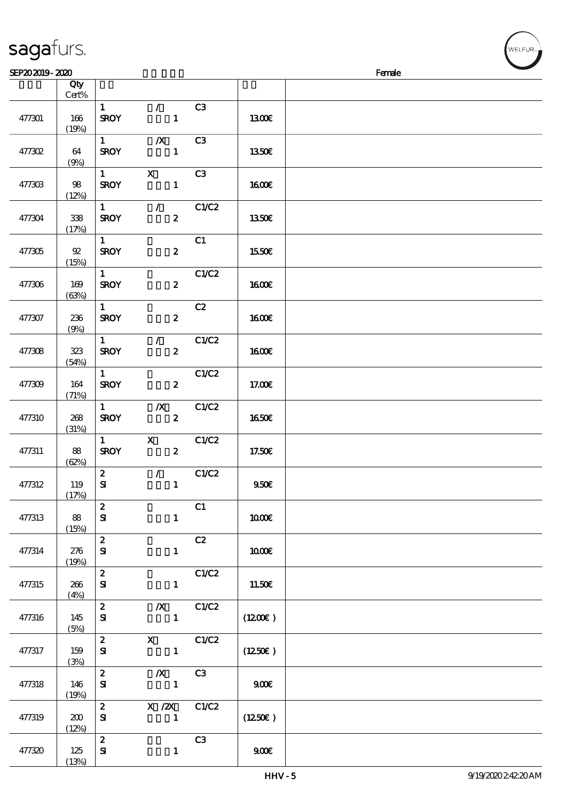| sagafurs. |
|-----------|
|           |

| SEP202019-2020 |        |                        |                  |              |              | Female |
|----------------|--------|------------------------|------------------|--------------|--------------|--------|
|                | Qty    |                        |                  |              |              |        |
|                | Cert%  |                        |                  |              |              |        |
|                |        | $\mathbf{1}$           | $\mathcal{L}$    | C3           |              |        |
| 477301         | 166    | <b>SROY</b>            | $\mathbf{1}$     |              | 1300E        |        |
|                | (19%)  |                        |                  |              |              |        |
|                |        | $1 -$                  | $\boldsymbol{X}$ | C3           |              |        |
| $477302$       | 64     | <b>SROY</b>            | $\mathbf{1}$     |              | 1350E        |        |
|                | (9%)   |                        |                  |              |              |        |
|                |        | $1 \quad \blacksquare$ | $\mathbf{X}$     | C3           |              |        |
| 477303         | 98     | <b>SROY</b>            | $\mathbf{1}$     |              | 1600E        |        |
|                | (12%)  |                        |                  |              |              |        |
|                |        | $1 \quad$              | $\mathcal{L}$    | C1/C2        |              |        |
| 477304         | 338    | <b>SROY</b>            | $\boldsymbol{z}$ |              | <b>1350€</b> |        |
|                | (17%)  |                        |                  |              |              |        |
|                |        | 1                      |                  | C1           |              |        |
| 477305         | $92\,$ | <b>SROY</b>            | $\boldsymbol{z}$ |              | 1550€        |        |
|                | (15%)  |                        |                  |              |              |        |
|                |        | 1                      |                  | C1/C2        |              |        |
| 477306         | 169    | <b>SROY</b>            | $\boldsymbol{z}$ |              | 1600E        |        |
|                | (63%)  |                        |                  |              |              |        |
|                |        | 1                      |                  | C2           |              |        |
| 477307         | 236    | <b>SROY</b>            | $\boldsymbol{z}$ |              | <b>1600€</b> |        |
|                | (9%)   |                        |                  |              |              |        |
|                |        | $1 -$                  | $\mathcal{L}$    | C1/C2        |              |        |
| 477308         | 323    | <b>SROY</b>            | $\boldsymbol{z}$ |              | 1600E        |        |
|                | (54%)  |                        |                  |              |              |        |
|                |        | 1                      |                  | C1/C2        |              |        |
| 477309         | 164    | <b>SROY</b>            | $\boldsymbol{z}$ |              | 17.00E       |        |
|                | (71%)  |                        |                  |              |              |        |
|                |        | $1 \quad$              | $\mathbf{X}$     | C1/C2        |              |        |
| 477310         | 268    | <b>SROY</b>            | $\boldsymbol{z}$ |              | <b>1650€</b> |        |
|                | (31%)  |                        |                  |              |              |        |
|                |        | $1 -$                  | $\mathbf{X}$     | C1/C2        |              |        |
| 477311         | 88     | <b>SROY</b>            | $\boldsymbol{z}$ |              | 17.50E       |        |
|                | (62%)  |                        |                  |              |              |        |
|                |        | $\boldsymbol{2}$       | $\mathcal{L}$    | C1/C2        |              |        |
| 477312         | 119    | $\mathbf{S}$           | $\mathbf{1}$     |              | 950E         |        |
|                | (17%)  |                        |                  |              |              |        |
|                |        | $\boldsymbol{z}$       |                  | C1           |              |        |
| 477313         | 88     | ${\bf s}$              | $\mathbf{1}$     |              | 1000€        |        |
|                | (15%)  |                        |                  |              |              |        |
|                |        | $\boldsymbol{2}$       |                  | C2           |              |        |
| 477314         | 276    | ${\bf s}$              | $\mathbf{1}$     |              | 1000E        |        |
|                | (19%)  |                        |                  |              |              |        |
|                |        | $\mathbf{z}$           |                  | C1/C2        |              |        |
| 477315         | 266    | ${\bf s}$              | $\mathbf{1}$     |              | 11.50E       |        |
|                | (4%)   |                        |                  |              |              |        |
|                |        | $\mathbf{z}$           |                  | $/X$ $C1/C2$ |              |        |
| 477316         | 145    | ${\bf s}$              | $\mathbf{1}$     |              | (1200E)      |        |
|                | (5%)   | $\mathbf{2}$           | X C1/C2          |              |              |        |
| 477317         | 159    | ${\bf s}$              | $\mathbf{1}$     |              | (1250E)      |        |
|                | (3%)   |                        |                  |              |              |        |
|                |        | $\mathbf{z}$           | $\boldsymbol{X}$ | C3           |              |        |
| 477318         | 146    | ${\bf s}$              | $\mathbf{1}$     |              | 900          |        |
|                | (19%)  |                        |                  |              |              |        |
|                |        | $\mathbf{2}$           | $X / ZX$ $C1/C2$ |              |              |        |
| 477319         | 200    | ${\bf s}$              | $\mathbf{1}$     |              | (1250E)      |        |
|                | (12%)  |                        |                  |              |              |        |
|                |        | $\mathbf{z}$           |                  | C3           |              |        |
| 477320         | 125    | $\mathbf{S}$           | $\mathbf{1}$     |              | 900          |        |
|                | (13%)  |                        |                  |              |              |        |
|                |        |                        |                  |              |              |        |

ELFUR<sub>1</sub>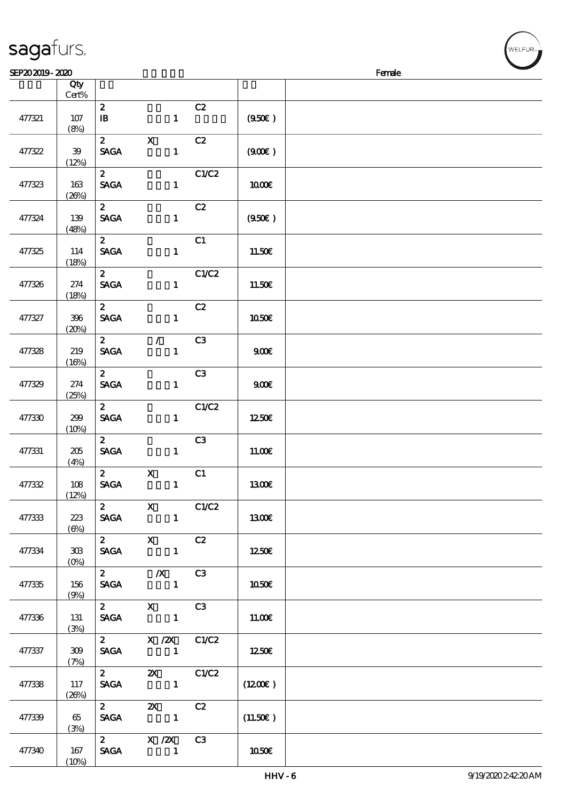$(10%)$ 

| SEP202019-2020 |                   |                                                        |                                                                            |       |              | Female |
|----------------|-------------------|--------------------------------------------------------|----------------------------------------------------------------------------|-------|--------------|--------|
|                | Qty<br>Cert%      |                                                        |                                                                            |       |              |        |
| 477321         | 107<br>(8%)       | $\mathbf{z}$<br>$\mathbf{B}$                           | $\mathbf{1}$                                                               | C2    | (950)        |        |
| 477322         | 39<br>(12%)       | $\mathbf{z}$<br><b>SAGA</b>                            | $\mathbf X$<br>$\mathbf{1}$                                                | C2    | (900)        |        |
| 477323         | 163<br>(20%)      | $\mathbf{2}$<br><b>SAGA</b>                            | $\mathbf{1}$                                                               | C1/C2 | 1000E        |        |
| 477324         | 139<br>(48%)      | $\mathbf{2}$<br><b>SAGA</b>                            | $\mathbf{1}$                                                               | C2    | (950)        |        |
| 477325         | 114<br>(18%)      | $\mathbf{2}$<br><b>SAGA</b>                            | $\mathbf{1}$                                                               | C1    | 11.50€       |        |
| 477326         | 274<br>(18%)      | $\mathbf{2}$<br><b>SAGA</b>                            | $\mathbf{1}$                                                               | C1/C2 | 11.50€       |        |
| 477327         | 396<br>(20%)      | $\mathbf{z}$<br><b>SAGA</b>                            | $\mathbf{1}$                                                               | C2    | 1050€        |        |
| 477328         | 219<br>(16%)      | $\mathbf{z}$<br><b>SAGA</b>                            | $\mathcal{F}$<br>$\mathbf{1}$                                              | C3    | 900E         |        |
| 477329         | 274<br>(25%)      | $\mathbf{2}$<br><b>SAGA</b>                            | $\mathbf{1}$                                                               | C3    | 900E         |        |
| 477330         | 299<br>(10%)      | $\mathbf{2}$<br><b>SAGA</b>                            | $\mathbf{1}$                                                               | C1/C2 | 1250E        |        |
| 477331         | 205<br>(4%)       | $\mathbf{z}$<br><b>SAGA</b>                            | $\mathbf{1}$                                                               | C3    | 11.00E       |        |
| 477332         | 108<br>(12%)      | 2 <sup>7</sup><br><b>SAGA</b>                          | $\mathbf X$<br>$\mathbf{1}$                                                | C1    | <b>1300€</b> |        |
| 477333         | 223<br>$(\Theta)$ | <b>SAGA</b>                                            | $\overline{\text{2}}$ $\overline{\text{X}}$ $\text{C1/C2}$<br>$\mathbf{1}$ |       | 1300€        |        |
| 477334         | $30\%$            | <b>SAGA</b>                                            | 2 X C2<br>$\sim$ 1                                                         |       | 1250         |        |
| 477335         | 156<br>(9%)       |                                                        | SAGA 1                                                                     |       | 1050E        |        |
| 477336         | 131<br>(3%)       |                                                        | 2 X C3<br>SAGA 1                                                           |       | 11.00E       |        |
| 477337         | 309<br>(7%)       |                                                        | 2 $X / 2X$ $C1/C2$<br>SAGA 1                                               |       | 1250E        |        |
| 477338         | 117<br>(20%)      | $\mathbf{2}$                                           | <b>2X</b> C1/C2<br>SAGA 1                                                  |       | (1200E)      |        |
| 477339         | 65<br>(3%)        | $\overline{2}$ $\overline{\phantom{0}}$<br><b>SAGA</b> | $\mathbf{x}$                                                               | C2    | (11.50E)     |        |
| 477340         | 167               |                                                        | 2 X /2X C3<br>SAGA 1                                                       |       | 1050€        |        |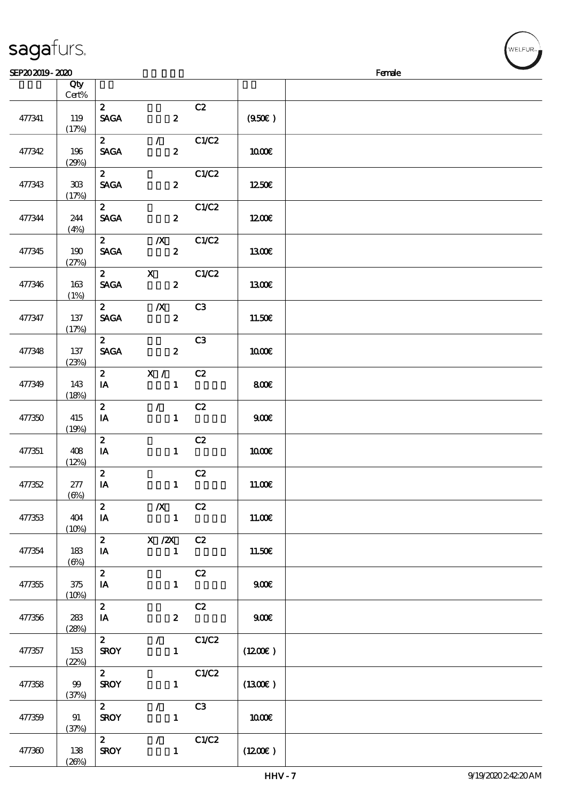|        | Qty<br>$\mbox{Cert}\%$          |                                        |                                                     |                |                     |  |
|--------|---------------------------------|----------------------------------------|-----------------------------------------------------|----------------|---------------------|--|
| 477341 | 119<br>(17%)                    | $\mathbf{z}$<br><b>SAGA</b>            | $\boldsymbol{z}$                                    | C2             | (950)               |  |
| 477342 | 196<br>(29%)                    | $\mathbf{2}$<br><b>SAGA</b>            | $\mathcal{L}$ and $\mathcal{L}$<br>$\boldsymbol{z}$ | C1/C2          | 1000E               |  |
| 477343 | $30\!\!\!\;\mathrm{B}$<br>(17%) | $\mathbf{2}$<br><b>SAGA</b>            | $\boldsymbol{2}$                                    | C1/C2          | 1250E               |  |
| 477344 | 244<br>(4%)                     | $\mathbf{z}$<br><b>SAGA</b>            | $\mathbf{2}$                                        | C1/C2          | 1200                |  |
| 477345 | 190<br>(27%)                    | $\mathbf{2}$<br><b>SAGA</b>            | $\mathbf{X}$<br>$\mathbf{2}$                        | C1/C2          | 1300E               |  |
| 477346 | 163<br>(1%)                     | $\mathbf{2}$<br><b>SAGA</b>            | $\mathbf{\bar{X}}$<br>$\overline{\mathbf{2}}$       | C1/C2          | 1300                |  |
| 477347 | 137<br>(17%)                    | $\mathbf{z}$<br><b>SAGA</b>            | $\overline{\mathbf{X}}$<br>$\boldsymbol{z}$         | C <sub>3</sub> | 11.50E              |  |
| 477348 | 137<br>(23%)                    | $\mathbf{2}$<br><b>SAGA</b>            | $\boldsymbol{2}$                                    | C3             | 1000E               |  |
| 477349 | 143<br>(18%)                    | $I$ A                                  | 2 X / C2<br>$\mathbf{1}$                            |                | 800E                |  |
| 477350 | 415<br>(19%)                    | $\mathbf{z}$<br>IA                     | $\mathcal{L}$ and $\mathcal{L}$<br>$\mathbf{1}$     | C2             | 900E                |  |
| 477351 | 408<br>(12%)                    | $\boldsymbol{z}$<br>IA                 | $\mathbf{1}$                                        | C2             | 1000E               |  |
| 477352 | 277<br>$(\Theta)$               | $\mathbf{z}$<br>$\mathbf{I}\mathbf{A}$ | $\mathbf{1}$                                        | C2             | 11.00E              |  |
| 477353 | 404<br>(10%)                    | $\mathbf{z}$<br>IA                     | $\boldsymbol{X}$<br>$\blacksquare$                  | C2             | 11.00E              |  |
| 477354 | 183<br>$(\Theta)$               | $\mathbf{z}$<br>IA                     | X /2X C2<br>$\mathbf{1}$                            |                | 11.50€              |  |
| 477355 | 375<br>(10%)                    | $\overline{2}$<br>IA                   | $\mathbf{1}$                                        | C2             | 900E                |  |
| 477356 | 283<br>(28%)                    | $\mathbf{z}$<br>IA                     | $\boldsymbol{z}$                                    | C2             | 900E                |  |
| 477357 | 153                             | $\mathbf{2}$<br><b>SROY</b>            | $\mathbf{1}$                                        | $\sqrt{C1/C2}$ | $(1200\varepsilon)$ |  |

 $S$ EP20 2019 - 2020  $S$ 

#### sagafurs.

477358 99

477359 91

477360 138

(22%)

 $\overline{2}$  C1/C2

 $\begin{array}{c|c}\n2 & / & C3 \\
\hline\n \text{SROY} & 1\n\end{array}$ 

 $\overline{2}$  / C1/C2

 $SROY$  1 (1300€)

SROY 1  $(1200\epsilon)$ 

 $\begin{array}{|c|c|c|c|c|}\n\hline\n1 & 1000 & \text{if } 1000 & \text{if } 1000 & \text{if } 1000 & \text{if } 1000 & \text{if } 1000 & \text{if } 1000 & \text{if } 1000 & \text{if } 1000 & \text{if } 1000 & \text{if } 1000 & \text{if } 1000 & \text{if } 1000 & \text{if } 1000 & \text{if } 1000 & \text{if } 1000 & \text{if } 1000 & \text{if } 1000 & \text{$ 

(37%)

(37%)

 $(26%)$ 

**VELFUR**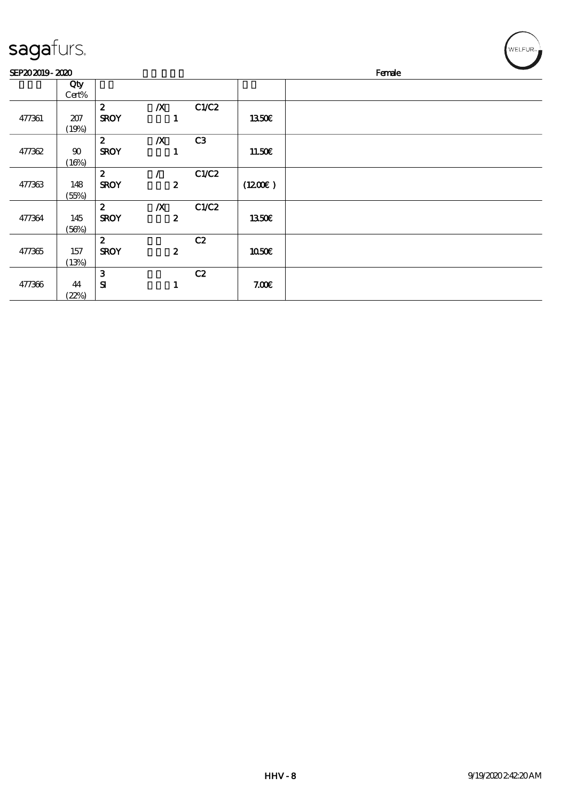| sagafurs. |
|-----------|
|-----------|

| sagafurs.      |                 |                                 |                                      |       |              | $WELFUR_{\text{max}}$ |
|----------------|-----------------|---------------------------------|--------------------------------------|-------|--------------|-----------------------|
| SEP202019-2020 |                 |                                 |                                      |       | Female       |                       |
|                | Qty<br>Cert%    |                                 |                                      |       |              |                       |
| 477361         | 207<br>(19%)    | $\mathbf{2}$<br><b>SROY</b>     | $\boldsymbol{X}$<br>$\mathbf{1}$     | C1/C2 | 1350€        |                       |
| 477362         | $90\,$<br>(16%) | $\mathbf{z}$<br><b>SROY</b>     | $\boldsymbol{X}$<br>1                | C3    | 11.50€       |                       |
| 477363         | 148<br>(55%)    | $\boldsymbol{z}$<br><b>SROY</b> | $\boldsymbol{z}$                     | C1/C2 | (1200E)      |                       |
| 477364         | 145<br>(56%)    | $\boldsymbol{z}$<br><b>SROY</b> | $\boldsymbol{X}$<br>$\boldsymbol{z}$ | C1/C2 | <b>1350€</b> |                       |
| 477365         | 157<br>(13%)    | $\mathbf{2}$<br><b>SROY</b>     | $\boldsymbol{2}$                     | C2    | 1050€        |                       |
| 477366         | 44<br>(22%)     | 3<br>${\bf s}$                  | 1                                    | C2    | 7.00E        |                       |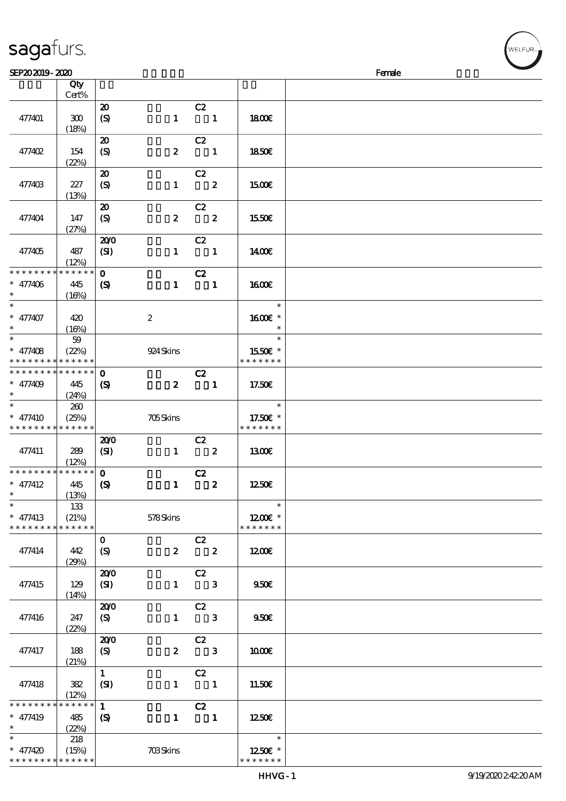| sagafurs. |  |
|-----------|--|
|           |  |

| SEP202019-2020                            |                      |                             |                  |                                                   |                         |                           | Female |
|-------------------------------------------|----------------------|-----------------------------|------------------|---------------------------------------------------|-------------------------|---------------------------|--------|
|                                           | Qty                  |                             |                  |                                                   |                         |                           |        |
|                                           | Cert%                |                             |                  |                                                   |                         |                           |        |
|                                           |                      | $\boldsymbol{\mathbf{z}}$   |                  | C2                                                |                         |                           |        |
| 477401                                    | 300                  | $\boldsymbol{S}$            | $\mathbf{1}$     | $\blacksquare$                                    |                         | 1800E                     |        |
|                                           |                      |                             |                  |                                                   |                         |                           |        |
|                                           | (18%)                |                             |                  |                                                   |                         |                           |        |
|                                           |                      | $\boldsymbol{\mathfrak{D}}$ |                  | C2                                                |                         |                           |        |
| 477402                                    | 154                  | $\boldsymbol{S}$            | $\boldsymbol{z}$ | $\overline{\phantom{a}}$                          |                         | <b>1850€</b>              |        |
|                                           | (22%)                |                             |                  |                                                   |                         |                           |        |
|                                           |                      | $\boldsymbol{\mathbf{z}}$   |                  | C2                                                |                         |                           |        |
| 477403                                    | 227                  | $\boldsymbol{S}$            | $\mathbf{1}$     | $\overline{\mathbf{2}}$                           |                         | 1500E                     |        |
|                                           | (13%)                |                             |                  |                                                   |                         |                           |        |
|                                           |                      | $\boldsymbol{\mathsf{20}}$  |                  | C2                                                |                         |                           |        |
| 477404                                    | 147                  | $\boldsymbol{S}$            | $\boldsymbol{z}$ | $\overline{\mathbf{2}}$                           |                         | 1550€                     |        |
|                                           | (27%)                |                             |                  |                                                   |                         |                           |        |
|                                           |                      | 200                         |                  | C2                                                |                         |                           |        |
| 477405                                    | 487                  | (SI)                        |                  | $1 \quad 1$                                       |                         | 1400E                     |        |
|                                           |                      |                             |                  |                                                   |                         |                           |        |
| * * * * * * * *                           | (12%)<br>* * * * * * |                             |                  |                                                   |                         |                           |        |
|                                           |                      | $\mathbf{o}$                |                  | C2                                                |                         |                           |        |
| $* 477406$                                | 445                  | $\boldsymbol{\mathcal{S}}$  | $\mathbf{1}$     | $\overline{\phantom{a}}$ $\overline{\phantom{a}}$ |                         | 1600E                     |        |
| $\ast$                                    | (16%)                |                             |                  |                                                   |                         |                           |        |
| $\ast$                                    |                      |                             |                  |                                                   |                         | $\ast$                    |        |
| $* 477407$                                | 420                  |                             | $\boldsymbol{2}$ |                                                   |                         | 1600E *                   |        |
| $\ast$                                    | (16%)                |                             |                  |                                                   |                         | $\ast$                    |        |
| $\overline{\ast}$                         | $59$                 |                             |                  |                                                   |                         | $\ast$                    |        |
| $* 477408$                                | (22%)                |                             | 924 Skins        |                                                   |                         | 1550E *                   |        |
| * * * * * * * *                           | * * * * * *          |                             |                  |                                                   |                         | * * * * * * *             |        |
| * * * * * * * *                           | * * * * * *          | $\mathbf 0$                 |                  | C2                                                |                         |                           |        |
| $* 477409$                                | 445                  | $\boldsymbol{\mathcal{S}}$  | $\boldsymbol{z}$ | $\blacksquare$                                    |                         | 17.50E                    |        |
| $\ast$                                    | (24%)                |                             |                  |                                                   |                         |                           |        |
| $\ast$                                    | 260                  |                             |                  |                                                   |                         | $\ast$                    |        |
|                                           |                      |                             |                  |                                                   |                         |                           |        |
| $* 477410$<br>* * * * * * * * * * * * * * | (25%)                |                             | 705Skins         |                                                   |                         | 17.50€ *<br>* * * * * * * |        |
|                                           |                      |                             |                  |                                                   |                         |                           |        |
|                                           |                      | 200                         |                  | C2                                                |                         |                           |        |
| 477411                                    | 289                  | (SI)                        |                  | $1 \t 2$                                          |                         | 1300E                     |        |
|                                           | (12%)                |                             |                  |                                                   |                         |                           |        |
| * * * * * * * * * * * * * *               |                      | $\mathbf{O}$                |                  | C2                                                |                         |                           |        |
| $* 477412$                                | 445                  | $\boldsymbol{S}$            | $\mathbf{1}$     |                                                   | $\overline{\mathbf{2}}$ | 1250E                     |        |
| $*$ $*$                                   | (13%)                |                             |                  |                                                   |                         |                           |        |
| $\ast$                                    | 133                  |                             |                  |                                                   |                         | $\ast$                    |        |
| $* 477413$                                | (21%)                |                             | 578Skins         |                                                   |                         | 1200E *                   |        |
| * * * * * * * *                           | * * * * * *          |                             |                  |                                                   |                         | * * * * * * *             |        |
|                                           |                      | $\mathbf{O}$                |                  | C2                                                |                         |                           |        |
| 477414                                    | 442                  | (S)                         | $\mathbf{2}$     | $\overline{\mathbf{2}}$                           |                         | 1200E                     |        |
|                                           | (29%)                |                             |                  |                                                   |                         |                           |        |
|                                           |                      | 200                         |                  | C2                                                |                         |                           |        |
| 477415                                    | 129                  | (SI)                        |                  | $1 \quad 3$                                       |                         | 950E                      |        |
|                                           |                      |                             |                  |                                                   |                         |                           |        |
|                                           | (14%)                | 200                         |                  |                                                   |                         |                           |        |
|                                           |                      |                             |                  | C2                                                |                         |                           |        |
| 477416                                    | 247                  | (S)                         |                  | $1 \qquad 3$                                      |                         | 950E                      |        |
|                                           | (22%)                |                             |                  |                                                   |                         |                           |        |
|                                           |                      | 200                         |                  | C2                                                |                         |                           |        |
| 477417                                    | 188                  | (S)                         | $\mathbf{z}$     | $\overline{\phantom{a}}$ 3                        |                         | 1000E                     |        |
|                                           | (21%)                |                             |                  |                                                   |                         |                           |        |
|                                           |                      | $\mathbf{1}$                |                  | C2                                                |                         |                           |        |
| 477418                                    | 382                  | (SI)                        |                  | $1 \qquad 1$                                      |                         | 11.50E                    |        |
|                                           | (12%)                |                             |                  |                                                   |                         |                           |        |
| * * * * * * * *                           | * * * * * *          | $\mathbf{1}$                |                  | C2                                                |                         |                           |        |
| $* 477419$                                | 485                  | $\boldsymbol{S}$            | $\mathbf{1}$     | $\blacksquare$                                    |                         | 1250€                     |        |
| $\ast$                                    | (22%)                |                             |                  |                                                   |                         |                           |        |
| $\overline{\phantom{0}}$                  | 218                  |                             |                  |                                                   |                         | $\ast$                    |        |
| $* 477420$                                | (15%)                |                             | <b>703Skins</b>  |                                                   |                         | 1250E *                   |        |
| * * * * * * * * * * * * * *               |                      |                             |                  |                                                   |                         | * * * * * * *             |        |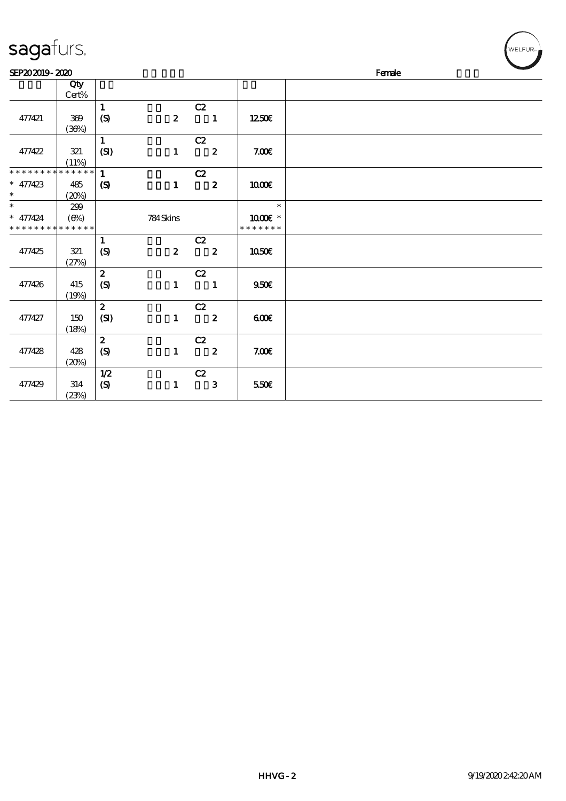| sayarurs.                                 |              |                             |                  |                         |                         | ALCO AN |  |  |  |  |
|-------------------------------------------|--------------|-----------------------------|------------------|-------------------------|-------------------------|---------|--|--|--|--|
| SEP202019-2020                            |              |                             |                  |                         |                         | Female  |  |  |  |  |
|                                           | Qty<br>Cert% |                             |                  |                         |                         |         |  |  |  |  |
|                                           |              | $\mathbf{1}$                |                  | C2                      |                         |         |  |  |  |  |
| 477421                                    | 369<br>(36%) | (S)                         | $\boldsymbol{z}$ | $\blacksquare$          | 1250€                   |         |  |  |  |  |
|                                           |              | $\mathbf{1}$                |                  | C2                      |                         |         |  |  |  |  |
| 477422                                    | 321<br>(11%) | (SI)                        | $\mathbf{1}$     | $\overline{\mathbf{2}}$ | 7.00E                   |         |  |  |  |  |
| * * * * * * * *                           | * * * * * *  | $\mathbf{1}$                |                  | C2                      |                         |         |  |  |  |  |
| $* 477423$<br>$\ast$                      | 485<br>(20%) | $\boldsymbol{\mathcal{S}}$  | $\mathbf{1}$     | $\overline{\mathbf{2}}$ | 1000E                   |         |  |  |  |  |
| $\ast$                                    | 299          |                             |                  |                         | $\ast$                  |         |  |  |  |  |
| $* 477424$<br>* * * * * * * * * * * * * * | $(\Theta\%)$ |                             | 784Skins         |                         | 1000 *<br>* * * * * * * |         |  |  |  |  |
|                                           |              | $\mathbf{1}$                |                  | C2                      |                         |         |  |  |  |  |
| 477425                                    | 321<br>(27%) | $\boldsymbol{S}$            | $\mathbf{2}$     | $\overline{\mathbf{2}}$ | 1050€                   |         |  |  |  |  |
|                                           |              | $\boldsymbol{z}$            |                  | C2                      |                         |         |  |  |  |  |
| 477426                                    | 415<br>(19%) | $\boldsymbol{\mathrm{(S)}}$ | $\mathbf{1}$     | $\blacksquare$          | 950E                    |         |  |  |  |  |
|                                           |              | $\boldsymbol{z}$            |                  | C2                      |                         |         |  |  |  |  |
| 477427                                    | 150<br>(18%) | (SI)                        | $\mathbf{1}$     | $\overline{\mathbf{2}}$ | 600                     |         |  |  |  |  |
|                                           |              | $\boldsymbol{z}$            |                  | C2                      |                         |         |  |  |  |  |
| 477428                                    | 428<br>(20%) | $\boldsymbol{\mathrm{(S)}}$ | $\mathbf{1}$     | $\overline{\mathbf{2}}$ | 7.00E                   |         |  |  |  |  |
|                                           |              | 1/2                         |                  | C2                      |                         |         |  |  |  |  |
| 477429                                    | 314<br>(23%) | (S)                         | $\mathbf{1}$     | $\mathbf{3}$            | 550E                    |         |  |  |  |  |

 $\int_{W \text{ELE}}$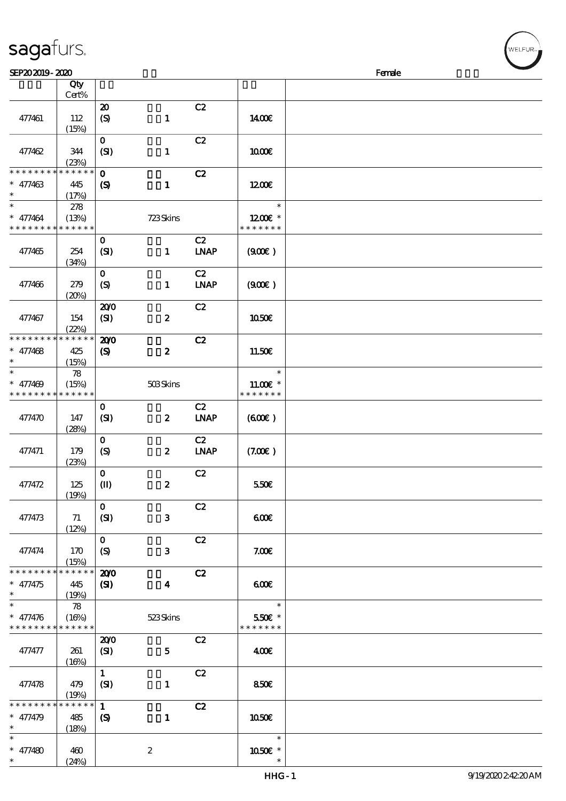| SEP202019-2020                           |             |                             |                  |             |               | Female |
|------------------------------------------|-------------|-----------------------------|------------------|-------------|---------------|--------|
|                                          | Qty         |                             |                  |             |               |        |
|                                          | Cert%       |                             |                  |             |               |        |
|                                          |             | $\boldsymbol{\mathbf{z}}$   |                  | C2          |               |        |
| 477461                                   | 112         | $\boldsymbol{S}$            | $\mathbf{1}$     |             | 1400E         |        |
|                                          |             |                             |                  |             |               |        |
|                                          | (15%)       |                             |                  |             |               |        |
|                                          |             | $\mathbf{O}$                |                  | C2          |               |        |
| 477462                                   | 344         | (SI)                        | $\mathbf{1}$     |             | 1000E         |        |
|                                          | (23%)       |                             |                  |             |               |        |
| * * * * * * *                            | * * * * * * | $\mathbf{o}$                |                  | C2          |               |        |
| $* 477463$                               | 445         | $\boldsymbol{\mathcal{S}}$  | $\mathbf{1}$     |             | 1200E         |        |
| $\ast$                                   | (17%)       |                             |                  |             |               |        |
| $\ast$                                   | 278         |                             |                  |             | $\ast$        |        |
|                                          |             |                             |                  |             |               |        |
| $* 477464$                               | (13%)       |                             | 723Skins         |             | 1200E *       |        |
| * * * * * * * * <mark>* * * * * *</mark> |             |                             |                  |             | * * * * * * * |        |
|                                          |             | $\mathbf 0$                 |                  | C2          |               |        |
| 477465                                   | 254         | (SI)                        | $\mathbf{1}$     | <b>LNAP</b> | (900)         |        |
|                                          | (34%)       |                             |                  |             |               |        |
|                                          |             | $\mathbf{o}$                |                  | C2          |               |        |
| 477466                                   | 279         | $\boldsymbol{\mathrm{(S)}}$ | $\mathbf{1}$     | <b>LNAP</b> | (900)         |        |
|                                          | (20%)       |                             |                  |             |               |        |
|                                          |             |                             |                  |             |               |        |
|                                          |             | 200                         |                  | C2          |               |        |
| 477467                                   | 154         | (SI)                        | $\boldsymbol{z}$ |             | <b>1050€</b>  |        |
|                                          | (22%)       |                             |                  |             |               |        |
| * * * * * * * *                          | * * * * * * | 200                         |                  | C2          |               |        |
| $* 477468$                               | 425         | $\boldsymbol{\mathrm{(S)}}$ | $\boldsymbol{z}$ |             | 11.50E        |        |
| $\ast$                                   | (15%)       |                             |                  |             |               |        |
| $\ast$                                   | $78$        |                             |                  |             | $\ast$        |        |
| $* 477409$                               | (15%)       |                             | 503Skins         |             | $11.00E$ *    |        |
| * * * * * * * * * * * * * *              |             |                             |                  |             | * * * * * * * |        |
|                                          |             |                             |                  |             |               |        |
|                                          |             | $\mathbf{o}$                |                  | C2          |               |        |
| 477470                                   | 147         | (SI)                        | $\boldsymbol{z}$ | <b>LNAP</b> | (60E)         |        |
|                                          | (28%)       |                             |                  |             |               |        |
|                                          |             | $\mathbf 0$                 |                  | C2          |               |        |
| 477471                                   | 179         | $\boldsymbol{S}$            | $\boldsymbol{z}$ | <b>LNAP</b> | (7.00)        |        |
|                                          | (23%)       |                             |                  |             |               |        |
|                                          |             | $\mathbf 0$                 |                  | C2          |               |        |
| 477472                                   | 125         | $\mathbf{I}$                | $\pmb{2}$        |             | 550€          |        |
|                                          |             |                             |                  |             |               |        |
|                                          | (19%)       |                             |                  |             |               |        |
|                                          |             | $\mathbf{o}$                |                  | C2          |               |        |
| 477473                                   | 71          | (SI)                        | $\mathbf{3}$     |             | 600           |        |
|                                          | (12%)       |                             |                  |             |               |        |
|                                          |             | $\mathbf{O}$                |                  | C2          |               |        |
| 477474                                   | 170         | $\boldsymbol{S}$            | $\mathbf{3}$     |             | 7.00E         |        |
|                                          | (15%)       |                             |                  |             |               |        |
| * * * * * * * *                          | * * * * * * | 200                         |                  | C2          |               |        |
| $* 477475$                               | 445         | (S)                         | $\boldsymbol{4}$ |             | 600           |        |
| $\ast$                                   |             |                             |                  |             |               |        |
| $\ast$                                   | (19%)       |                             |                  |             | $\ast$        |        |
|                                          | 78          |                             |                  |             |               |        |
| $* 477476$                               | (16%)       |                             | 523Skins         |             | 550€ *        |        |
| * * * * * * * * <mark>* * * * * *</mark> |             |                             |                  |             | * * * * * * * |        |
|                                          |             | 200                         |                  | C2          |               |        |
| 477477                                   | 261         | (SI)                        | 5 <sub>5</sub>   |             | 400           |        |
|                                          | (16%)       |                             |                  |             |               |        |
|                                          |             | $\mathbf{1}$                |                  | C2          |               |        |
|                                          |             |                             |                  |             |               |        |
| 477478                                   | 479         | (SI)                        | $\mathbf{1}$     |             | 850E          |        |
|                                          | (19%)       |                             |                  |             |               |        |
| * * * * * * *                            | * * * * * * | $\mathbf{1}$                |                  | C2          |               |        |
| $* 477479$                               | 485         | $\boldsymbol{S}$            | $\mathbf{1}$     |             | 1050E         |        |
| $\ast$                                   | (18%)       |                             |                  |             |               |        |
| $\ast$                                   |             |                             |                  |             | $\ast$        |        |
| $* 477480$                               | 460         |                             | $\boldsymbol{2}$ |             | 1050E *       |        |
| $*$                                      | (24%)       |                             |                  |             | $\ast$        |        |

:<br>LFUR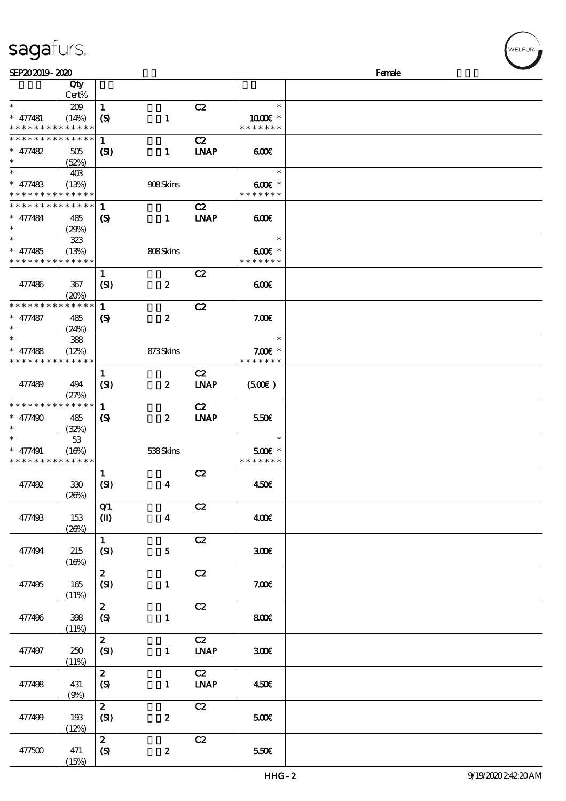| sagafurs. |  |
|-----------|--|
|           |  |

| SEP202019-2020              |                      |                                |                         |                              |               | Female |
|-----------------------------|----------------------|--------------------------------|-------------------------|------------------------------|---------------|--------|
|                             | Qty                  |                                |                         |                              |               |        |
|                             | Cert%                |                                |                         |                              |               |        |
| $\ast$                      | 209                  | $\mathbf{1}$                   |                         | C2                           | $\ast$        |        |
| $* 477481$                  | (14%)                | $\boldsymbol{S}$               | $\mathbf{1}$            |                              | 1000 £*       |        |
| * * * * * * * * * * * * * * |                      |                                |                         |                              | * * * * * * * |        |
| * * * * * * * * * * * * * * |                      | $\mathbf{1}$                   |                         | C2                           |               |        |
| $* 477482$                  | 505                  | $\mathbf{C}$                   | $\mathbf{1}$            | <b>LNAP</b>                  | 600           |        |
| $\ast$                      |                      |                                |                         |                              |               |        |
| $\ast$                      | (52%)                |                                |                         |                              | $\ast$        |        |
|                             | 40B                  |                                |                         |                              |               |        |
| $* 477483$                  | (13%)                |                                | 908Skins                |                              | $600E$ *      |        |
| * * * * * * * * * * * * * * |                      |                                |                         |                              | * * * * * * * |        |
| * * * * * * * * * * * * * * |                      | 1                              |                         | C2                           |               |        |
| $* 477484$                  | 485                  | $\boldsymbol{\mathcal{S}}$     | $\mathbf{1}$            | <b>INAP</b>                  | 6000          |        |
| $\ast$                      | (29%)                |                                |                         |                              |               |        |
| $\overline{\ast}$           | 323                  |                                |                         |                              | $\ast$        |        |
| $* 477485$                  | (13%)                |                                | 808Skins                |                              | $600E$ *      |        |
| * * * * * * * *             | * * * * * *          |                                |                         |                              | * * * * * * * |        |
|                             |                      | $\mathbf{1}$                   |                         | C2                           |               |        |
| 477486                      | 367                  | (SI)                           | $\boldsymbol{z}$        |                              | 60E           |        |
|                             |                      |                                |                         |                              |               |        |
| * * * * * * * *             | (20%)<br>* * * * * * |                                |                         |                              |               |        |
|                             |                      | $\mathbf{1}$                   |                         | C2                           |               |        |
| $* 477487$                  | 485                  | $\boldsymbol{\mathrm{(S)}}$    | $\pmb{2}$               |                              | 7.00E         |        |
| $\ast$                      | (24%)                |                                |                         |                              |               |        |
| $\ast$                      | 388                  |                                |                         |                              | $\ast$        |        |
| $* 477488$                  | (12%)                |                                | 873Skins                |                              | $7.00E$ *     |        |
| * * * * * * * *             | * * * * * *          |                                |                         |                              | * * * * * * * |        |
|                             |                      | $\mathbf{1}$                   |                         | C2                           |               |        |
| 477489                      | 494                  | (SI)                           | $\boldsymbol{z}$        | <b>LNAP</b>                  | (500)         |        |
|                             | (27%)                |                                |                         |                              |               |        |
| * * * * * * * *             | * * * * * *          | $\mathbf{1}$                   |                         | C2                           |               |        |
| $* 477490$                  | 485                  |                                | $\boldsymbol{z}$        | <b>LNAP</b>                  | 550€          |        |
| $\ast$                      |                      | $\boldsymbol{\mathcal{S}}$     |                         |                              |               |        |
| $\ast$                      | (32%)                |                                |                         |                              | $\ast$        |        |
|                             | 53                   |                                |                         |                              |               |        |
| $* 477491$                  | (16%)                |                                | 538Skins                |                              | 500€ *        |        |
| * * * * * * * * * * * * * * |                      |                                |                         |                              | * * * * * * * |        |
|                             |                      | $\mathbf{1}$                   |                         | C2                           |               |        |
| 477492                      | 330                  | (SI)                           | $\boldsymbol{4}$        |                              | 450€          |        |
|                             | (20%)                |                                |                         |                              |               |        |
|                             |                      | O(1)                           |                         | C2                           |               |        |
| 477493                      | 153                  | $\textcircled{\scriptsize{I}}$ | $\overline{\mathbf{4}}$ |                              | 400€          |        |
|                             | (20%)                |                                |                         |                              |               |        |
|                             |                      | $\mathbf{1}$                   |                         | C2                           |               |        |
| 477494                      | 215                  | (SI)                           | $\mathbf{5}$            |                              | 300E          |        |
|                             | (16%)                |                                |                         |                              |               |        |
|                             |                      |                                |                         |                              |               |        |
|                             |                      | $\mathbf{z}$                   |                         | C2                           |               |        |
| 477495                      | 165                  | (SI)                           | $\mathbf{1}$            |                              | 7.00E         |        |
|                             | (11%)                |                                |                         |                              |               |        |
|                             |                      | $\mathbf{z}$                   |                         | C2                           |               |        |
| 477496                      | 398                  | (S)                            | $\mathbf{1}$            |                              | 800€          |        |
|                             | (11%)                |                                |                         |                              |               |        |
|                             |                      | $\mathbf{2}$                   |                         | C2                           |               |        |
| 477497                      | 250                  | (SI)                           | $\mathbf{1}$            | <b>LNAP</b>                  | 300E          |        |
|                             | (11%)                |                                |                         |                              |               |        |
|                             |                      | $\mathbf{z}$                   |                         | C2                           |               |        |
| 477498                      | 431                  | $\boldsymbol{S}$               | $\mathbf{1}$            | $\ensuremath{\mathbf{INAP}}$ | 450€          |        |
|                             |                      |                                |                         |                              |               |        |
|                             | (9%)                 |                                |                         |                              |               |        |
|                             |                      | $\mathbf{z}$                   |                         | C2                           |               |        |
| 477499                      | 193                  | (SI)                           | $\boldsymbol{z}$        |                              | 500€          |        |
|                             | (12%)                |                                |                         |                              |               |        |
|                             |                      | $\boldsymbol{z}$               |                         | C2                           |               |        |
| 477500                      | 471                  | $\boldsymbol{S}$               | $\pmb{2}$               |                              | 550€          |        |
|                             | (15%)                |                                |                         |                              |               |        |

:<br>LFUR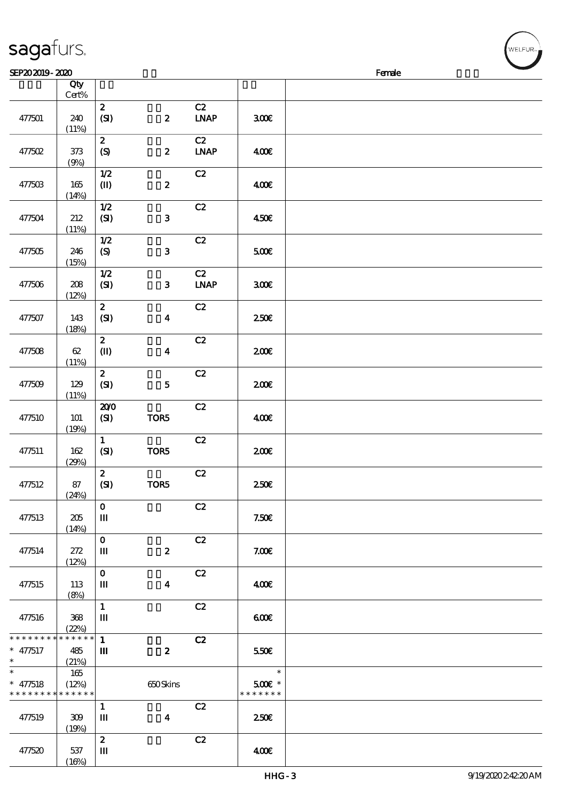|                 | Qty<br>$\mbox{Cert}\%$ |                                |                  |             |               |  |
|-----------------|------------------------|--------------------------------|------------------|-------------|---------------|--|
|                 |                        |                                |                  |             |               |  |
|                 |                        | $\boldsymbol{z}$               |                  | C2          |               |  |
| 477501          | 240                    | (SI)                           | $\boldsymbol{z}$ | <b>LNAP</b> | 300E          |  |
|                 | (11%)                  |                                |                  |             |               |  |
|                 |                        | $\boldsymbol{z}$               |                  | C2          |               |  |
| 477502          | $373\,$                | (S)                            | $\boldsymbol{z}$ | <b>LNAP</b> | 400E          |  |
|                 | (9%)                   |                                |                  |             |               |  |
|                 |                        | $1/2$                          |                  | C2          |               |  |
| 477503          | $165\,$                | $\textcircled{\scriptsize{I}}$ | $\boldsymbol{2}$ |             | 400E          |  |
|                 | (14%)                  |                                |                  |             |               |  |
|                 |                        | $1/2$                          |                  | C2          |               |  |
|                 |                        |                                |                  |             |               |  |
| 477504          | 212                    | (SI)                           | 3                |             | 450€          |  |
|                 | (11%)                  |                                |                  |             |               |  |
|                 |                        | 1/2                            |                  | C2          |               |  |
| 477505          | 246                    | (S)                            | $\mathbf{3}$     |             | 500€          |  |
|                 | (15%)                  |                                |                  |             |               |  |
|                 |                        | 1/2                            |                  | C2          |               |  |
| 477506          | 208                    | (SI)                           | $\mathbf{3}$     | <b>LNAP</b> | 300E          |  |
|                 | (12%)                  |                                |                  |             |               |  |
|                 |                        | $\boldsymbol{z}$               |                  | C2          |               |  |
| 477507          | 143                    | (SI)                           | $\boldsymbol{4}$ |             | 250E          |  |
|                 | (18%)                  |                                |                  |             |               |  |
|                 |                        | $\boldsymbol{z}$               |                  | C2          |               |  |
| 477508          | $62\,$                 | $\mathbf{I}$                   | $\boldsymbol{4}$ |             | 200E          |  |
|                 | (11%)                  |                                |                  |             |               |  |
|                 |                        | $\mathbf{z}$                   |                  | C2          |               |  |
|                 |                        |                                |                  |             |               |  |
| 477509          | 129                    | (SI)                           | ${\bf 5}$        |             | 200E          |  |
|                 | (11%)                  |                                |                  |             |               |  |
|                 |                        | 200                            |                  | C2          |               |  |
| 477510          | 101                    | $\bf{(S)}$                     | TOR5             |             | 400€          |  |
|                 | (19%)                  |                                |                  |             |               |  |
|                 |                        | $\mathbf{1}$                   |                  | C2          |               |  |
| 477511          | 162                    | (SI)                           | TOR5             |             | 200E          |  |
|                 | (29%)                  |                                |                  |             |               |  |
|                 |                        | $\boldsymbol{z}$               |                  | C2          |               |  |
| 477512          | 87                     | (SI)                           | TOR5             |             | 250E          |  |
|                 | (24%)                  |                                |                  |             |               |  |
|                 |                        | $\mathbf 0$                    |                  | C2          |               |  |
| 477513          | 205                    | Ш                              |                  |             | 7.50E         |  |
|                 | (14%)                  |                                |                  |             |               |  |
|                 |                        | $\mathbf{o}$                   |                  | C2          |               |  |
| 477514          | 272                    | Ш                              | $\pmb{2}$        |             | 7.00E         |  |
|                 | (12%)                  |                                |                  |             |               |  |
|                 |                        | $\mathbf O$                    |                  | C2          |               |  |
| 477515          | 113                    | $\mathbf m$                    | $\boldsymbol{4}$ |             | 400€          |  |
|                 | (8%)                   |                                |                  |             |               |  |
|                 |                        | $\mathbf 1$                    |                  | C2          |               |  |
|                 |                        | $\mathbf m$                    |                  |             |               |  |
| 477516          | 368                    |                                |                  |             | 600           |  |
| * * * * * * * * | (22%)<br>* * * * * *   |                                |                  |             |               |  |
|                 |                        | $\mathbf{1}$                   |                  | C2          |               |  |
| $* 477517$      | 485                    | Ш                              | $\boldsymbol{z}$ |             | 550€          |  |
| $\ast$          | (21%)                  |                                |                  |             |               |  |
| $\ast$          | 165                    |                                |                  |             | $\ast$        |  |
| $* 477518$      | (12%)                  |                                | 650Skins         |             | $500E$ *      |  |
| * * * * * * * * | * * * * * *            |                                |                  |             | * * * * * * * |  |
|                 |                        | $\mathbf{1}$                   |                  | C2          |               |  |
| 477519          | 309                    | $\mathbf m$                    | $\boldsymbol{4}$ |             | 250€          |  |
|                 | (19%)                  |                                |                  |             |               |  |
|                 |                        | $\boldsymbol{2}$               |                  | C2          |               |  |
| 477520          | 537                    | Ш                              |                  |             | 400€          |  |

 $SEP202019 - 2020$ 

### sagafurs.

 $(16%)$ 

VELFUR-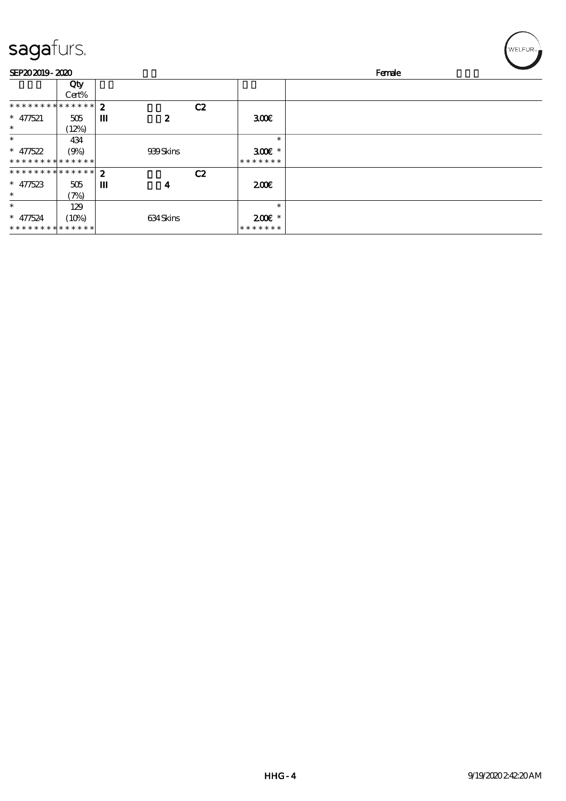## sagafurs.

| SEP202019-2020              |        |                  |                  |    |                  | Female |  |  |
|-----------------------------|--------|------------------|------------------|----|------------------|--------|--|--|
|                             | Qty    |                  |                  |    |                  |        |  |  |
|                             | Cert%  |                  |                  |    |                  |        |  |  |
| * * * * * * * *             | ****** | $\boldsymbol{2}$ |                  | C2 |                  |        |  |  |
| $* 477521$                  | 505    | Ш                | $\boldsymbol{z}$ |    | 300 <sup>2</sup> |        |  |  |
| $\ast$                      | (12%)  |                  |                  |    |                  |        |  |  |
| $\ast$                      | 434    |                  |                  |    | $\ast$           |        |  |  |
| $* 47522$                   | (9%)   |                  | 939Skins         |    | $300E$ *         |        |  |  |
| * * * * * * * * * * * * * * |        |                  |                  |    | * * * * * * *    |        |  |  |
| ************** 2            |        |                  |                  | C2 |                  |        |  |  |
| * $47523$                   | 505    | ш                | 4                |    | 200              |        |  |  |
| $\ast$                      | (7%)   |                  |                  |    |                  |        |  |  |
| $\ast$                      | 129    |                  |                  |    | $\ast$           |        |  |  |
| $* 477524$                  | (10%)  |                  | 634Skins         |    | $200E$ *         |        |  |  |
| * * * * * * * * * * * * * * |        |                  |                  |    | * * * * * * *    |        |  |  |

 $\left(\bigvee_{\text{WELFUR}_n}\right)$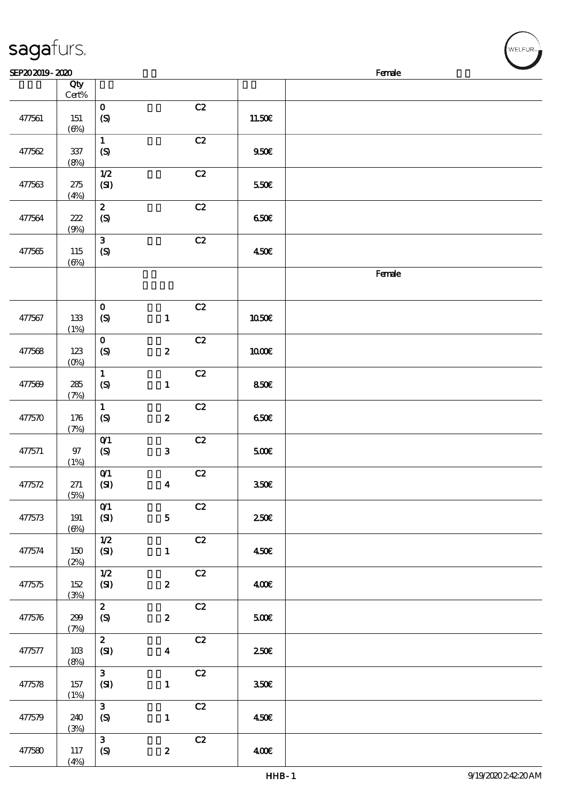| <b>Contract Contract Contract Contract Contract Contract Contract Contract Contract Contract Contract Contract Co</b><br>SEP202019-2020<br>Female |                   |                                            |                  |    |              |        |  |  |
|---------------------------------------------------------------------------------------------------------------------------------------------------|-------------------|--------------------------------------------|------------------|----|--------------|--------|--|--|
|                                                                                                                                                   | Qty<br>$Cert\%$   |                                            |                  |    |              |        |  |  |
| 477561                                                                                                                                            | 151<br>(6%)       | $\mathbf O$<br>$\boldsymbol{S}$            |                  | C2 | 11.50E       |        |  |  |
| 477562                                                                                                                                            | 337<br>(8%)       | $\mathbf{1}$<br>$\boldsymbol{S}$           |                  | C2 | 950E         |        |  |  |
| 477563                                                                                                                                            | 275<br>(4%)       | $1/2$<br>(SI)                              |                  | C2 | 550€         |        |  |  |
| 477564                                                                                                                                            | 222<br>(9%)       | $\boldsymbol{2}$<br>$\pmb{\in}$            |                  | C2 | 650E         |        |  |  |
| 477565                                                                                                                                            | 115<br>(6%)       | 3<br>$\boldsymbol{S}$                      |                  | C2 | 450E         |        |  |  |
|                                                                                                                                                   |                   |                                            |                  |    |              | Female |  |  |
| 477567                                                                                                                                            | 133<br>(1%)       | $\mathbf 0$<br>(S)                         | $\mathbf 1$      | C2 | <b>1050€</b> |        |  |  |
| 477568                                                                                                                                            | 123<br>$(0\%)$    | $\mathbf 0$<br>$\boldsymbol{S}$            | $\boldsymbol{2}$ | C2 | 1000E        |        |  |  |
| 477569                                                                                                                                            | 285<br>(7%)       | $\mathbf 1$<br>$\boldsymbol{\mathrm{(S)}}$ | $\mathbf{1}$     | C2 | 850E         |        |  |  |
| 477570                                                                                                                                            | 176<br>(7%)       | $\mathbf 1$<br>$\pmb{\in}$                 | $\pmb{2}$        | C2 | 650E         |        |  |  |
| 477571                                                                                                                                            | $97$<br>(1%)      | $O$ $1$<br>$\boldsymbol{S}$                | $\mathbf{3}$     | C2 | 500          |        |  |  |
| 47/572                                                                                                                                            | $271\,$<br>(5%)   | $O$ $1$<br>(SI)                            | $\boldsymbol{4}$ | C2 | 350E         |        |  |  |
| 477573                                                                                                                                            | 191<br>$(\Theta)$ | O(1)<br>(SI)                               | $\mathbf{5}$     | C2 | 250E         |        |  |  |
| 477574                                                                                                                                            | 150<br>(2%)       | 1/2<br>(SI)                                | $\mathbf{1}$     | C2 | 450E         |        |  |  |
| 477575                                                                                                                                            | 152<br>(3%)       | $1/2$<br>(SI)                              | $\boldsymbol{z}$ | C2 | 400          |        |  |  |
| 477576                                                                                                                                            | 299<br>(7%)       | $\boldsymbol{z}$<br>$\boldsymbol{S}$       | $\pmb{2}$        | C2 | 500E         |        |  |  |
| 477577                                                                                                                                            | 10B<br>(8%)       | $\mathbf{z}$<br>(SI)                       | $\boldsymbol{4}$ | C2 | 250E         |        |  |  |
| 477578                                                                                                                                            | 157<br>(1%)       | $\mathbf{3}$<br>(SI)                       | $\mathbf{1}$     | C2 | 350E         |        |  |  |
| 477579                                                                                                                                            | 240<br>(3%)       | $\mathbf{3}$<br>(S)                        | $\mathbf{1}$     | C2 | 450E         |        |  |  |
| 477580                                                                                                                                            | 117<br>(4%)       | $\mathbf{3}$<br>$\boldsymbol{S}$           | $\boldsymbol{z}$ | C2 | 400          |        |  |  |

sagafurs.

WELFUR-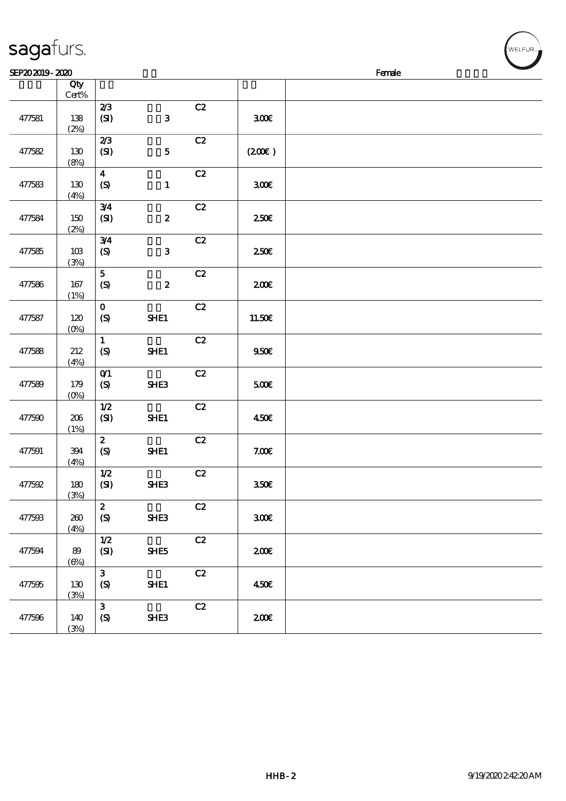| .      |                        |                                                                   |                  |               |        | ------ |
|--------|------------------------|-------------------------------------------------------------------|------------------|---------------|--------|--------|
|        | Qty<br>$\mbox{Cert}\%$ |                                                                   |                  |               |        |        |
| 477581 | 138                    | 2/3<br>(SI)                                                       | $\mathbf{3}$     | C2            | 300E   |        |
|        | (2%)                   | 2/3                                                               |                  | C2            |        |        |
| 477582 | 130<br>(8%)            | (SI)                                                              | ${\bf 5}$        |               | (200)  |        |
| 477583 | 130<br>(4%)            | $\boldsymbol{4}$<br>$\pmb{\text{(S)}}$                            | $\mathbf{1}$     | C2            | 300E   |        |
| 477584 | $150\,$<br>(2%)        | 3/4<br>(SI)                                                       | $\pmb{2}$        | $\mathbf{C2}$ | 250E   |        |
| 477585 | $10B$<br>(3%)          | 3/4<br>$\pmb{\text{(S)}}$                                         | $\mathbf{3}$     | C2            | 250€   |        |
| 477586 | 167<br>(1%)            | $\mathbf{5}$<br>$\pmb{\text{(S)}}$                                | $\boldsymbol{2}$ | C2            | 200E   |        |
| 477587 | 120<br>$(0\%)$         | $\mathbf{o}$<br>$\boldsymbol{\mathrm{(S)}}$                       | SHE1             | C2            | 11.50E |        |
| 477588 | 212<br>(4%)            | $\mathbf{1}$<br>$\boldsymbol{S}$                                  | SHE1             | C2            | 950E   |        |
| 477589 | 179<br>$(0\%)$         | $O$ <sup><math>\prime</math></sup><br>$\boldsymbol{\mathrm{(S)}}$ | SHE3             | C2            | 500€   |        |
| 477590 | $206\,$<br>(1%)        | $1/2$<br>(SI)                                                     | SHE1             | $\mathbf{C2}$ | 450€   |        |
| 477591 | 394<br>(4%)            | $\boldsymbol{z}$<br>$\pmb{\text{(S)}}$                            | SHE1             | C2            | 7.00E  |        |
| 477592 | $180$<br>(3%)          | $1/2$<br>(SI)                                                     | SHE3             | C2            | 350E   |        |
| 477593 | 200<br>(4%)            | $\boldsymbol{z}$<br>$\boldsymbol{S}$                              | SHE <sub>3</sub> | C2            | 300E   |        |
| 477594 | 89<br>$(\Theta)$       | 1/2<br>(SI)                                                       | SHE5             | C2            | 200E   |        |
| 477595 | 130<br>(3%)            | $\mathbf{3}$<br>(S)                                               | SHE1             | C2            | 450€   |        |
| 477596 | 140<br>(3%)            | $\mathbf{3}$<br>$\boldsymbol{S}$                                  | SHE3             | C2            | 200E   |        |

 $SEP202019 - 2020$ 

## sagafurs.

WELFUR-